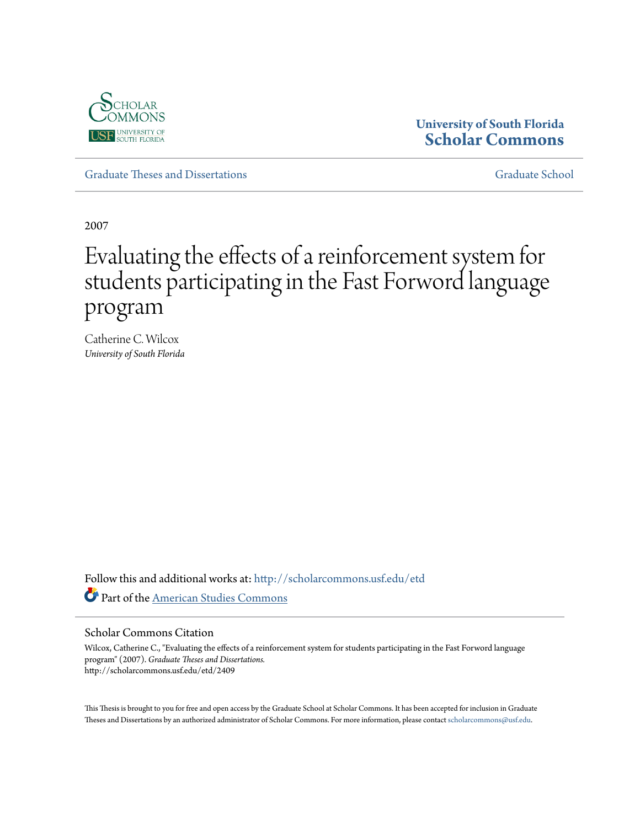

## **University of South Florida [Scholar Commons](http://scholarcommons.usf.edu?utm_source=scholarcommons.usf.edu%2Fetd%2F2409&utm_medium=PDF&utm_campaign=PDFCoverPages)**

[Graduate Theses and Dissertations](http://scholarcommons.usf.edu/etd?utm_source=scholarcommons.usf.edu%2Fetd%2F2409&utm_medium=PDF&utm_campaign=PDFCoverPages) [Graduate School](http://scholarcommons.usf.edu/grad?utm_source=scholarcommons.usf.edu%2Fetd%2F2409&utm_medium=PDF&utm_campaign=PDFCoverPages)

2007

# Evaluating the effects of a reinforcement system for students participating in the Fast Forword language program

Catherine C. Wilcox *University of South Florida*

Follow this and additional works at: [http://scholarcommons.usf.edu/etd](http://scholarcommons.usf.edu/etd?utm_source=scholarcommons.usf.edu%2Fetd%2F2409&utm_medium=PDF&utm_campaign=PDFCoverPages) Part of the [American Studies Commons](http://network.bepress.com/hgg/discipline/439?utm_source=scholarcommons.usf.edu%2Fetd%2F2409&utm_medium=PDF&utm_campaign=PDFCoverPages)

#### Scholar Commons Citation

Wilcox, Catherine C., "Evaluating the effects of a reinforcement system for students participating in the Fast Forword language program" (2007). *Graduate Theses and Dissertations.* http://scholarcommons.usf.edu/etd/2409

This Thesis is brought to you for free and open access by the Graduate School at Scholar Commons. It has been accepted for inclusion in Graduate Theses and Dissertations by an authorized administrator of Scholar Commons. For more information, please contact [scholarcommons@usf.edu.](mailto:scholarcommons@usf.edu)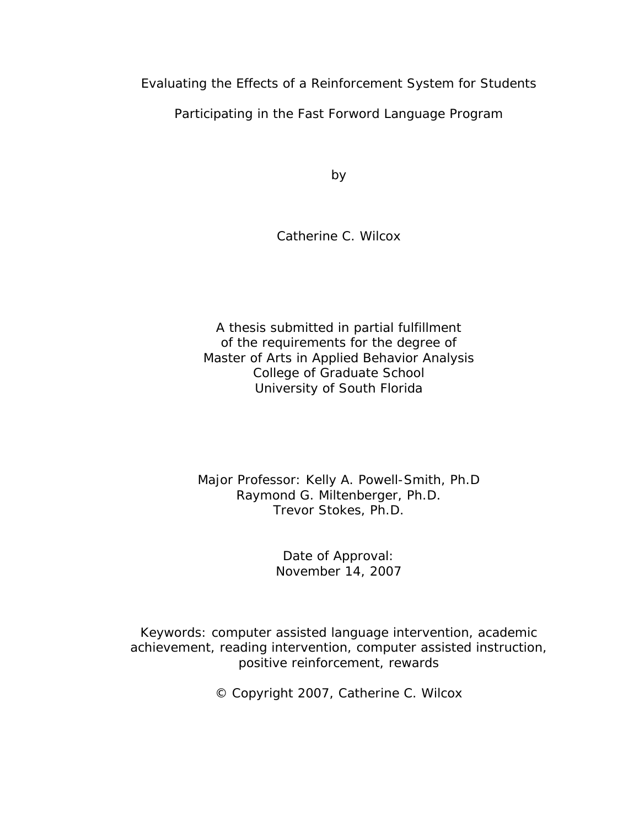Evaluating the Effects of a Reinforcement System for Students

Participating in the Fast Forword Language Program

by the contract of the contract of the contract of the contract of the contract of the contract of the contract of the contract of the contract of the contract of the contract of the contract of the contract of the contrac

Catherine C. Wilcox

A thesis submitted in partial fulfillment of the requirements for the degree of Master of Arts in Applied Behavior Analysis College of Graduate School University of South Florida

## Major Professor: Kelly A. Powell-Smith, Ph.D Raymond G. Miltenberger, Ph.D. Trevor Stokes, Ph.D.

Date of Approval: **Example 2018** November 14, 2007

Keywords: computer assisted language intervention, academic achievement, reading intervention, computer assisted instruction, positive reinforcement, rewards

© Copyright 2007, Catherine C. Wilcox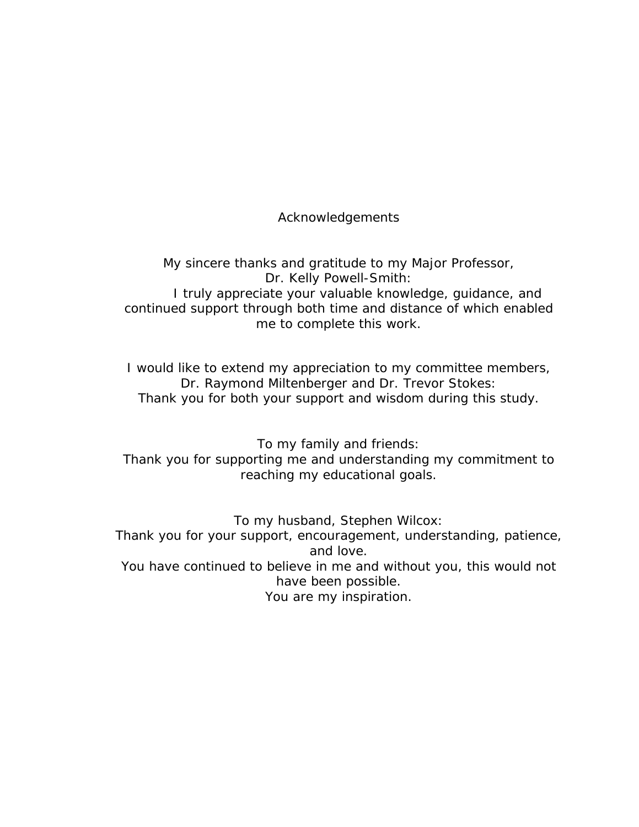Acknowledgements

My sincere thanks and gratitude to my Major Professor, Dr. Kelly Powell-Smith: I truly appreciate your valuable knowledge, guidance, and continued support through both time and distance of which enabled me to complete this work.

I would like to extend my appreciation to my committee members, Dr. Raymond Miltenberger and Dr. Trevor Stokes: Thank you for both your support and wisdom during this study.

To my family and friends: Thank you for supporting me and understanding my commitment to reaching my educational goals.

To my husband, Stephen Wilcox: Thank you for your support, encouragement, understanding, patience, and love. The same state of the state of the state of the state of the state of the state of the state of the state of the state of the state of the state of the state of the state of the state of the state of the state of You have continued to believe in me and without you, this would not have been possible. You are my inspiration.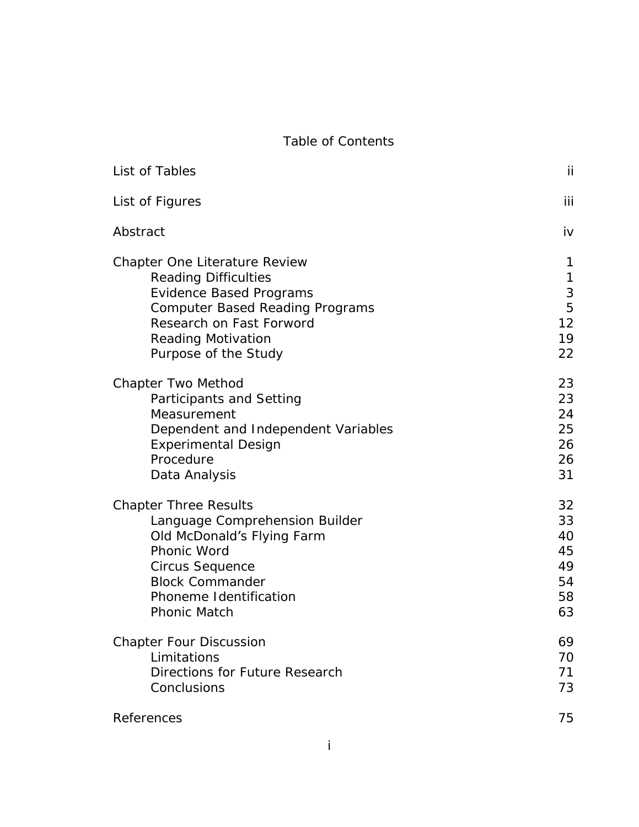#### Table of Contents and the context of the context of the context of the context of the context of the context of the context of the context of the context of the context of the context of the context of the context of the c

| List of Tables                         |    |
|----------------------------------------|----|
| List of Figures                        |    |
| Abstract                               |    |
|                                        |    |
| Chapter One Literature Review          |    |
| <b>Reading Difficulties</b>            |    |
| <b>Evidence Based Programs</b>         |    |
| <b>Computer Based Reading Programs</b> |    |
| Research on Fast Forword               |    |
| <b>Reading Motivation</b>              | 10 |
| Purpose of the Study                   | 22 |
|                                        |    |
| <b>Chapter Two Method</b>              | 23 |
| <b>Participants and Setting</b>        | 23 |
| Measurement                            | 24 |
| Dependent and Independent Variables    | 25 |
| <b>Experimental Design</b>             | 26 |
| Procedure                              | 26 |
| Data Analysis                          | 31 |
| <b>Chapter Three Results</b>           | 32 |
| Language Comprehension Builder         | 33 |
| Old McDonald's Flying Farm             |    |
| <b>Phonic Word</b>                     |    |
| <b>Circus Sequence</b>                 |    |
| <b>Block Commander</b>                 |    |
| Phoneme Identification                 | 58 |
| <b>Phonic Match</b>                    | 63 |
|                                        |    |
| <b>Chapter Four Discussion</b>         | 69 |
| Limitations                            | 70 |
| <b>Directions for Future Research</b>  | 71 |
| Conclusions                            | 73 |
| References                             | 75 |
|                                        |    |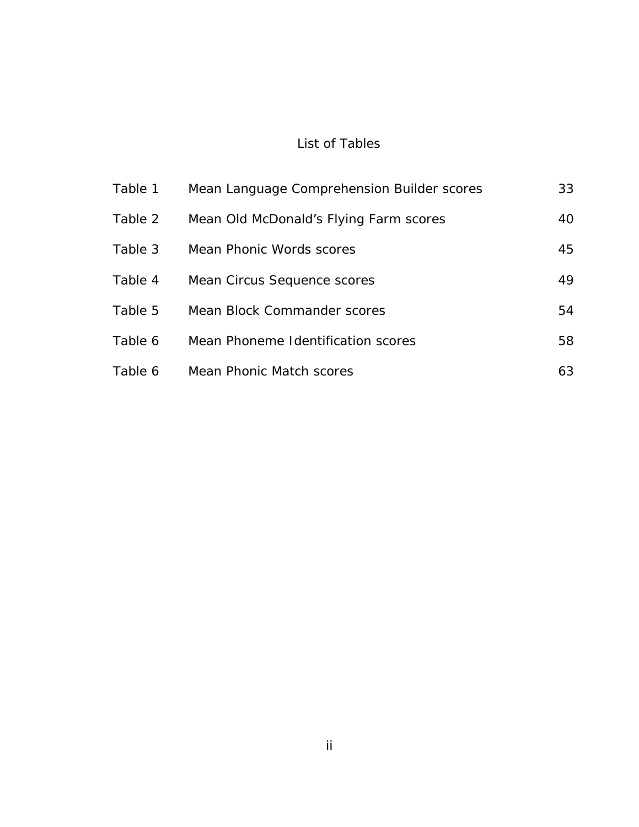#### List of Tables

| Table 1 | Mean Language Comprehension Builder scores | 33 |
|---------|--------------------------------------------|----|
| Table 2 | Mean Old McDonald's Flying Farm scores     | 40 |
| Table 3 | Mean Phonic Words scores                   | 45 |
| Table 4 | Mean Circus Sequence scores                | 49 |
| Table 5 | Mean Block Commander scores                | 54 |
| Table 6 | Mean Phoneme Identification scores         | 58 |
| Table 6 | Mean Phonic Match scores                   | 63 |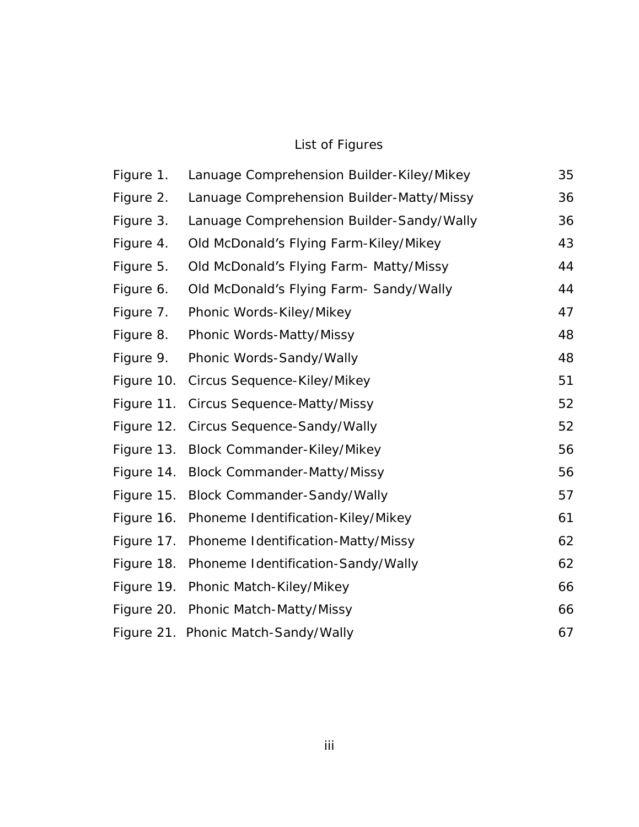#### List of Figures

| Figure 1. | Lanuage Comprehension Builder-Kiley/Mikey     | 35 |
|-----------|-----------------------------------------------|----|
| Figure 2. | Lanuage Comprehension Builder-Matty/Missy     | 36 |
| Figure 3. | Lanuage Comprehension Builder-Sandy/Wally     | 36 |
| Figure 4. | Old McDonald's Flying Farm-Kiley/Mikey        | 43 |
| Figure 5. | Old McDonald's Flying Farm- Matty/Missy       | 44 |
| Figure 6. | Old McDonald's Flying Farm- Sandy/Wally       | 44 |
| Figure 7. | Phonic Words-Kiley/Mikey                      | 47 |
| Figure 8. | Phonic Words-Matty/Missy                      | 48 |
| Figure 9. | Phonic Words-Sandy/Wally                      | 48 |
|           | Figure 10. Circus Sequence-Kiley/Mikey        | 51 |
|           | Figure 11. Circus Sequence-Matty/Missy        | 52 |
|           | Figure 12. Circus Sequence-Sandy/Wally        | 52 |
|           | Figure 13. Block Commander-Kiley/Mikey        | 56 |
|           | Figure 14. Block Commander-Matty/Missy        | 56 |
|           | Figure 15. Block Commander-Sandy/Wally        | 57 |
|           | Figure 16. Phoneme Identification-Kiley/Mikey | 61 |
|           | Figure 17. Phoneme Identification-Matty/Missy | 62 |
|           | Figure 18. Phoneme Identification-Sandy/Wally | 62 |
|           | Figure 19. Phonic Match-Kiley/Mikey           | 66 |
|           | Figure 20. Phonic Match-Matty/Missy           | 66 |
|           | Figure 21. Phonic Match-Sandy/Wally           | 67 |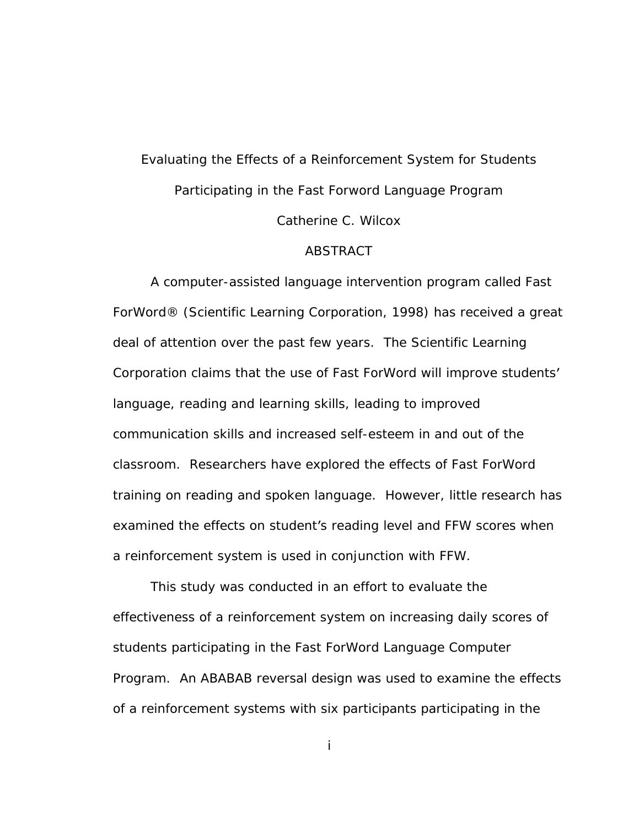## Evaluating the Effects of a Reinforcement System for Students Participating in the Fast Forword Language Program Catherine C. Wilcox

#### ABSTRACT

A computer-assisted language intervention program called Fast ForWord® (Scientific Learning Corporation, 1998) has received a great deal of attention over the past few years. The Scientific Learning Corporation claims that the use of Fast ForWord will improve students language, reading and learning skills, leading to improved communication skills and increased self-esteem in and out of the classroom. Researchers have explored the effects of Fast ForWord training on reading and spoken language. However, little research has examined the effects on student's reading level and FFW scores when a reinforcement system is used in conjunction with FFW.

This study was conducted in an effort to evaluate the effectiveness of a reinforcement system on increasing daily scores of students participating in the Fast ForWord Language Computer Program. An ABABAB reversal design was used to examine the effects of a reinforcement systems with six participants participating in the

i a shekara ta 1980 a ƙafa ta ƙasar Ingila. Ingila ƙasar Ingila a ƙasar Ingila.<br>Manazarta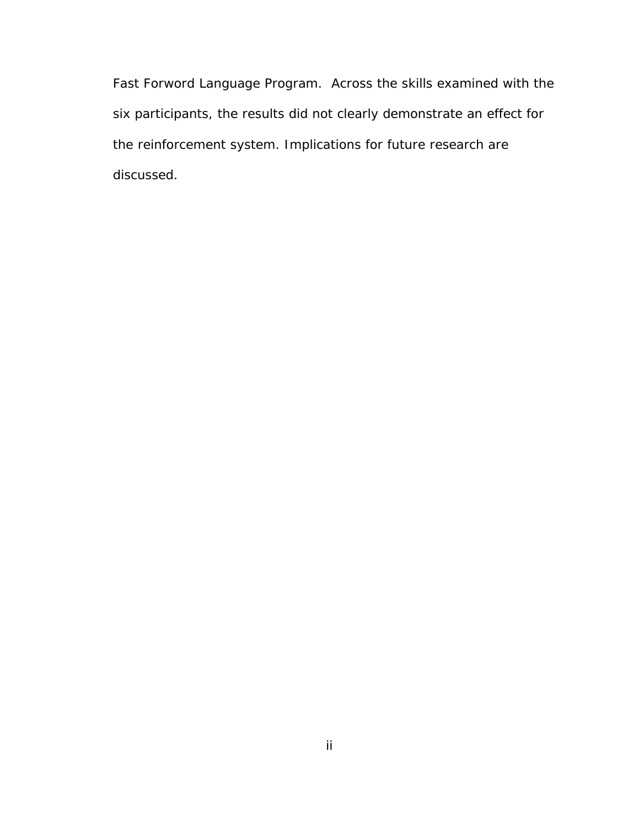Fast Forword Language Program. Across the skills examined with the six participants, the results did not clearly demonstrate an effect for the reinforcement system. Implications for future research are discussed.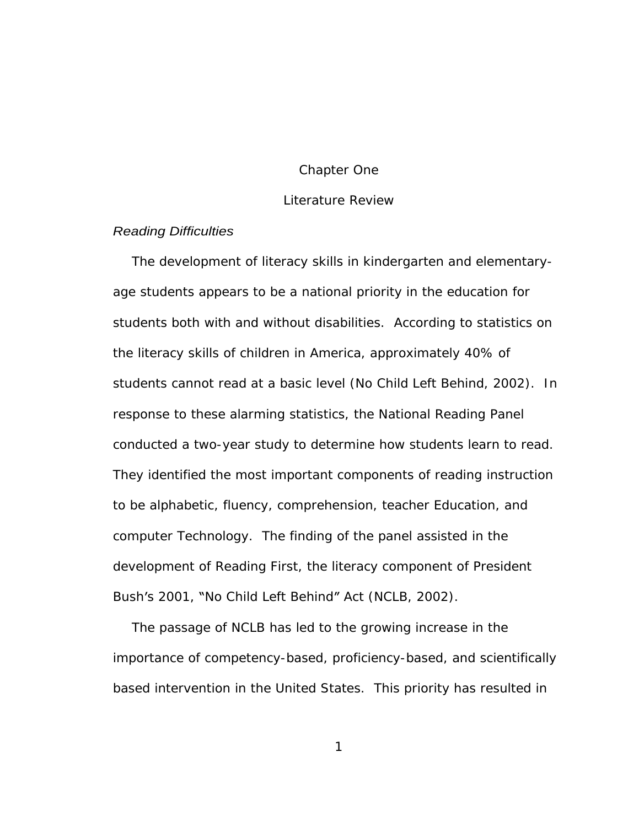#### Chapter One and the contract of the contract of the contract of the contract of the contract of the contract of the contract of the contract of the contract of the contract of the contract of the contract of the contract o

#### Literature Review

## Reading Difficulties

The development of literacy skills in kindergarten and elementary age students appears to be a national priority in the education for students both with and without disabilities. According to statistics on the literacy skills of children in America, approximately 40% of students cannot read at a basic level (No Child Left Behind, 2002). In response to these alarming statistics, the National Reading Panel conducted a two-year study to determine how students learn to read. They identified the most important components of reading instruction to be alphabetic, fluency, comprehension, teacher Education, and computer Technology. The finding of the panel assisted in the development of Reading First, the literacy component of President Bush's 2001, "No Child Left Behind" Act (NCLB, 2002).

The passage of NCLB has led to the growing increase in the importance of competency-based, proficiency-based, and scientifically based intervention in the United States. This priority has resulted in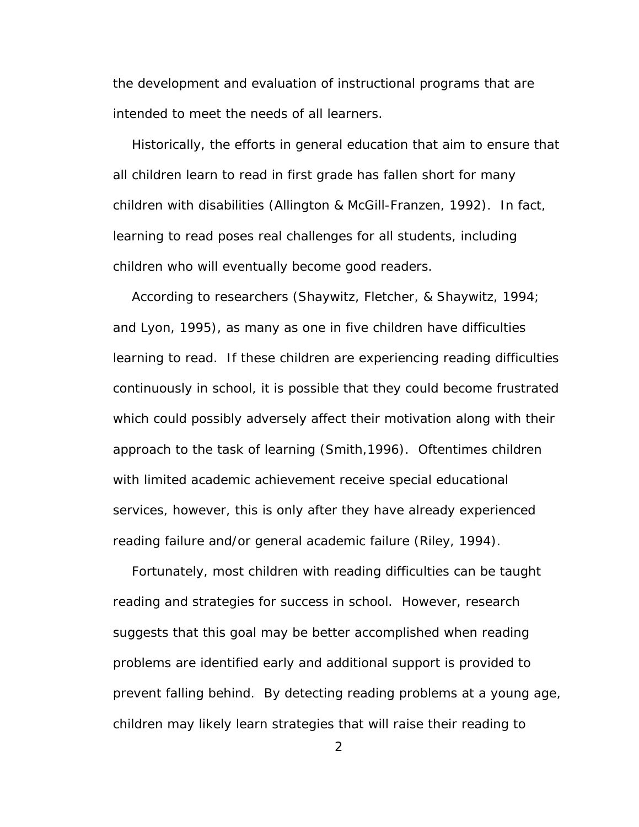the development and evaluation of instructional programs that are intended to meet the needs of all learners.

Historically, the efforts in general education that aim to ensure that all children learn to read in first grade has fallen short for many children with disabilities (Allington & McGill-Franzen, 1992). In fact, learning to read poses real challenges for all students, including children who will eventually become good readers.

According to researchers (Shaywitz, Fletcher, & Shaywitz, 1994; and Lyon, 1995), as many as one in five children have difficulties learning to read. If these children are experiencing reading difficulties continuously in school, it is possible that they could become frustrated which could possibly adversely affect their motivation along with their approach to the task of learning (Smith,1996). Oftentimes children with limited academic achievement receive special educational services, however, this is only after they have already experienced reading failure and/or general academic failure (Riley, 1994).

Fortunately, most children with reading difficulties can be taught reading and strategies for success in school. However, research suggests that this goal may be better accomplished when reading problems are identified early and additional support is provided to prevent falling behind. By detecting reading problems at a young age, children may likely learn strategies that will raise their reading to

2 and 2 and 2 and 2 and 2 and 2 and 2 and 2 and 2 and 2 and 2 and 2 and 2 and 2 and 2 and 2 and 2 and 2 and 2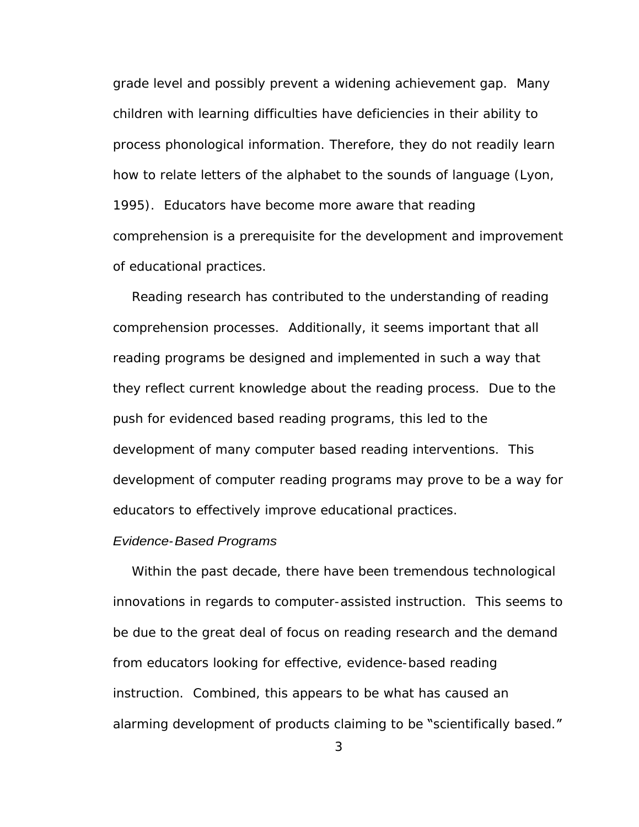grade level and possibly prevent a widening achievement gap. Many children with learning difficulties have deficiencies in their ability to process phonological information. Therefore, they do not readily learn how to relate letters of the alphabet to the sounds of language (Lyon, 1995). Educators have become more aware that reading comprehension is a prerequisite for the development and improvement of educational practices.

Reading research has contributed to the understanding of reading comprehension processes. Additionally, it seems important that all reading programs be designed and implemented in such a way that they reflect current knowledge about the reading process. Due to the push for evidenced based reading programs, this led to the development of many computer based reading interventions. This development of computer reading programs may prove to be a way for educators to effectively improve educational practices.

#### Evidence-Based Programs

Within the past decade, there have been tremendous technological innovations in regards to computer-assisted instruction. This seems to be due to the great deal of focus on reading research and the demand from educators looking for effective, evidence-based reading instruction. Combined, this appears to be what has caused an alarming development of products claiming to be "scientifically based."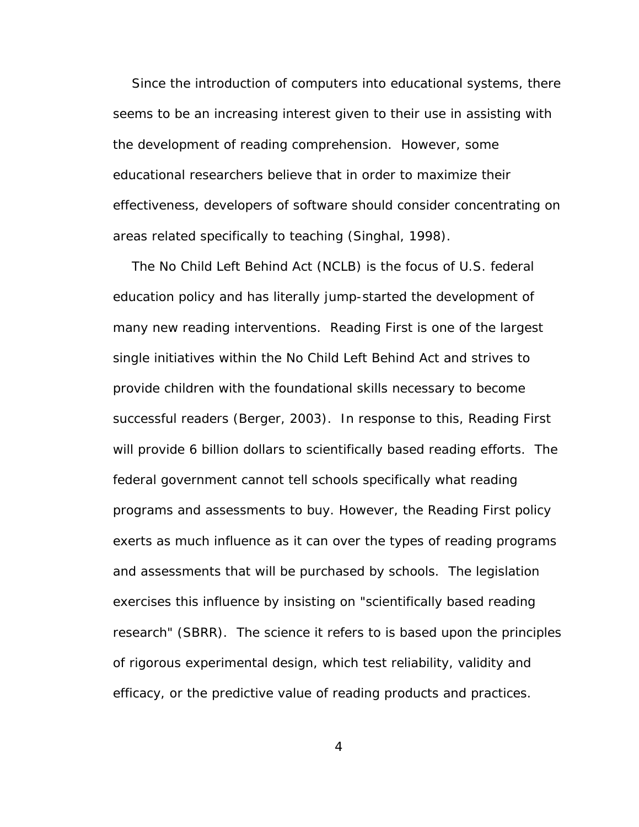Since the introduction of computers into educational systems, there seems to be an increasing interest given to their use in assisting with the development of reading comprehension. However, some educational researchers believe that in order to maximize their effectiveness, developers of software should consider concentrating on areas related specifically to teaching (Singhal, 1998).

The No Child Left Behind Act (NCLB) is the focus of U.S. federal education policy and has literally jump-started the development of many new reading interventions. Reading First is one of the largest single initiatives within the No Child Left Behind Act and strives to provide children with the foundational skills necessary to become successful readers (Berger, 2003). In response to this, Reading First will provide 6 billion dollars to scientifically based reading efforts. The federal government cannot tell schools specifically what reading programs and assessments to buy. However, the Reading First policy exerts as much influence as it can over the types of reading programs and assessments that will be purchased by schools. The legislation exercises this influence by insisting on "scientifically based reading research" (SBRR). The science it refers to is based upon the principles of rigorous experimental design, which test reliability, validity and efficacy, or the predictive value of reading products and practices.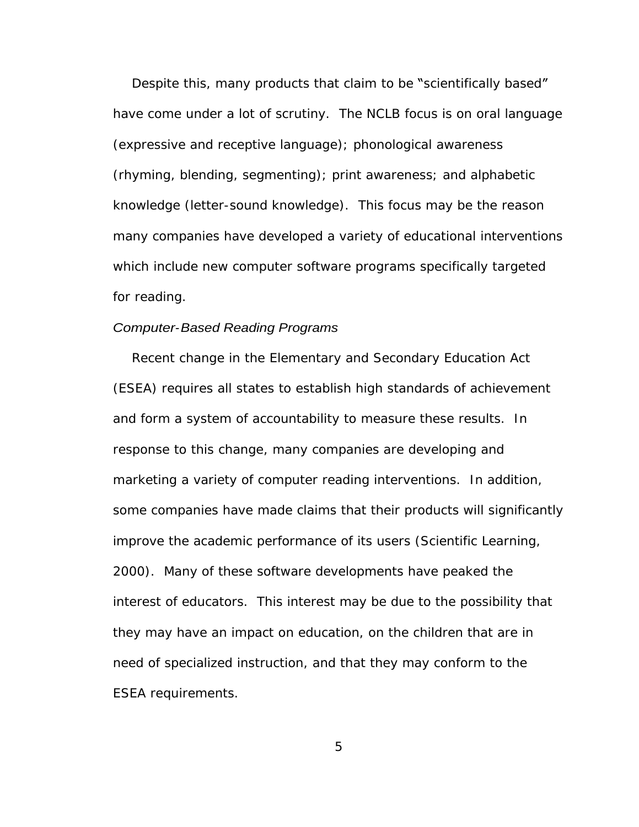Despite this, many products that claim to be "scientifically based" have come under a lot of scrutiny. The NCLB focus is on oral language (expressive and receptive language); phonological awareness (rhyming, blending, segmenting); print awareness; and alphabetic knowledge (letter-sound knowledge). This focus may be the reason many companies have developed a variety of educational interventions which include new computer software programs specifically targeted for reading. The contract of the contract of the contract of the contract of the contract of the contract of the contract of the contract of the contract of the contract of the contract of the contract of the contract of t

#### Computer-Based Reading Programs

Recent change in the Elementary and Secondary Education Act (ESEA) requires all states to establish high standards of achievement and form a system of accountability to measure these results. In response to this change, many companies are developing and marketing a variety of computer reading interventions. In addition, some companies have made claims that their products will significantly improve the academic performance of its users (Scientific Learning, 2000). Many of these software developments have peaked the interest of educators. This interest may be due to the possibility that they may have an impact on education, on the children that are in need of specialized instruction, and that they may conform to the ESEA requirements.

 $5<sub>5</sub>$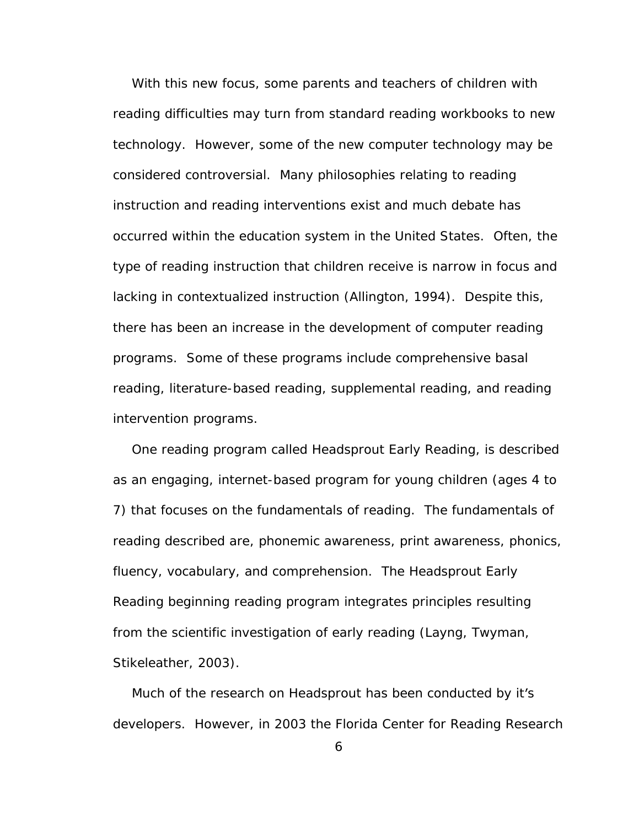With this new focus, some parents and teachers of children with reading difficulties may turn from standard reading workbooks to new technology. However, some of the new computer technology may be considered controversial. Many philosophies relating to reading instruction and reading interventions exist and much debate has occurred within the education system in the United States. Often, the type of reading instruction that children receive is narrow in focus and lacking in contextualized instruction (Allington, 1994). Despite this, there has been an increase in the development of computer reading programs. Some of these programs include comprehensive basal reading, literature-based reading, supplemental reading, and reading intervention programs.

One reading program called Headsprout Early Reading, is described as an engaging, internet-based program for young children (ages 4 to 7) that focuses on the fundamentals of reading. The fundamentals of reading described are, phonemic awareness, print awareness, phonics, fluency, vocabulary, and comprehension. The Headsprout Early Reading beginning reading program integrates principles resulting from the scientific investigation of early reading (Layng, Twyman, Stikeleather, 2003).<br>Much of the research on Headsprout has been conducted by it's

developers. However, in 2003 the Florida Center for Reading Research

 $\epsilon$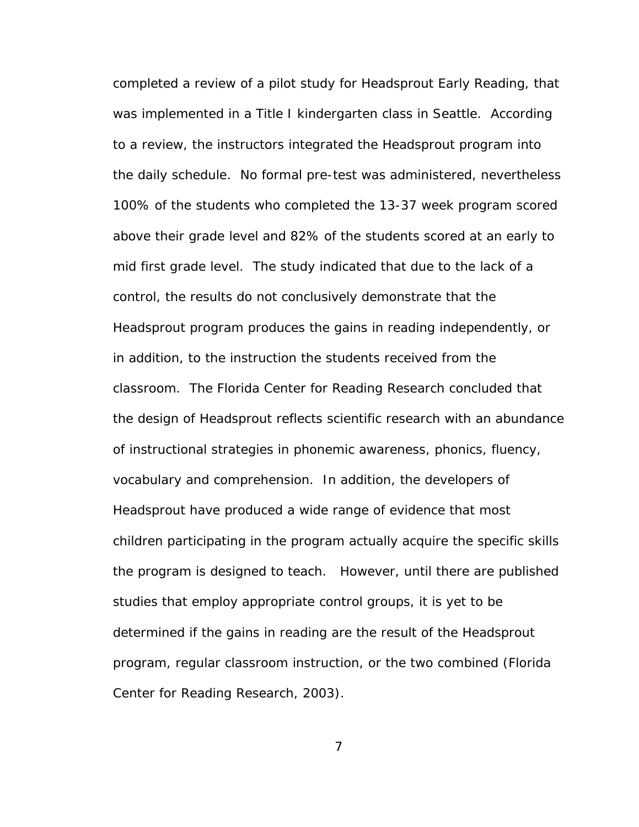completed a review of a pilot study for Headsprout Early Reading, that was implemented in a Title I kindergarten class in Seattle. According to a review, the instructors integrated the Headsprout program into the daily schedule. No formal pre-test was administered, nevertheless 100% of the students who completed the 13-37 week program scored above their grade level and 82% of the students scored at an early to mid first grade level. The study indicated that due to the lack of a control, the results do not conclusively demonstrate that the Headsprout program produces the gains in reading independently, or in addition, to the instruction the students received from the classroom. The Florida Center for Reading Research concluded that the design of Headsprout reflects scientific research with an abundance of instructional strategies in phonemic awareness, phonics, fluency, vocabulary and comprehension. In addition, the developers of Headsprout have produced a wide range of evidence that most children participating in the program actually acquire the specific skills the program is designed to teach. However, until there are published studies that employ appropriate control groups, it is yet to be determined if the gains in reading are the result of the Headsprout program, regular classroom instruction, or the two combined (Florida Center for Reading Research, 2003).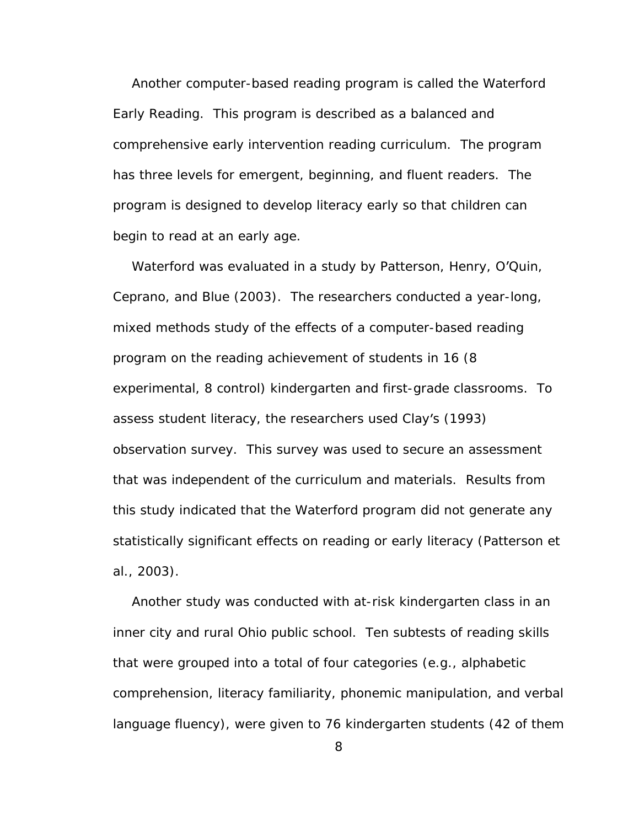Another computer-based reading program is called the Waterford Early Reading. This program is described as a balanced and comprehensive early intervention reading curriculum. The program has three levels for emergent, beginning, and fluent readers. The program is designed to develop literacy early so that children can begin to read at an early age.

Waterford was evaluated in a study by Patterson, Henry, O'Quin, Ceprano, and Blue (2003). The researchers conducted a year-long, mixed methods study of the effects of a computer-based reading program on the reading achievement of students in 16 (8 experimental, 8 control) kindergarten and first-grade classrooms. To assess student literacy, the researchers used Clay's (1993) observation survey. This survey was used to secure an assessment that was independent of the curriculum and materials. Results from this study indicated that the Waterford program did not generate any statistically significant effects on reading or early literacy (Patterson et al., 2003).

Another study was conducted with at-risk kindergarten class in an inner city and rural Ohio public school. Ten subtests of reading skills that were grouped into a total of four categories (e.g., alphabetic comprehension, literacy familiarity, phonemic manipulation, and verbal language fluency), were given to 76 kindergarten students (42 of them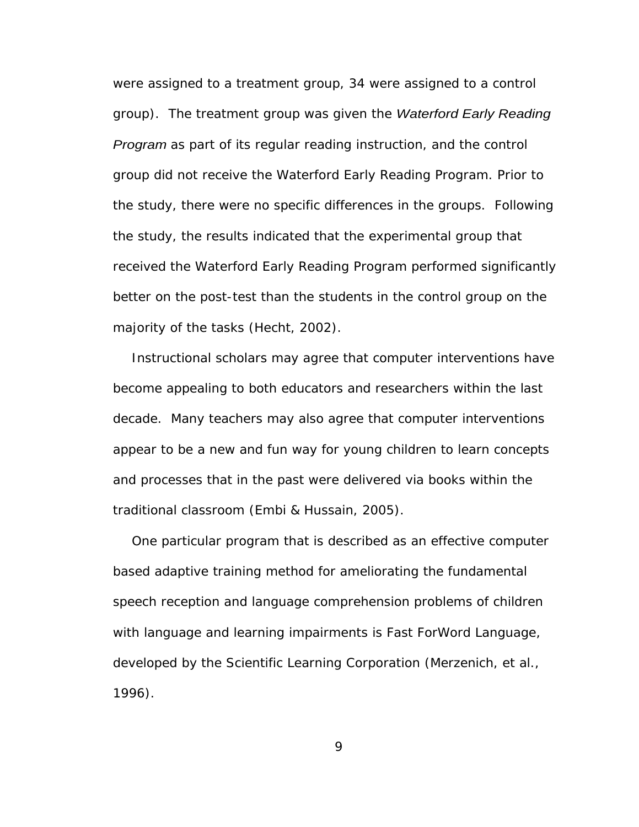were assigned to a treatment group, 34 were assigned to a control group). The treatment group was given the Waterford Early Reading Program as part of its regular reading instruction, and the control group did not receive the Waterford Early Reading Program. Prior to the study, there were no specific differences in the groups. Following the study, the results indicated that the experimental group that received the Waterford Early Reading Program performed significantly better on the post-test than the students in the control group on the majority of the tasks (Hecht, 2002).

Instructional scholars may agree that computer interventions have become appealing to both educators and researchers within the last decade. Many teachers may also agree that computer interventions appear to be a new and fun way for young children to learn concepts and processes that in the past were delivered via books within the traditional classroom (Embi & Hussain, 2005).

One particular program that is described as an effective computer based adaptive training method for ameliorating the fundamental speech reception and language comprehension problems of children with language and learning impairments is Fast ForWord Language, developed by the Scientific Learning Corporation (Merzenich, et al., 1996).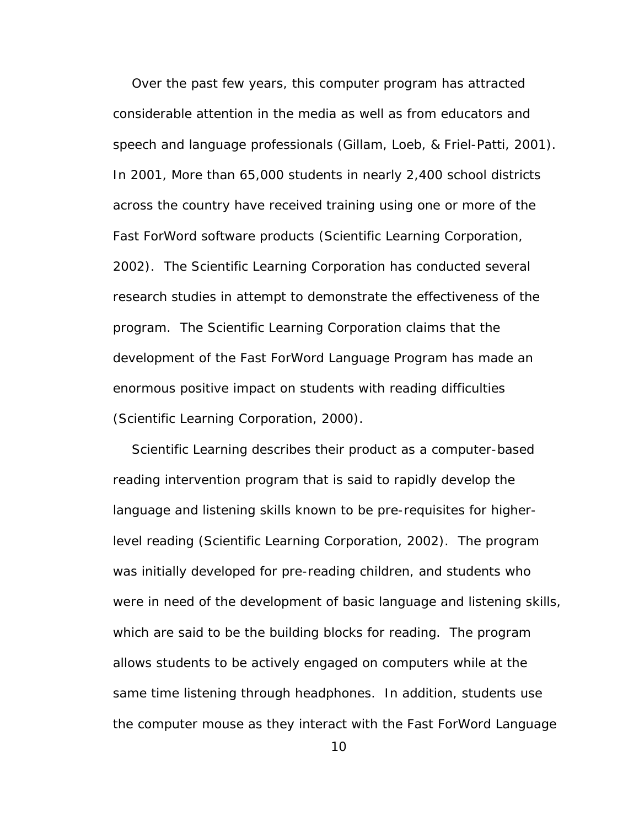Over the past few years, this computer program has attracted considerable attention in the media as well as from educators and speech and language professionals (Gillam, Loeb, & Friel-Patti, 2001). In 2001, More than 65,000 students in nearly 2,400 school districts across the country have received training using one or more of the Fast ForWord software products (Scientific Learning Corporation, 2002). The Scientific Learning Corporation has conducted several research studies in attempt to demonstrate the effectiveness of the program. The Scientific Learning Corporation claims that the development of the Fast ForWord Language Program has made an enormous positive impact on students with reading difficulties (Scientific Learning Corporation, 2000).

Scientific Learning describes their product as a computer-based reading intervention program that is said to rapidly develop the language and listening skills known to be pre-requisites for higherlevel reading (Scientific Learning Corporation, 2002). The program was initially developed for pre-reading children, and students who were in need of the development of basic language and listening skills, which are said to be the building blocks for reading. The program allows students to be actively engaged on computers while at the same time listening through headphones. In addition, students use the computer mouse as they interact with the Fast ForWord Language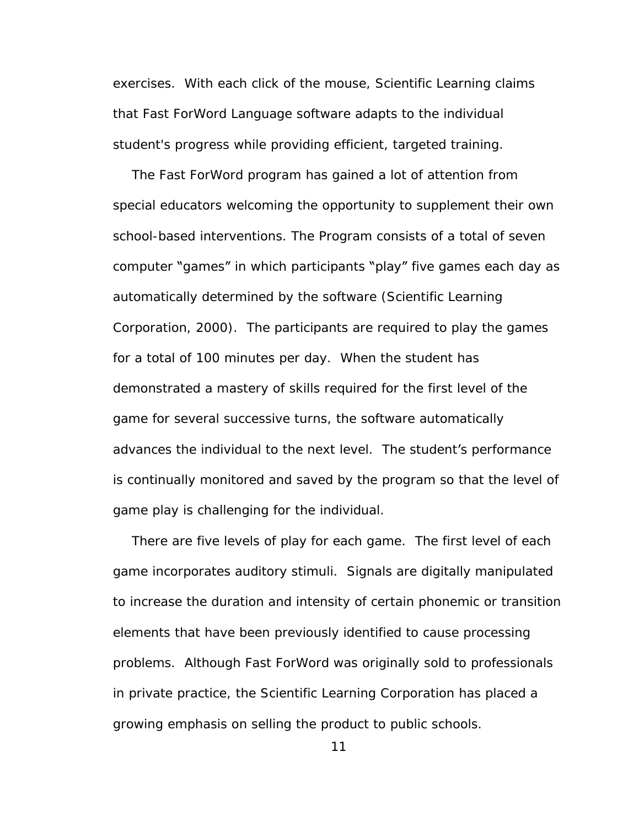exercises. With each click of the mouse, Scientific Learning claims that Fast ForWord Language software adapts to the individual student's progress while providing efficient, targeted training.

The Fast ForWord program has gained a lot of attention from special educators welcoming the opportunity to supplement their own school-based interventions. The Program consists of a total of seven computer "games" in which participants "play" five games each day as automatically determined by the software (Scientific Learning Corporation, 2000). The participants are required to play the games for a total of 100 minutes per day. When the student has demonstrated a mastery of skills required for the first level of the game for several successive turns, the software automatically advances the individual to the next level. The student's performance is continually monitored and saved by the program so that the level of game play is challenging for the individual.

There are five levels of play for each game. The first level of each game incorporates auditory stimuli. Signals are digitally manipulated to increase the duration and intensity of certain phonemic or transition elements that have been previously identified to cause processing problems. Although Fast ForWord was originally sold to professionals in private practice, the Scientific Learning Corporation has placed a growing emphasis on selling the product to public schools.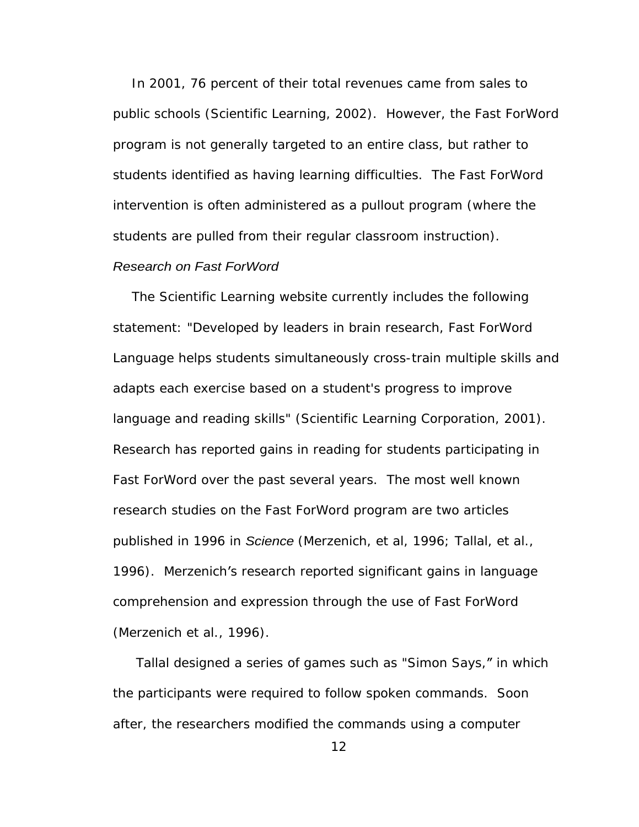In 2001, 76 percent of their total revenues came from sales to public schools (Scientific Learning, 2002). However, the Fast ForWord program is not generally targeted to an entire class, but rather to students identified as having learning difficulties. The Fast ForWord intervention is often administered as a pullout program (where the students are pulled from their regular classroom instruction).

### Research on Fast ForWord

The Scientific Learning website currently includes the following statement: "Developed by leaders in brain research, Fast ForWord Language helps students simultaneously cross-train multiple skills and adapts each exercise based on a student's progress to improve language and reading skills" (Scientific Learning Corporation, 2001). Research has reported gains in reading for students participating in Fast ForWord over the past several years. The most well known research studies on the Fast ForWord program are two articles published in 1996 in Science (Merzenich, et al, 1996; Tallal, et al., 1996). Merzenich's research reported significant gains in language comprehension and expression through the use of Fast ForWord (Merzenich et al., 1996).

Tallal designed a series of games such as "Simon Says," in which the participants were required to follow spoken commands. Soon after, the researchers modified the commands using a computer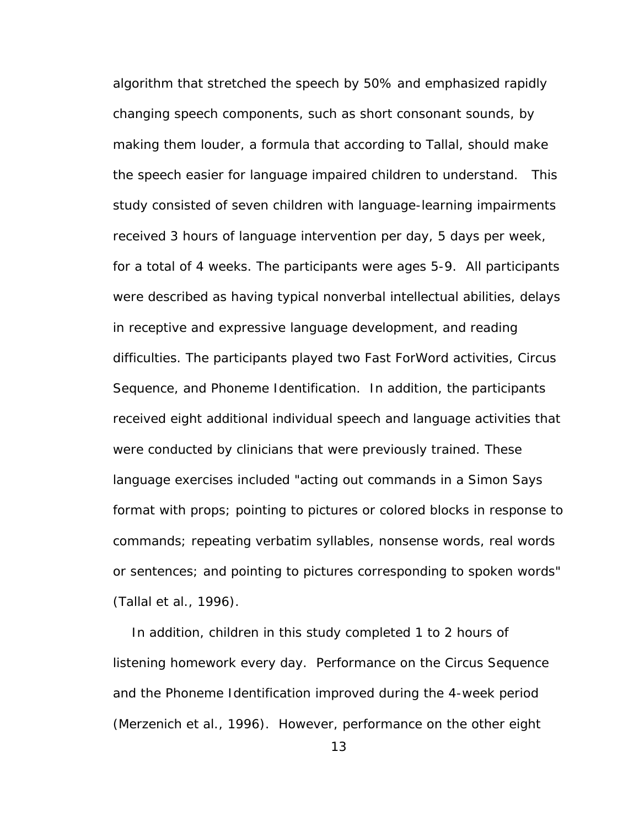algorithm that stretched the speech by 50% and emphasized rapidly changing speech components, such as short consonant sounds, by making them louder, a formula that according to Tallal, should make the speech easier for language impaired children to understand. This study consisted of seven children with language-learning impairments received 3 hours of language intervention per day, 5 days per week, for a total of 4 weeks. The participants were ages 5-9. All participants were described as having typical nonverbal intellectual abilities, delays in receptive and expressive language development, and reading difficulties. The participants played two Fast ForWord activities, Circus Sequence, and Phoneme Identification. In addition, the participants received eight additional individual speech and language activities that were conducted by clinicians that were previously trained. These language exercises included "acting out commands in a Simon Says format with props; pointing to pictures or colored blocks in response to commands; repeating verbatim syllables, nonsense words, real words or sentences; and pointing to pictures corresponding to spoken words" (Tallal et al., 1996).

In addition, children in this study completed 1 to 2 hours of listening homework every day. Performance on the Circus Sequence and the Phoneme Identification improved during the 4-week period (Merzenich et al., 1996). However, performance on the other eight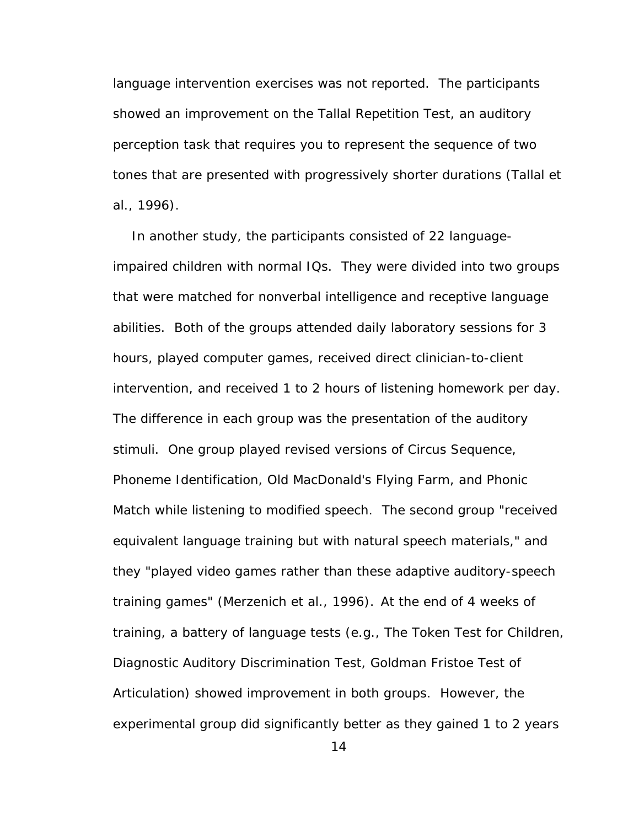language intervention exercises was not reported. The participants showed an improvement on the Tallal Repetition Test, an auditory perception task that requires you to represent the sequence of two tones that are presented with progressively shorter durations (Tallal et al., 1996). In another study, the participants consisted of 22 language-

impaired children with normal IQs. They were divided into two groups that were matched for nonverbal intelligence and receptive language abilities. Both of the groups attended daily laboratory sessions for 3 hours, played computer games, received direct clinician-to-client intervention, and received 1 to 2 hours of listening homework per day. The difference in each group was the presentation of the auditory stimuli. One group played revised versions of Circus Sequence, Phoneme Identification, Old MacDonald's Flying Farm, and Phonic Match while listening to modified speech. The second group "received equivalent language training but with natural speech materials," and they "played video games rather than these adaptive auditory-speech training games" (Merzenich et al., 1996). At the end of 4 weeks of training, a battery of language tests (e.g., The Token Test for Children, Diagnostic Auditory Discrimination Test, Goldman Fristoe Test of Articulation) showed improvement in both groups. However, the experimental group did significantly better as they gained 1 to 2 years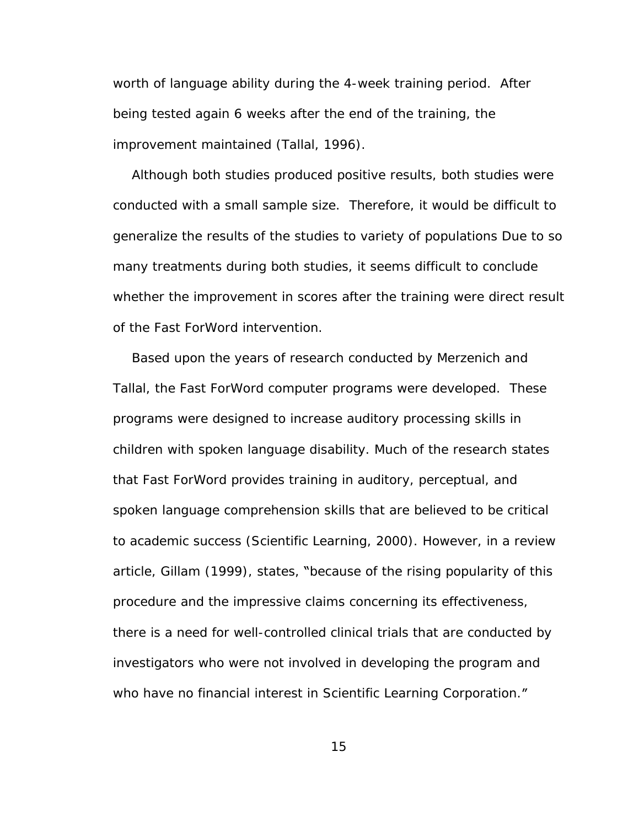worth of language ability during the 4-week training period. After being tested again 6 weeks after the end of the training, the improvement maintained (Tallal, 1996).

Although both studies produced positive results, both studies were conducted with a small sample size. Therefore, it would be difficult to generalize the results of the studies to variety of populations Due to so many treatments during both studies, it seems difficult to conclude whether the improvement in scores after the training were direct result of the Fast ForWord intervention.

Based upon the years of research conducted by Merzenich and Tallal, the Fast ForWord computer programs were developed. These programs were designed to increase auditory processing skills in children with spoken language disability. Much of the research states that Fast ForWord provides training in auditory, perceptual, and spoken language comprehension skills that are believed to be critical to academic success (Scientific Learning, 2000). However, in a review article, Gillam (1999), states, "because of the rising popularity of this procedure and the impressive claims concerning its effectiveness, there is a need for well-controlled clinical trials that are conducted by investigators who were not involved in developing the program and who have no financial interest in Scientific Learning Corporation."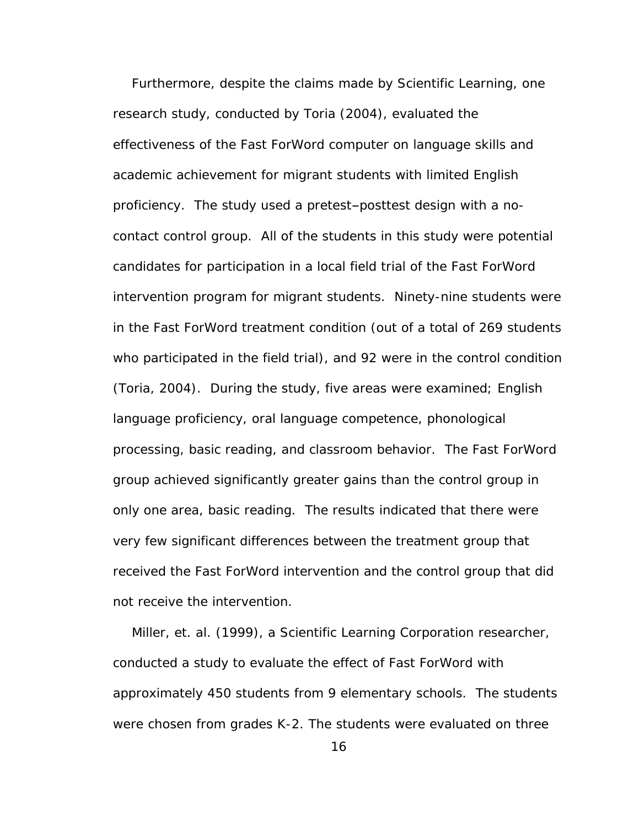Furthermore, despite the claims made by Scientific Learning, one research study, conducted by Toria (2004), evaluated the effectiveness of the Fast ForWord computer on language skills and academic achievement for migrant students with limited English proficiency. The study used a pretest posttest design with a no contact control group. All of the students in this study were potential candidates for participation in a local field trial of the Fast ForWord intervention program for migrant students. Ninety-nine students were in the Fast ForWord treatment condition (out of a total of 269 students who participated in the field trial), and 92 were in the control condition (Toria, 2004). During the study, five areas were examined; English language proficiency, oral language competence, phonological processing, basic reading, and classroom behavior. The Fast ForWord group achieved significantly greater gains than the control group in only one area, basic reading. The results indicated that there were very few significant differences between the treatment group that received the Fast ForWord intervention and the control group that did not receive the intervention.

Miller, et. al. (1999), a Scientific Learning Corporation researcher, conducted a study to evaluate the effect of Fast ForWord with approximately 450 students from 9 elementary schools. The students were chosen from grades K-2. The students were evaluated on three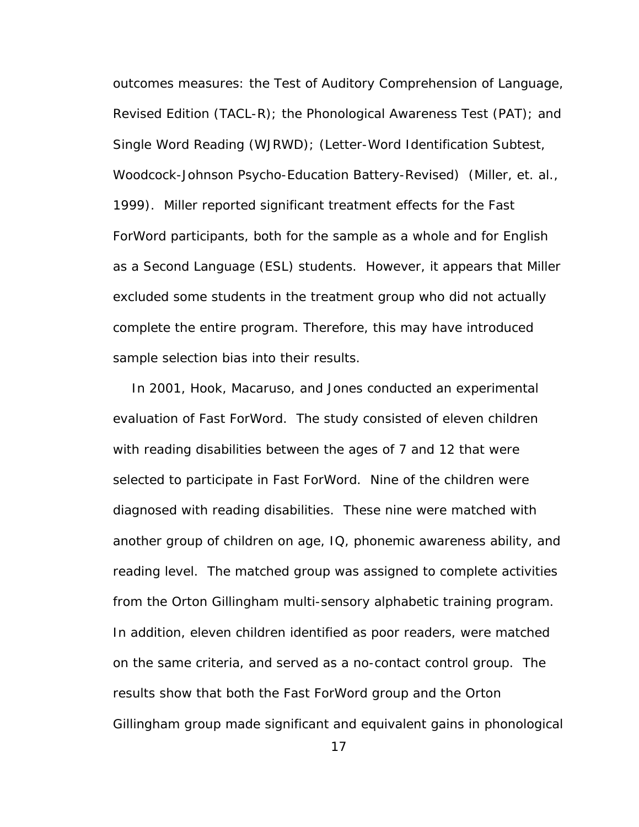outcomes measures: the Test of Auditory Comprehension of Language, Revised Edition (TACL-R); the Phonological Awareness Test (PAT); and Single Word Reading (WJRWD); (Letter-Word Identification Subtest, Woodcock-Johnson Psycho-Education Battery-Revised) (Miller, et. al., 1999). Miller reported significant treatment effects for the Fast ForWord participants, both for the sample as a whole and for English as a Second Language (ESL) students. However, it appears that Miller excluded some students in the treatment group who did not actually complete the entire program. Therefore, this may have introduced sample selection bias into their results.

In 2001, Hook, Macaruso, and Jones conducted an experimental evaluation of Fast ForWord. The study consisted of eleven children with reading disabilities between the ages of 7 and 12 that were selected to participate in Fast ForWord. Nine of the children were diagnosed with reading disabilities. These nine were matched with another group of children on age, IQ, phonemic awareness ability, and reading level. The matched group was assigned to complete activities from the Orton Gillingham multi-sensory alphabetic training program. In addition, eleven children identified as poor readers, were matched on the same criteria, and served as a no-contact control group. The results show that both the Fast ForWord group and the Orton Gillingham group made significant and equivalent gains in phonological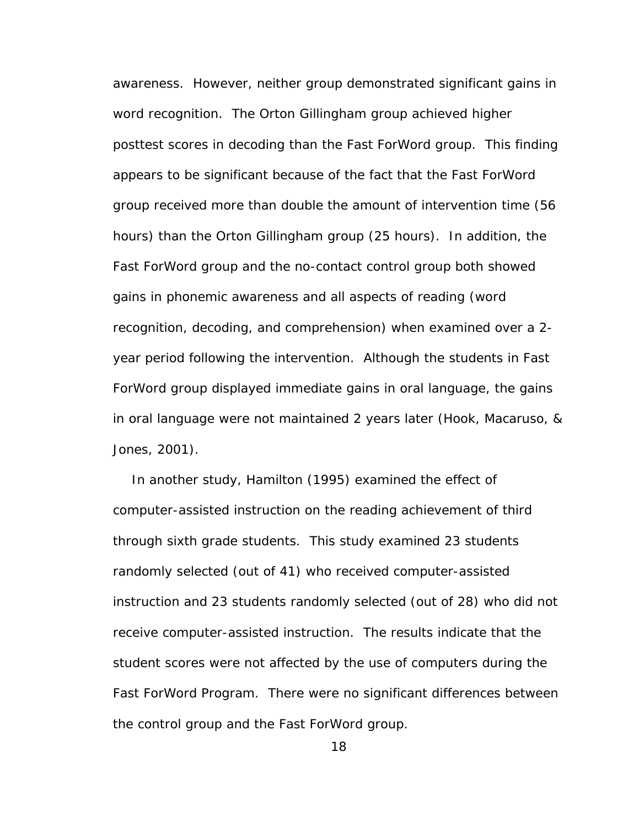awareness. However, neither group demonstrated significant gains in word recognition. The Orton Gillingham group achieved higher posttest scores in decoding than the Fast ForWord group. This finding appears to be significant because of the fact that the Fast ForWord group received more than double the amount of intervention time (56 hours) than the Orton Gillingham group (25 hours). In addition, the Fast ForWord group and the no-contact control group both showed gains in phonemic awareness and all aspects of reading (word recognition, decoding, and comprehension) when examined over a 2 year period following the intervention. Although the students in Fast ForWord group displayed immediate gains in oral language, the gains in oral language were not maintained 2 years later (Hook, Macaruso, & Jones, 2001).

In another study, Hamilton (1995) examined the effect of computer-assisted instruction on the reading achievement of third through sixth grade students. This study examined 23 students randomly selected (out of 41) who received computer-assisted instruction and 23 students randomly selected (out of 28) who did not receive computer-assisted instruction. The results indicate that the student scores were not affected by the use of computers during the Fast ForWord Program. There were no significant differences between the control group and the Fast ForWord group.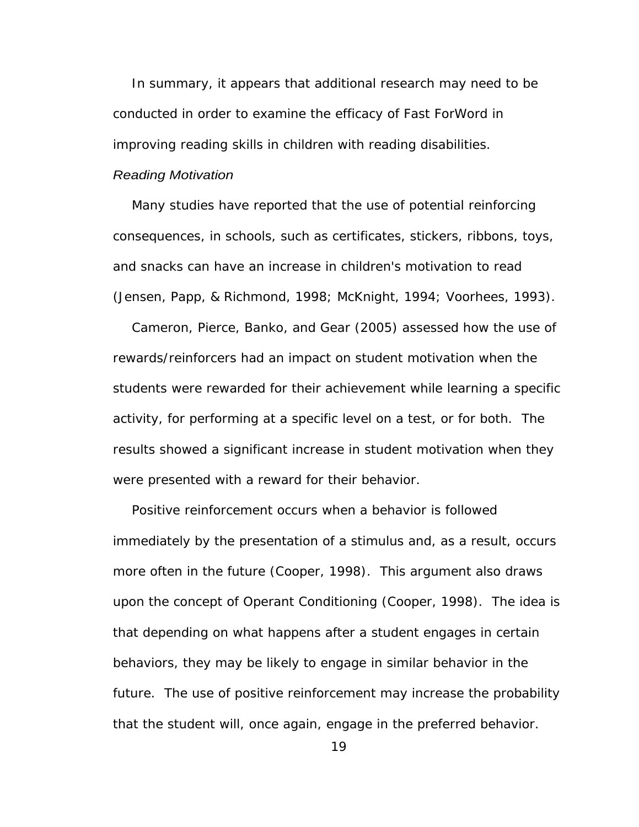In summary, it appears that additional research may need to be conducted in order to examine the efficacy of Fast ForWord in improving reading skills in children with reading disabilities.

## Reading Motivation

Many studies have reported that the use of potential reinforcing consequences, in schools, such as certificates, stickers, ribbons, toys, and snacks can have an increase in children's motivation to read (Jensen, Papp, & Richmond, 1998; McKnight, 1994; Voorhees, 1993).

Cameron, Pierce, Banko, and Gear (2005) assessed how the use of rewards/reinforcers had an impact on student motivation when the students were rewarded for their achievement while learning a specific activity, for performing at a specific level on a test, or for both. The results showed a significant increase in student motivation when they were presented with a reward for their behavior.

Positive reinforcement occurs when a behavior is followed immediately by the presentation of a stimulus and, as a result, occurs more often in the future (Cooper, 1998). This argument also draws upon the concept of Operant Conditioning (Cooper, 1998). The idea is that depending on what happens after a student engages in certain behaviors, they may be likely to engage in similar behavior in the future. The use of positive reinforcement may increase the probability that the student will, once again, engage in the preferred behavior.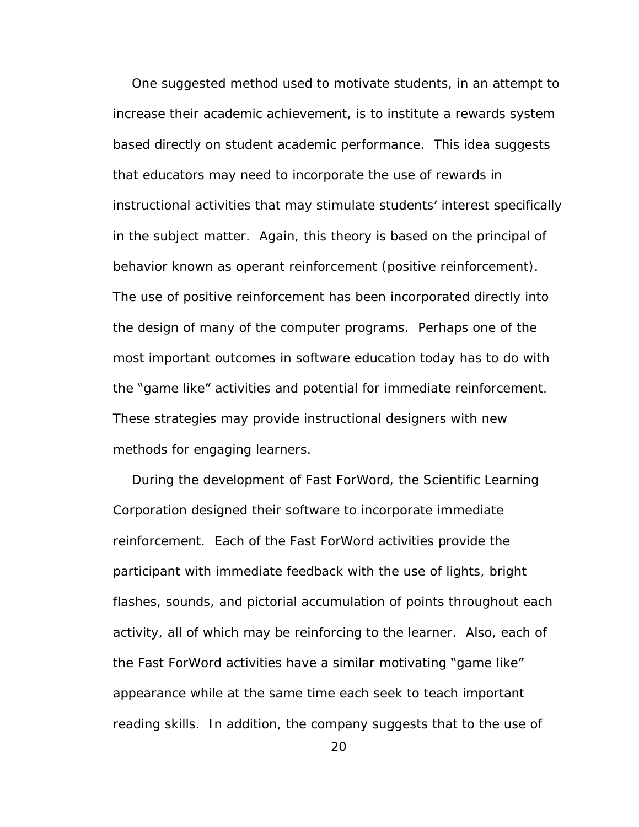One suggested method used to motivate students, in an attempt to increase their academic achievement, is to institute a rewards system based directly on student academic performance. This idea suggests that educators may need to incorporate the use of rewards in instructional activities that may stimulate students' interest specifically in the subject matter. Again, this theory is based on the principal of behavior known as operant reinforcement (positive reinforcement). The use of positive reinforcement has been incorporated directly into the design of many of the computer programs. Perhaps one of the most important outcomes in software education today has to do with the "game like" activities and potential for immediate reinforcement. These strategies may provide instructional designers with new methods for engaging learners.<br>During the development of Fast ForWord, the Scientific Learning

Corporation designed their software to incorporate immediate reinforcement. Each of the Fast ForWord activities provide the participant with immediate feedback with the use of lights, bright flashes, sounds, and pictorial accumulation of points throughout each activity, all of which may be reinforcing to the learner. Also, each of the Fast ForWord activities have a similar motivating "game like" appearance while at the same time each seek to teach important reading skills. In addition, the company suggests that to the use of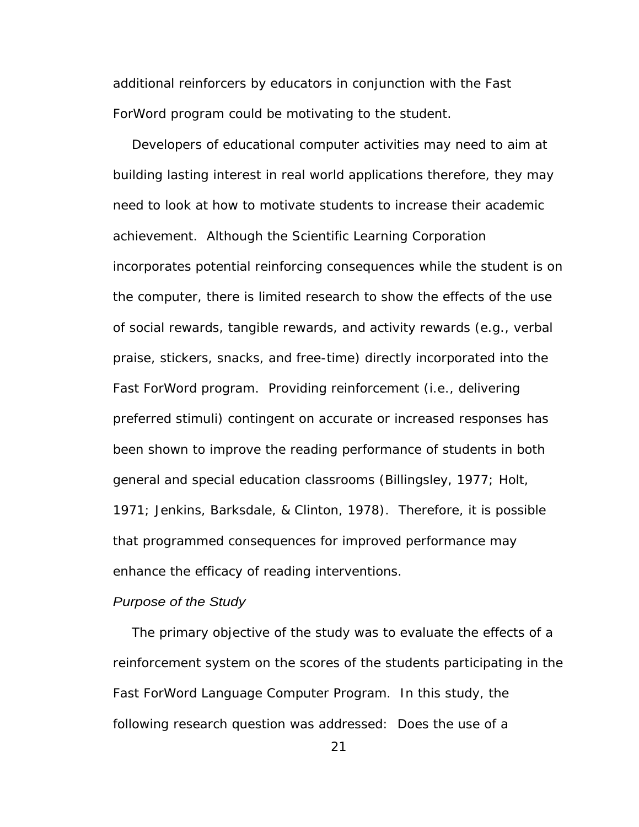additional reinforcers by educators in conjunction with the Fast ForWord program could be motivating to the student.

Developers of educational computer activities may need to aim at building lasting interest in real world applications therefore, they may need to look at how to motivate students to increase their academic achievement. Although the Scientific Learning Corporation incorporates potential reinforcing consequences while the student is on the computer, there is limited research to show the effects of the use of social rewards, tangible rewards, and activity rewards (e.g., verbal praise, stickers, snacks, and free-time) directly incorporated into the Fast ForWord program. Providing reinforcement (i.e., delivering preferred stimuli) contingent on accurate or increased responses has been shown to improve the reading performance of students in both general and special education classrooms (Billingsley, 1977; Holt, 1971; Jenkins, Barksdale, & Clinton, 1978). Therefore, it is possible that programmed consequences for improved performance may enhance the efficacy of reading interventions.

## Purpose of the Study and the study of the Study and the study of the Study and the study of the Study of the Study and the study of the Study of the Study of the Study of the Study of the Study of the Study of the Study of

The primary objective of the study was to evaluate the effects of a reinforcement system on the scores of the students participating in the Fast ForWord Language Computer Program. In this study, the following research question was addressed: Does the use of a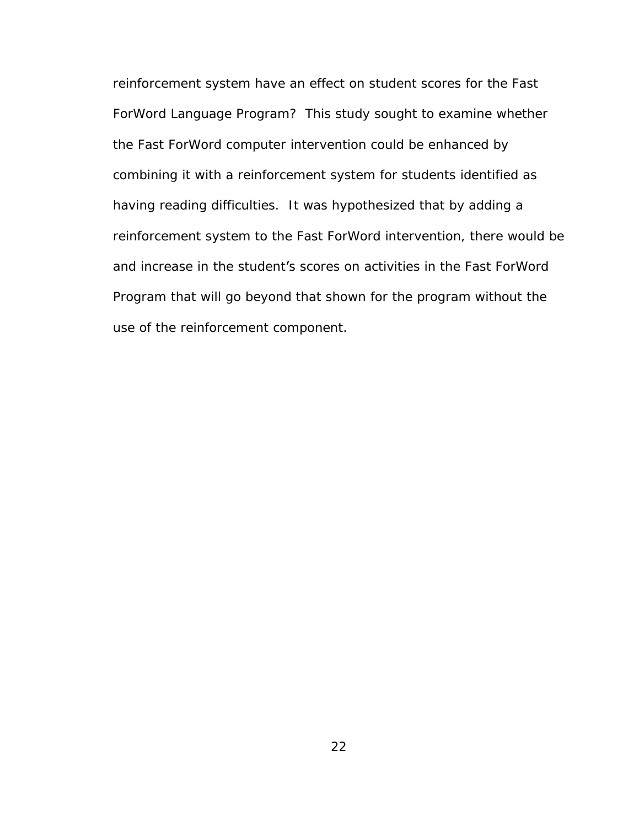reinforcement system have an effect on student scores for the Fast ForWord Language Program? This study sought to examine whether the Fast ForWord computer intervention could be enhanced by combining it with a reinforcement system for students identified as having reading difficulties. It was hypothesized that by adding a reinforcement system to the Fast ForWord intervention, there would be and increase in the student's scores on activities in the Fast ForWord Program that will go beyond that shown for the program without the use of the reinforcement component.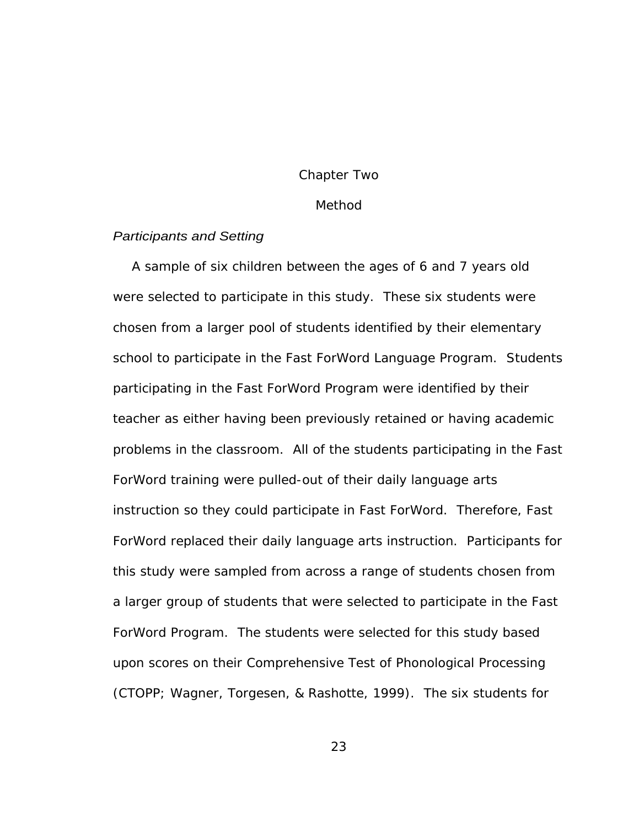#### Chapter Two

#### Method

## Participants and Setting

A sample of six children between the ages of 6 and 7 years old were selected to participate in this study. These six students were chosen from a larger pool of students identified by their elementary school to participate in the Fast ForWord Language Program. Students participating in the Fast ForWord Program were identified by their teacher as either having been previously retained or having academic problems in the classroom. All of the students participating in the Fast ForWord training were pulled-out of their daily language arts instruction so they could participate in Fast ForWord. Therefore, Fast ForWord replaced their daily language arts instruction. Participants for this study were sampled from across a range of students chosen from a larger group of students that were selected to participate in the Fast ForWord Program. The students were selected for this study based upon scores on their Comprehensive Test of Phonological Processing (CTOPP; Wagner, Torgesen, & Rashotte, 1999). The six students for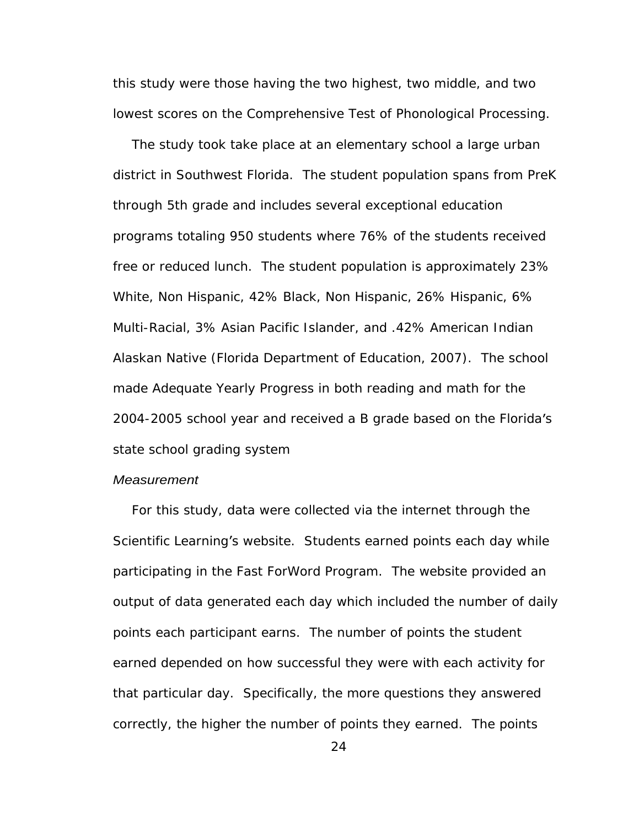this study were those having the two highest, two middle, and two lowest scores on the Comprehensive Test of Phonological Processing.

The study took take place at an elementary school a large urban district in Southwest Florida. The student population spans from PreK through 5th grade and includes several exceptional education programs totaling 950 students where 76% of the students received free or reduced lunch. The student population is approximately 23% White, Non Hispanic, 42% Black, Non Hispanic, 26% Hispanic, 6% Multi-Racial, 3% Asian Pacific Islander, and .42% American Indian Alaskan Native (Florida Department of Education, 2007). The school made Adequate Yearly Progress in both reading and math for the 2004-2005 school year and received a B grade based on the Florida's state school grading system

## **Measurement Measurement**

For this study, data were collected via the internet through the Scientific Learning's website. Students earned points each day while participating in the Fast ForWord Program. The website provided an output of data generated each day which included the number of daily points each participant earns. The number of points the student earned depended on how successful they were with each activity for that particular day. Specifically, the more questions they answered correctly, the higher the number of points they earned. The points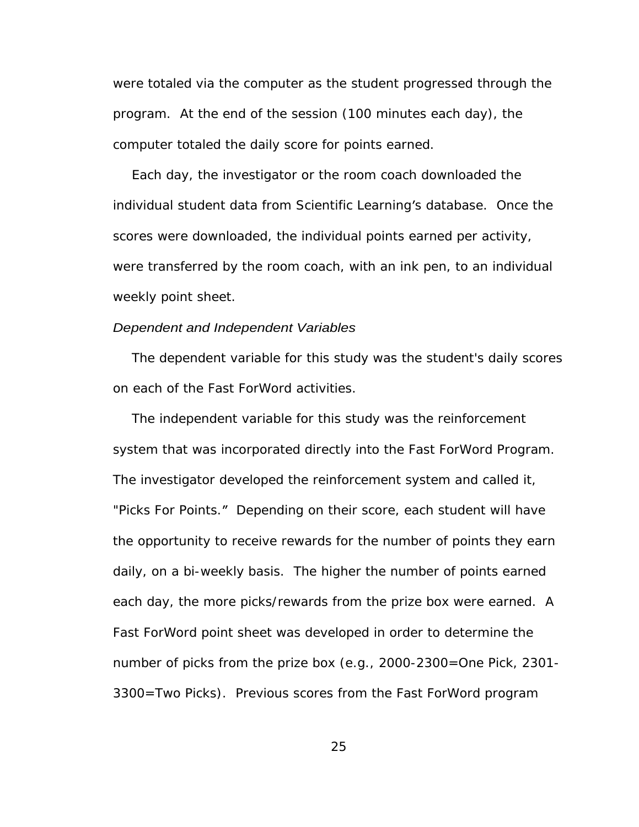were totaled via the computer as the student progressed through the program. At the end of the session (100 minutes each day), the computer totaled the daily score for points earned.

Each day, the investigator or the room coach downloaded the individual student data from Scientific Learning's database. Once the scores were downloaded, the individual points earned per activity, were transferred by the room coach, with an ink pen, to an individual weekly point sheet.

#### Dependent and Independent Variables

The dependent variable for this study was the student's daily scores on each of the Fast ForWord activities.

The independent variable for this study was the reinforcement system that was incorporated directly into the Fast ForWord Program. The investigator developed the reinforcement system and called it,<br>"Picks For Points." Depending on their score, each student will have the opportunity to receive rewards for the number of points they earn daily, on a bi-weekly basis. The higher the number of points earned each day, the more picks/rewards from the prize box were earned. A Fast ForWord point sheet was developed in order to determine the number of picks from the prize box (e.g., 2000-2300=One Pick, 2301- 3300=Two Picks). Previous scores from the Fast ForWord program

25 and 25 and 25 and 25 and 25 and 25 and 25 and 25 and 26 and 26 and 26 and 26 and 26 and 26 and 26 and 26 an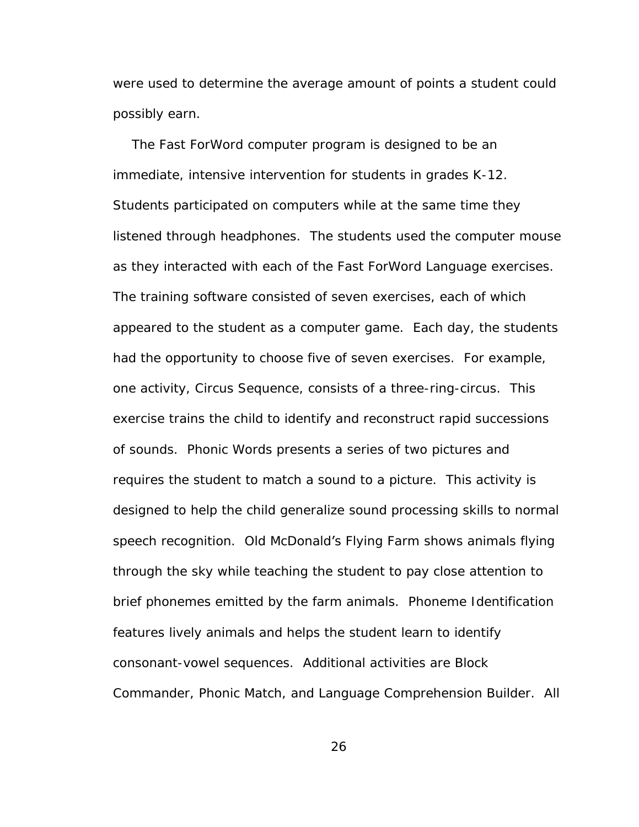were used to determine the average amount of points a student could possibly earn.

The Fast ForWord computer program is designed to be an immediate, intensive intervention for students in grades K-12. Students participated on computers while at the same time they listened through headphones. The students used the computer mouse as they interacted with each of the Fast ForWord Language exercises. The training software consisted of seven exercises, each of which appeared to the student as a computer game. Each day, the students had the opportunity to choose five of seven exercises. For example, one activity, Circus Sequence, consists of a three-ring-circus. This exercise trains the child to identify and reconstruct rapid successions of sounds. Phonic Words presents a series of two pictures and requires the student to match a sound to a picture. This activity is designed to help the child generalize sound processing skills to normal speech recognition. Old McDonald's Flying Farm shows animals flying through the sky while teaching the student to pay close attention to brief phonemes emitted by the farm animals. Phoneme Identification features lively animals and helps the student learn to identify consonant-vowel sequences. Additional activities are Block Commander, Phonic Match, and Language Comprehension Builder. All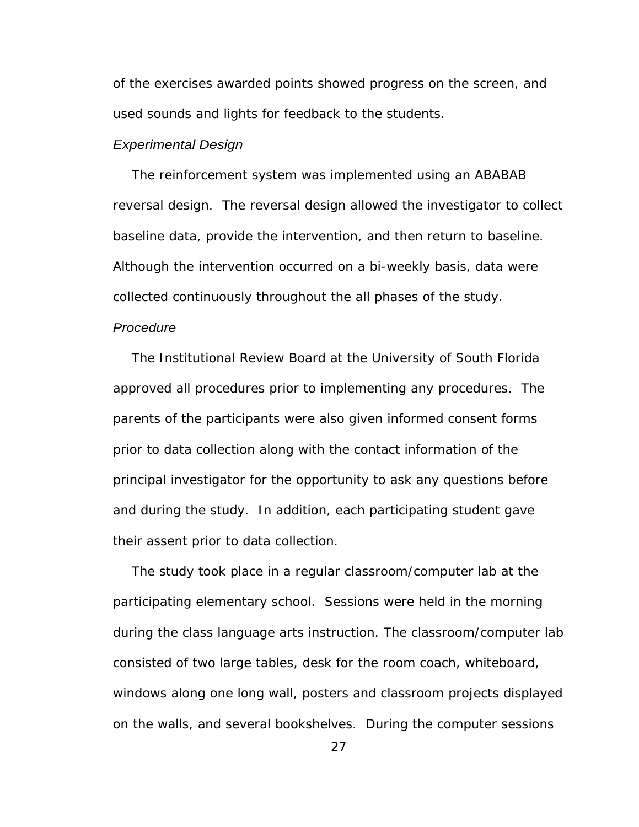of the exercises awarded points showed progress on the screen, and used sounds and lights for feedback to the students.

## Experimental Design

The reinforcement system was implemented using an ABABAB reversal design. The reversal design allowed the investigator to collect baseline data, provide the intervention, and then return to baseline. Although the intervention occurred on a bi-weekly basis, data were collected continuously throughout the all phases of the study.

### Procedure **Procedure Procedure Procedure**

The Institutional Review Board at the University of South Florida approved all procedures prior to implementing any procedures. The parents of the participants were also given informed consent forms prior to data collection along with the contact information of the principal investigator for the opportunity to ask any questions before and during the study. In addition, each participating student gave their assent prior to data collection.

The study took place in a regular classroom/computer lab at the participating elementary school. Sessions were held in the morning during the class language arts instruction. The classroom/computer lab consisted of two large tables, desk for the room coach, whiteboard, windows along one long wall, posters and classroom projects displayed on the walls, and several bookshelves. During the computer sessions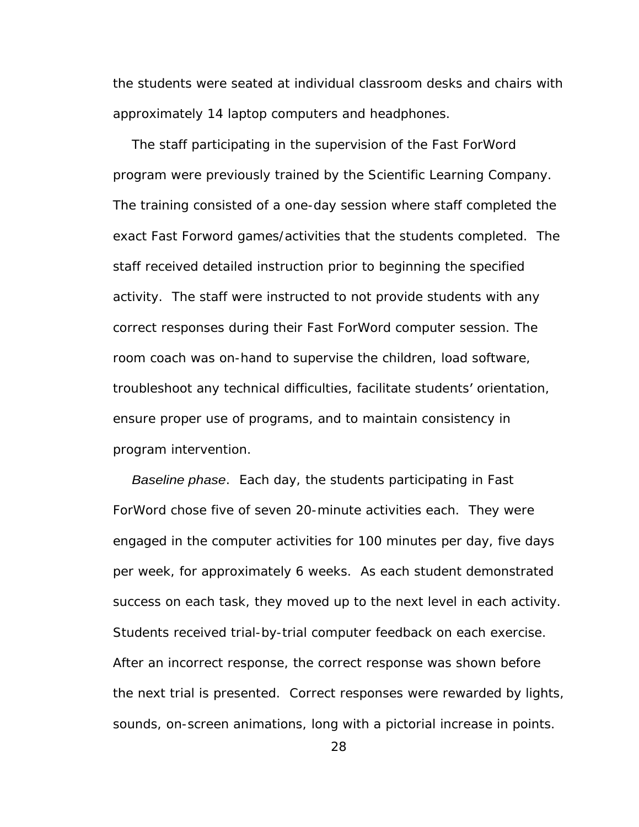the students were seated at individual classroom desks and chairs with approximately 14 laptop computers and headphones.

The staff participating in the supervision of the Fast ForWord program were previously trained by the Scientific Learning Company. The training consisted of a one-day session where staff completed the exact Fast Forword games/activities that the students completed. The staff received detailed instruction prior to beginning the specified activity. The staff were instructed to not provide students with any correct responses during their Fast ForWord computer session. The room coach was on-hand to supervise the children, load software, troubleshoot any technical difficulties, facilitate students' orientation, ensure proper use of programs, and to maintain consistency in program intervention.

Baseline phase. Each day, the students participating in Fast ForWord chose five of seven 20-minute activities each. They were engaged in the computer activities for 100 minutes per day, five days per week, for approximately 6 weeks. As each student demonstrated success on each task, they moved up to the next level in each activity. Students received trial-by-trial computer feedback on each exercise. After an incorrect response, the correct response was shown before the next trial is presented. Correct responses were rewarded by lights, sounds, on-screen animations, long with a pictorial increase in points.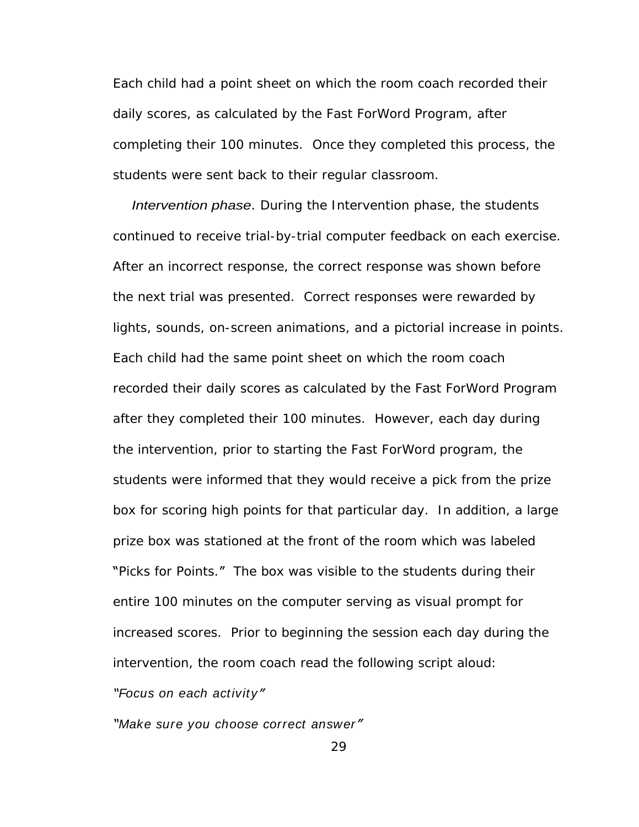Each child had a point sheet on which the room coach recorded their daily scores, as calculated by the Fast ForWord Program, after completing their 100 minutes. Once they completed this process, the students were sent back to their regular classroom.

Intervention phase. During the Intervention phase, the students continued to receive trial-by-trial computer feedback on each exercise. After an incorrect response, the correct response was shown before the next trial was presented. Correct responses were rewarded by lights, sounds, on-screen animations, and a pictorial increase in points. Each child had the same point sheet on which the room coach recorded their daily scores as calculated by the Fast ForWord Program after they completed their 100 minutes. However, each day during the intervention, prior to starting the Fast ForWord program, the students were informed that they would receive a pick from the prize box for scoring high points for that particular day. In addition, a large prize box was stationed at the front of the room which was labeled "Picks for Points." The box was visible to the students during their entire 100 minutes on the computer serving as visual prompt for increased scores. Prior to beginning the session each day during the intervention, the room coach read the following script aloud: Focus on each activity

"Make sure you choose correct answer"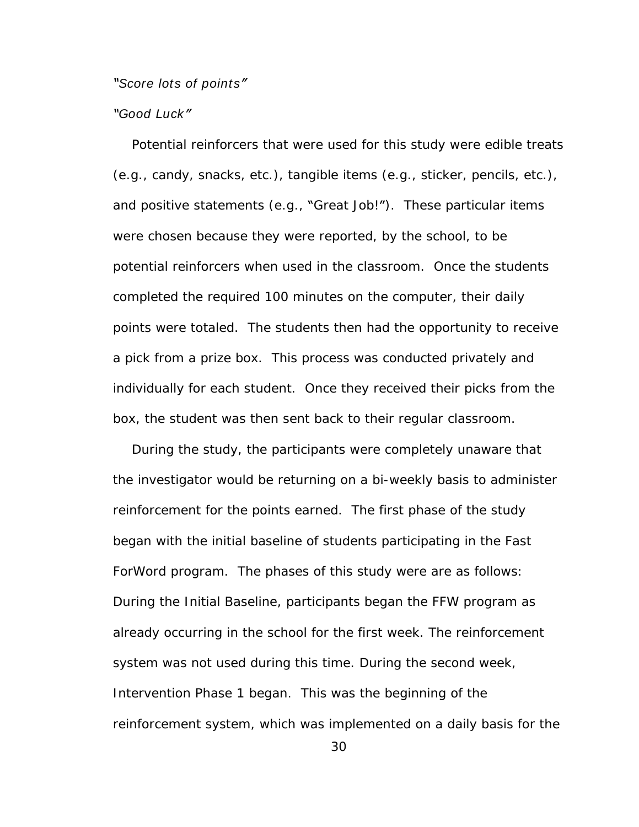Score lots of points" and the second second second second second second second second second second second second second second second second second second second second second second second second second second second sec

## Good Luck

Potential reinforcers that were used for this study were edible treats (e.g., candy, snacks, etc.), tangible items (e.g., sticker, pencils, etc.), and positive statements (e.g., "Great Job!"). These particular items were chosen because they were reported, by the school, to be potential reinforcers when used in the classroom. Once the students completed the required 100 minutes on the computer, their daily points were totaled. The students then had the opportunity to receive a pick from a prize box. This process was conducted privately and individually for each student. Once they received their picks from the box, the student was then sent back to their regular classroom.

During the study, the participants were completely unaware that the investigator would be returning on a bi-weekly basis to administer reinforcement for the points earned. The first phase of the study began with the initial baseline of students participating in the Fast ForWord program. The phases of this study were are as follows: During the Initial Baseline, participants began the FFW program as already occurring in the school for the first week. The reinforcement system was not used during this time. During the second week, Intervention Phase 1 began. This was the beginning of the reinforcement system, which was implemented on a daily basis for the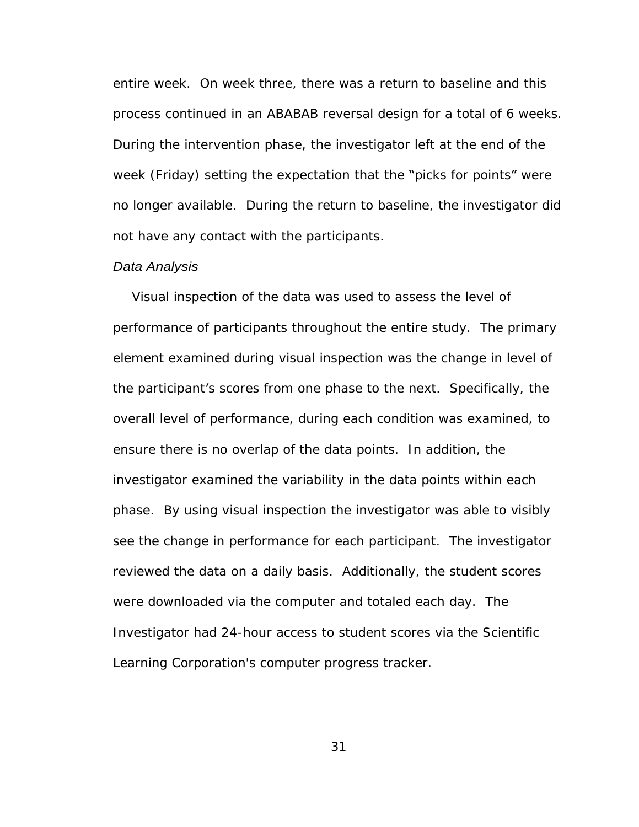entire week. On week three, there was a return to baseline and this process continued in an ABABAB reversal design for a total of 6 weeks. During the intervention phase, the investigator left at the end of the week (Friday) setting the expectation that the "picks for points" were no longer available. During the return to baseline, the investigator did not have any contact with the participants.

# Data Analysis

Visual inspection of the data was used to assess the level of performance of participants throughout the entire study. The primary element examined during visual inspection was the change in level of the participant's scores from one phase to the next. Specifically, the overall level of performance, during each condition was examined, to ensure there is no overlap of the data points. In addition, the investigator examined the variability in the data points within each phase. By using visual inspection the investigator was able to visibly see the change in performance for each participant. The investigator reviewed the data on a daily basis. Additionally, the student scores were downloaded via the computer and totaled each day. The Investigator had 24-hour access to student scores via the Scientific Learning Corporation's computer progress tracker.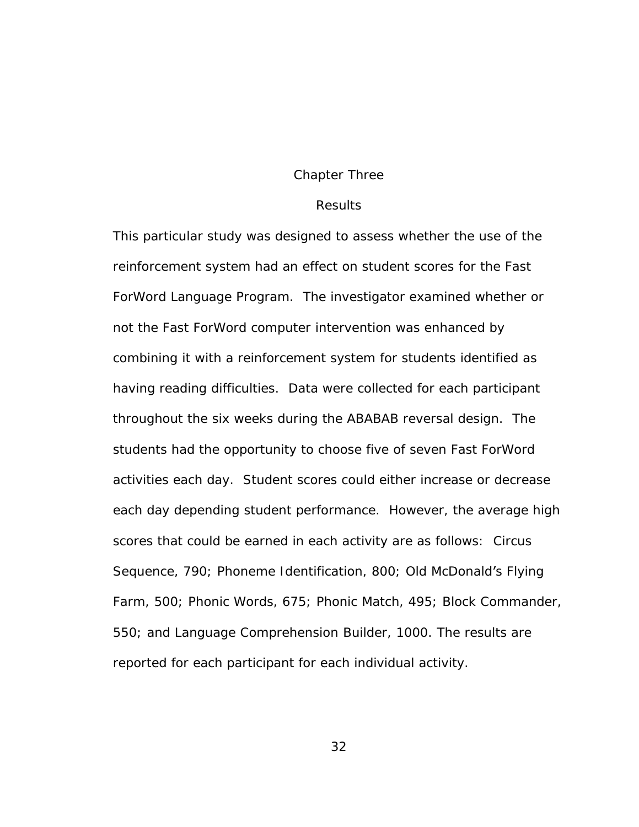## Chapter Three

## **Results Results**

This particular study was designed to assess whether the use of the reinforcement system had an effect on student scores for the Fast ForWord Language Program. The investigator examined whether or not the Fast ForWord computer intervention was enhanced by combining it with a reinforcement system for students identified as having reading difficulties. Data were collected for each participant throughout the six weeks during the ABABAB reversal design. The students had the opportunity to choose five of seven Fast ForWord activities each day. Student scores could either increase or decrease each day depending student performance. However, the average high scores that could be earned in each activity are as follows: Circus Sequence, 790; Phoneme Identification, 800; Old McDonald's Flying Farm, 500; Phonic Words, 675; Phonic Match, 495; Block Commander, 550; and Language Comprehension Builder, 1000. The results are reported for each participant for each individual activity.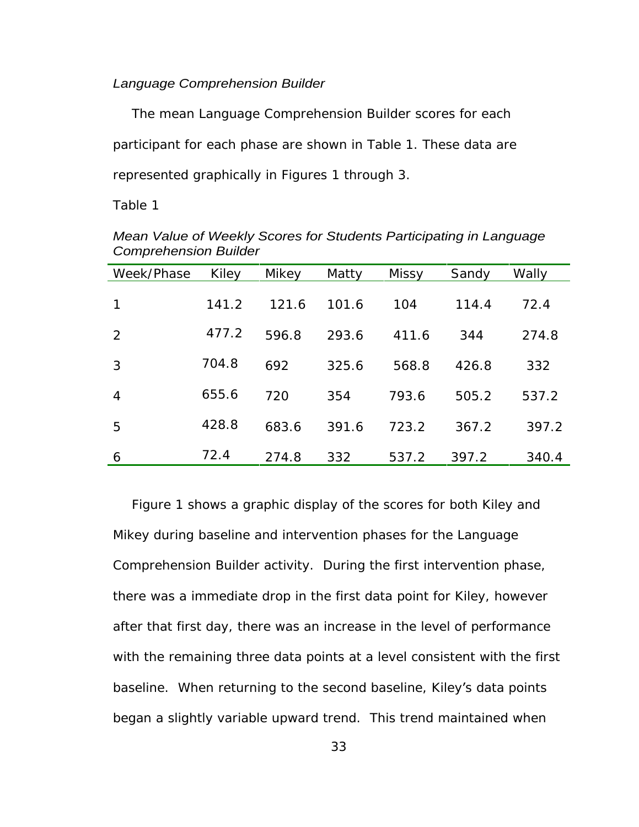## Language Comprehension Builder

The mean Language Comprehension Builder scores for each participant for each phase are shown in Table 1. These data are represented graphically in Figures 1 through 3.

Table 1

| Week/Phase Kiley |             | Mikey | Matty | Missy | Sandy | Wally |
|------------------|-------------|-------|-------|-------|-------|-------|
| $\overline{1}$   | 141.2       | 121.6 | 101.6 | 104   | 114.4 | 72.4  |
| $\overline{2}$   | 477.2 596.8 |       | 293.6 | 411.6 | 344   | 274.8 |
| 3 <sup>7</sup>   | 704.8       | 692   | 325.6 | 568.8 | 426.8 | 332   |
| $\overline{4}$   | 655.6       | 720   | 354   | 793.6 | 505.2 | 537.2 |
| 5 <sub>5</sub>   | 428.8       | 683.6 | 391.6 | 723.2 | 367.2 | 397.2 |
| 6                | 72.4        | 274.8 | 332   | 537.2 | 397.2 | 340.4 |

Mean Value of Weekly Scores for Students Participating in Language Comprehension Builder

Figure 1 shows a graphic display of the scores for both Kiley and Mikey during baseline and intervention phases for the Language Comprehension Builder activity. During the first intervention phase, there was a immediate drop in the first data point for Kiley, however after that first day, there was an increase in the level of performance with the remaining three data points at a level consistent with the first baseline. When returning to the second baseline, Kiley's data points began a slightly variable upward trend. This trend maintained when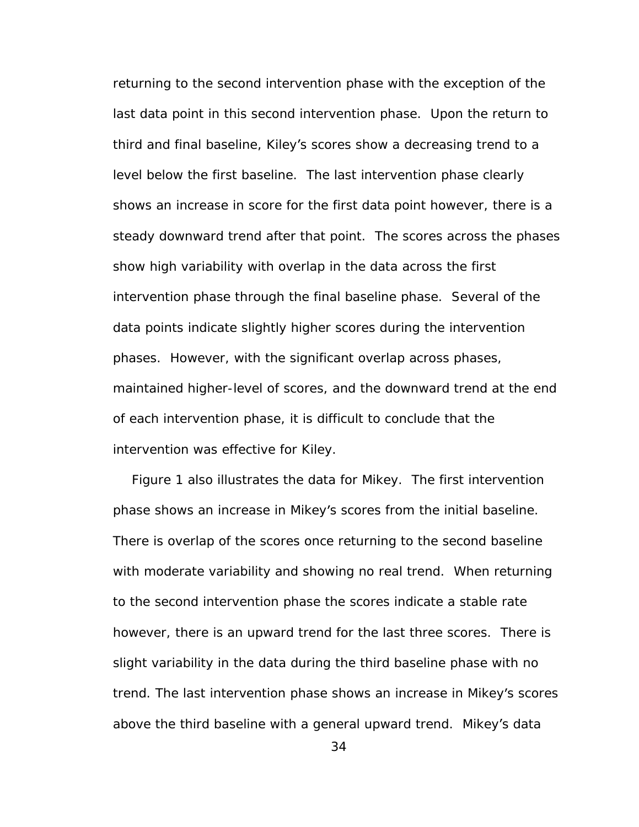returning to the second intervention phase with the exception of the last data point in this second intervention phase. Upon the return to third and final baseline, Kiley's scores show a decreasing trend to a level below the first baseline. The last intervention phase clearly shows an increase in score for the first data point however, there is a steady downward trend after that point. The scores across the phases show high variability with overlap in the data across the first intervention phase through the final baseline phase. Several of the data points indicate slightly higher scores during the intervention phases. However, with the significant overlap across phases, maintained higher-level of scores, and the downward trend at the end of each intervention phase, it is difficult to conclude that the intervention was effective for Kiley. Figure 1 also illustrates the data for Mikey. The first intervention

phase shows an increase in Mikey's scores from the initial baseline. There is overlap of the scores once returning to the second baseline with moderate variability and showing no real trend. When returning to the second intervention phase the scores indicate a stable rate however, there is an upward trend for the last three scores. There is slight variability in the data during the third baseline phase with no trend. The last intervention phase shows an increase in Mikey's scores above the third baseline with a general upward trend. Mikey's data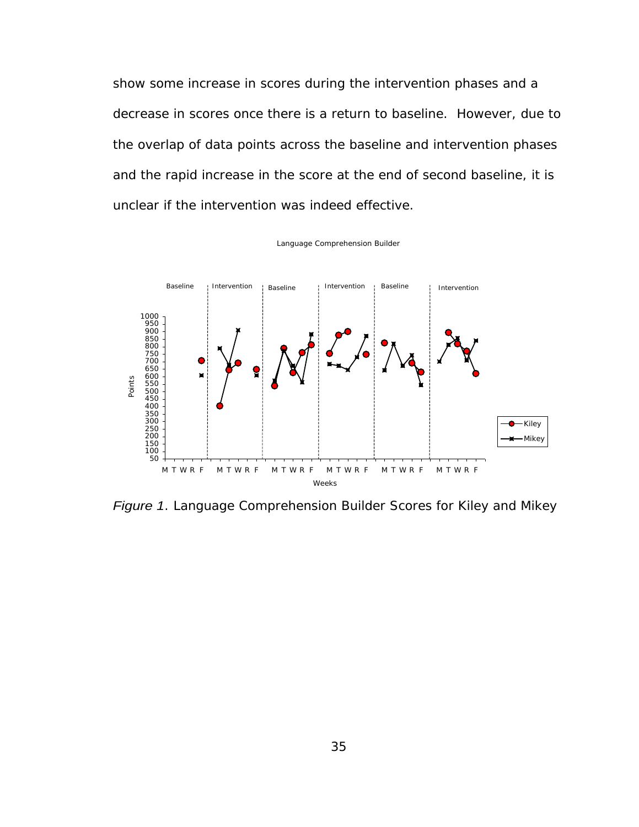show some increase in scores during the intervention phases and a decrease in scores once there is a return to baseline. However, due to the overlap of data points across the baseline and intervention phases and the rapid increase in the score at the end of second baseline, it is unclear if the intervention was indeed effective.

Language Comprehension Builder



Figure 1. Language Comprehension Builder Scores for Kiley and Mikey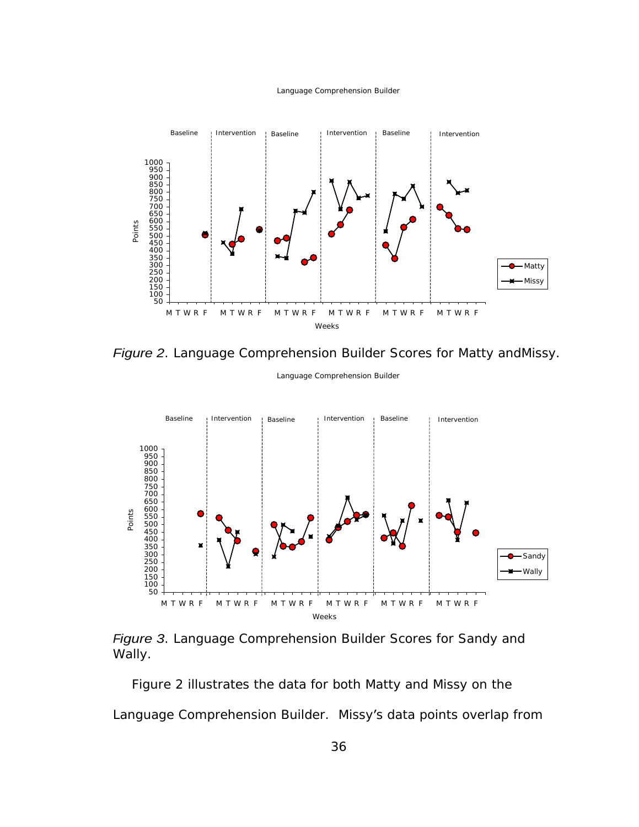### Language Comprehension Builder



Figure 2. Language Comprehension Builder Scores for Matty andMissy.

Language Comprehension Builder





Figure 2 illustrates the data for both Matty and Missy on the Language Comprehension Builder. Missy's data points overlap from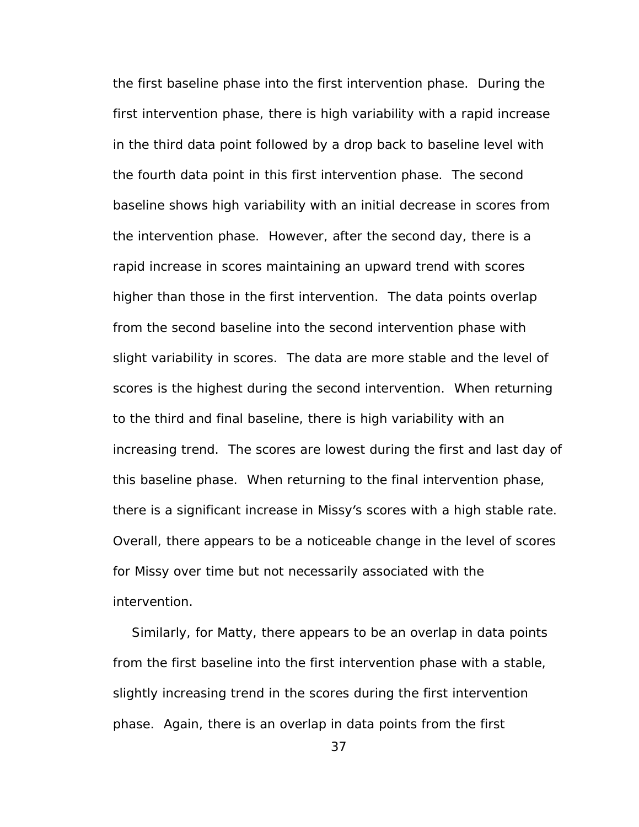the first baseline phase into the first intervention phase. During the first intervention phase, there is high variability with a rapid increase in the third data point followed by a drop back to baseline level with the fourth data point in this first intervention phase. The second baseline shows high variability with an initial decrease in scores from the intervention phase. However, after the second day, there is a rapid increase in scores maintaining an upward trend with scores higher than those in the first intervention. The data points overlap from the second baseline into the second intervention phase with slight variability in scores. The data are more stable and the level of scores is the highest during the second intervention. When returning to the third and final baseline, there is high variability with an increasing trend. The scores are lowest during the first and last day of this baseline phase. When returning to the final intervention phase, there is a significant increase in Missy's scores with a high stable rate. Overall, there appears to be a noticeable change in the level of scores for Missy over time but not necessarily associated with the intervention.

Similarly, for Matty, there appears to be an overlap in data points from the first baseline into the first intervention phase with a stable, slightly increasing trend in the scores during the first intervention phase. Again, there is an overlap in data points from the first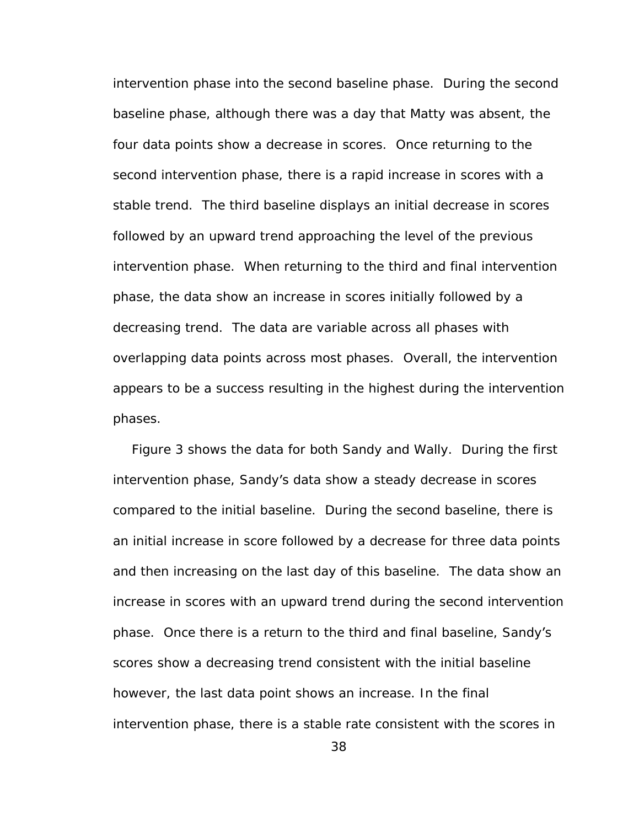intervention phase into the second baseline phase. During the second baseline phase, although there was a day that Matty was absent, the four data points show a decrease in scores. Once returning to the second intervention phase, there is a rapid increase in scores with a stable trend. The third baseline displays an initial decrease in scores followed by an upward trend approaching the level of the previous intervention phase. When returning to the third and final intervention phase, the data show an increase in scores initially followed by a decreasing trend. The data are variable across all phases with overlapping data points across most phases. Overall, the intervention appears to be a success resulting in the highest during the intervention phases. The contract of the contract of the contract of the contract of the contract of the contract of the contract of the contract of the contract of the contract of the contract of the contract of the contract of the co

Figure 3 shows the data for both Sandy and Wally. During the first intervention phase, Sandy's data show a steady decrease in scores compared to the initial baseline. During the second baseline, there is an initial increase in score followed by a decrease for three data points and then increasing on the last day of this baseline. The data show an increase in scores with an upward trend during the second intervention phase. Once there is a return to the third and final baseline, Sandy's scores show a decreasing trend consistent with the initial baseline however, the last data point shows an increase. In the final intervention phase, there is a stable rate consistent with the scores in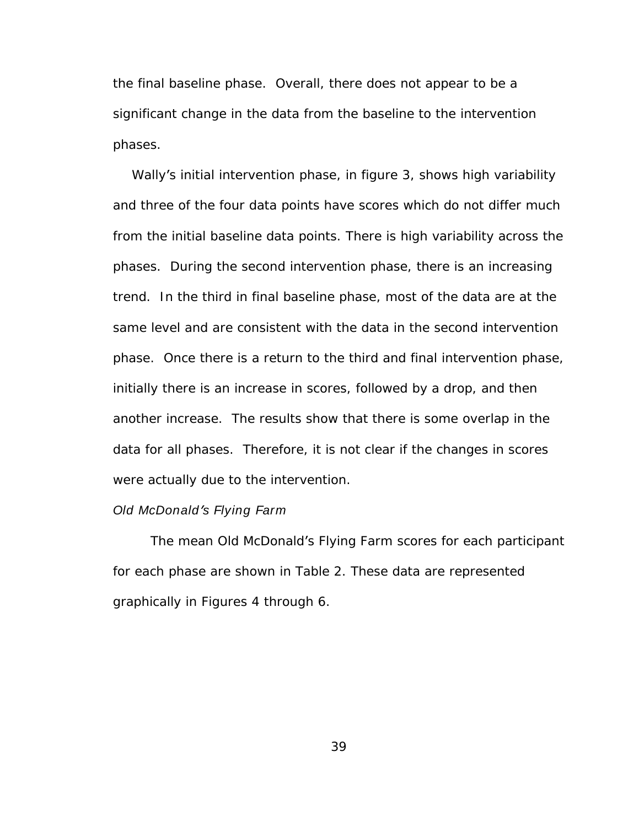the final baseline phase. Overall, there does not appear to be a significant change in the data from the baseline to the intervention phases. The contract of the contract of the contract of the contract of the contract of the contract of the contract of the contract of the contract of the contract of the contract of the contract of the contract of the co

Wally's initial intervention phase, in figure 3, shows high variability and three of the four data points have scores which do not differ much from the initial baseline data points. There is high variability across the phases. During the second intervention phase, there is an increasing trend. In the third in final baseline phase, most of the data are at the same level and are consistent with the data in the second intervention phase. Once there is a return to the third and final intervention phase, initially there is an increase in scores, followed by a drop, and then another increase. The results show that there is some overlap in the data for all phases. Therefore, it is not clear if the changes in scores were actually due to the intervention.

## Old McDonald's Flying Farm **State State State State State State State State State State State State State State State State State State State State State State State State State State State State State State State State St**

The mean Old McDonald's Flying Farm scores for each participant for each phase are shown in Table 2. These data are represented graphically in Figures 4 through 6.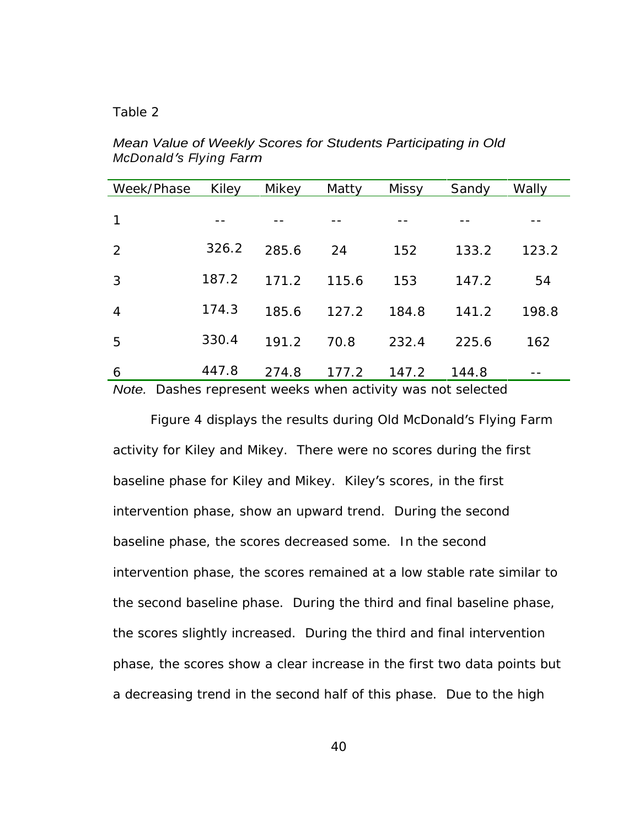## Table 2 and 2 and 2 and 2 and 2 and 2 and 2 and 2 and 2 and 2 and 2 and 2 and 2 and 2 and 2 and 2 and 2 and 2 and 2 and 2 and 2 and 2 and 2 and 2 and 2 and 2 and 2 and 2 and 2 and 2 and 2 and 2 and 2 and 2 and 2 and 2 and

Mean Value of Weekly Scores for Students Participating in Old McDonald's Flying Farm **contracts of the set of the set of the set of the set of the set of the set of the set o** 

| Week/Phase Kiley |             | Mikey | Matty | Missy | Sandy | Wally                |
|------------------|-------------|-------|-------|-------|-------|----------------------|
|                  |             |       |       |       |       |                      |
| $\overline{1}$   | $- -$       | $- -$ | $- -$ | $- -$ | $- -$ | $- - -$              |
| $2 \overline{ }$ | 326.2 285.6 |       | 24    | 152   | 133.2 | 123.2                |
|                  |             |       |       |       |       |                      |
| $3^{\circ}$      | 187.2       | 171.2 | 115.6 | 153   | 147.2 | 54                   |
| $\overline{4}$   | 174.3       | 185.6 | 127.2 | 184.8 | 141.2 | 198.8                |
| 5 <sub>1</sub>   | 330.4       | 191.2 | 70.8  | 232.4 | 225.6 | 162                  |
| $6\overline{6}$  | 447.8       | 274.8 | 177.2 | 147.2 | 144.8 | and the state of the |

Note. Dashes represent weeks when activity was not selected

Figure 4 displays the results during Old McDonald's Flying Farm activity for Kiley and Mikey. There were no scores during the first baseline phase for Kiley and Mikey. Kiley's scores, in the first intervention phase, show an upward trend. During the second baseline phase, the scores decreased some. In the second intervention phase, the scores remained at a low stable rate similar to the second baseline phase. During the third and final baseline phase, the scores slightly increased. During the third and final intervention phase, the scores show a clear increase in the first two data points but a decreasing trend in the second half of this phase. Due to the high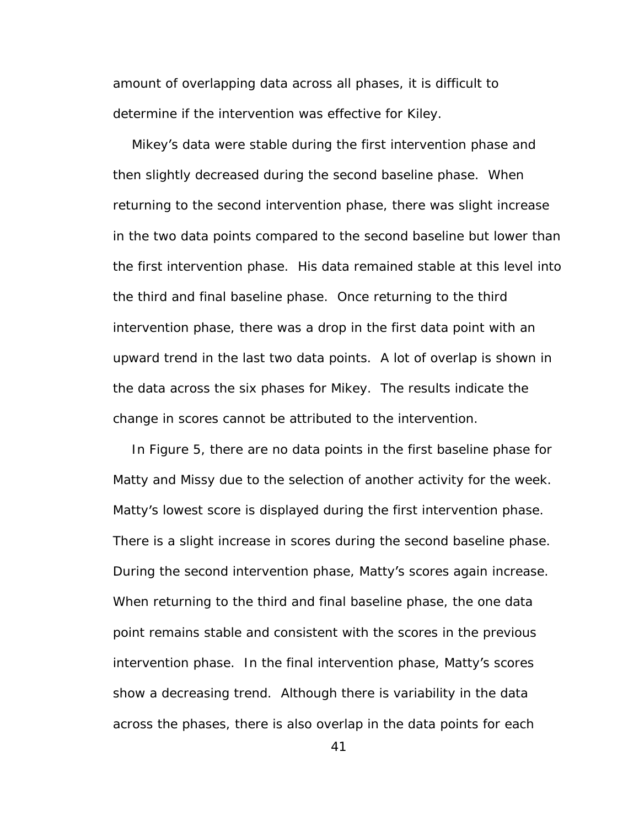amount of overlapping data across all phases, it is difficult to determine if the intervention was effective for Kiley.

Mikey's data were stable during the first intervention phase and then slightly decreased during the second baseline phase. When returning to the second intervention phase, there was slight increase in the two data points compared to the second baseline but lower than the first intervention phase. His data remained stable at this level into the third and final baseline phase. Once returning to the third intervention phase, there was a drop in the first data point with an upward trend in the last two data points. A lot of overlap is shown in the data across the six phases for Mikey. The results indicate the change in scores cannot be attributed to the intervention.

In Figure 5, there are no data points in the first baseline phase for Matty and Missy due to the selection of another activity for the week. Matty's lowest score is displayed during the first intervention phase. There is a slight increase in scores during the second baseline phase. During the second intervention phase, Matty's scores again increase. When returning to the third and final baseline phase, the one data point remains stable and consistent with the scores in the previous intervention phase. In the final intervention phase, Matty's scores show a decreasing trend. Although there is variability in the data across the phases, there is also overlap in the data points for each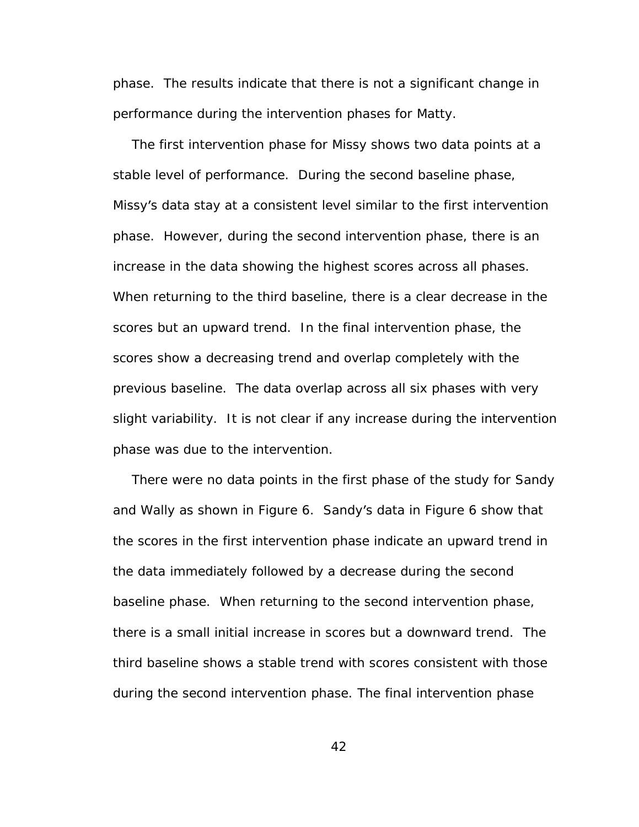phase. The results indicate that there is not a significant change in performance during the intervention phases for Matty.

The first intervention phase for Missy shows two data points at a stable level of performance. During the second baseline phase, Missy's data stay at a consistent level similar to the first intervention phase. However, during the second intervention phase, there is an increase in the data showing the highest scores across all phases. When returning to the third baseline, there is a clear decrease in the scores but an upward trend. In the final intervention phase, the scores show a decreasing trend and overlap completely with the previous baseline. The data overlap across all six phases with very slight variability. It is not clear if any increase during the intervention phase was due to the intervention.

There were no data points in the first phase of the study for Sandy and Wally as shown in Figure 6. Sandy's data in Figure 6 show that the scores in the first intervention phase indicate an upward trend in the data immediately followed by a decrease during the second baseline phase. When returning to the second intervention phase, there is a small initial increase in scores but a downward trend. The third baseline shows a stable trend with scores consistent with those during the second intervention phase. The final intervention phase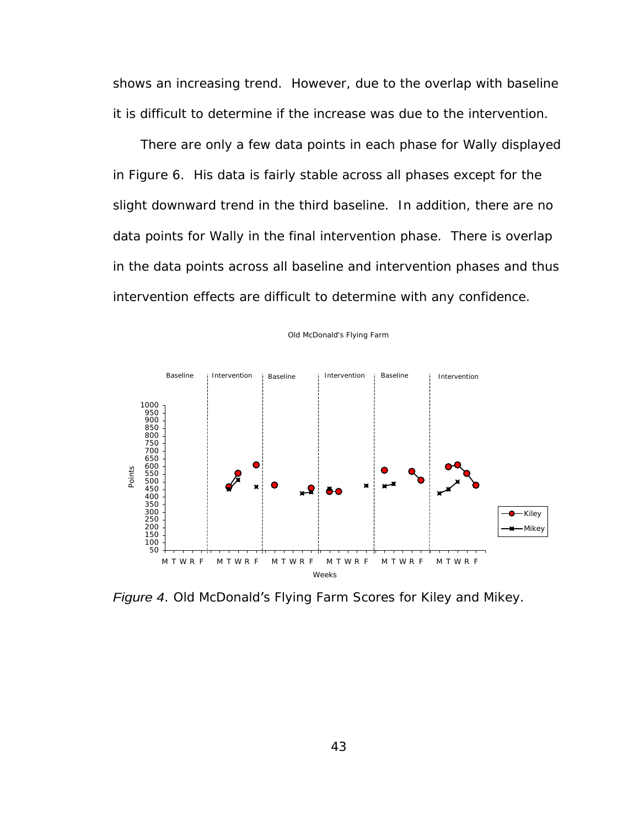shows an increasing trend. However, due to the overlap with baseline it is difficult to determine if the increase was due to the intervention.

 There are only a few data points in each phase for Wally displayed in Figure 6. His data is fairly stable across all phases except for the slight downward trend in the third baseline. In addition, there are no data points for Wally in the final intervention phase. There is overlap in the data points across all baseline and intervention phases and thus intervention effects are difficult to determine with any confidence.



Old McDonald's Flying Farm

Figure 4. Old McDonald's Flying Farm Scores for Kiley and Mikey.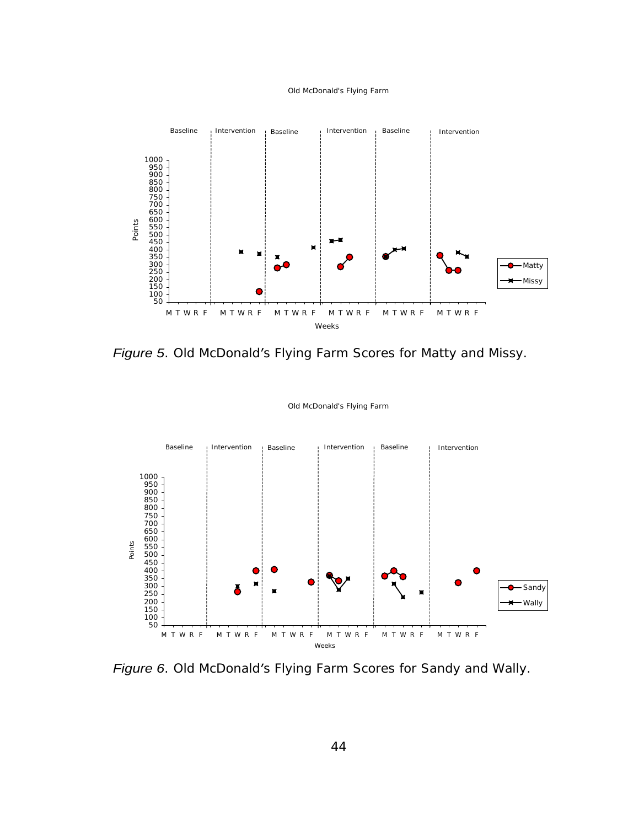#### Old McDonald's Flying Farm



Figure 5. Old McDonald's Flying Farm Scores for Matty and Missy.



Old McDonald's Flying Farm

Figure 6. Old McDonald's Flying Farm Scores for Sandy and Wally.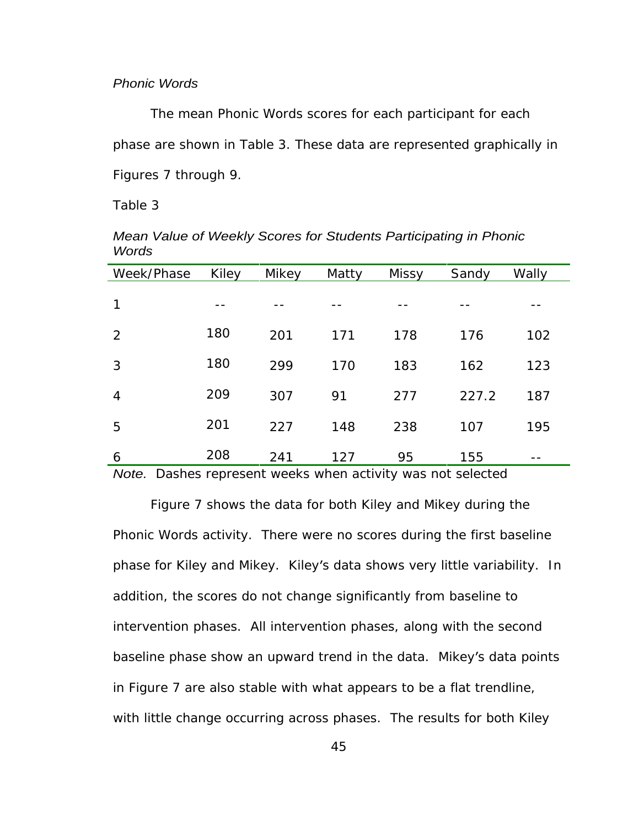## Phonic Words

The mean Phonic Words scores for each participant for each phase are shown in Table 3. These data are represented graphically in Figures 7 through 9.

## Table 3 and 2012 and 2012 and 2012 and 2012 and 2012 and 2012 and 2012 and 2012 and 2012 and 2012 and 2012 and

| Week/Phase Kiley |       | Mikey | Matty | Missy | Sandy | Wally                           |
|------------------|-------|-------|-------|-------|-------|---------------------------------|
| 1                | $- -$ | $- -$ | $- -$ | $- -$ | $- -$ | $- -$                           |
| $2^{\circ}$      | 180   | 201   | 171   | 178   | 176   | 102                             |
| $\mathbf{3}$     | 180   | 299   | 170   | 183   | 162   | 123                             |
| $\overline{4}$   | 209   | 307   | 91    | 277   | 227.2 | 187                             |
| 5 <sup>5</sup>   | 201   | 227   | 148   | 238   | 107   | 195                             |
| 6                | 208   | 241   | 127   | 95    | 155   | <b>Service Contract Service</b> |

Mean Value of Weekly Scores for Students Participating in Phonic Words **Executive Service Contract Contract Contract Contract Contract Contract Contract Contract Contract Contract Contract Contract Contract Contract Contract Contract Contract Contract Contract Contract Contract Contract** 

Note. Dashes represent weeks when activity was not selected

Figure 7 shows the data for both Kiley and Mikey during the Phonic Words activity. There were no scores during the first baseline phase for Kiley and Mikey. Kiley's data shows very little variability. In addition, the scores do not change significantly from baseline to intervention phases. All intervention phases, along with the second baseline phase show an upward trend in the data. Mikey's data points in Figure 7 are also stable with what appears to be a flat trendline, with little change occurring across phases. The results for both Kiley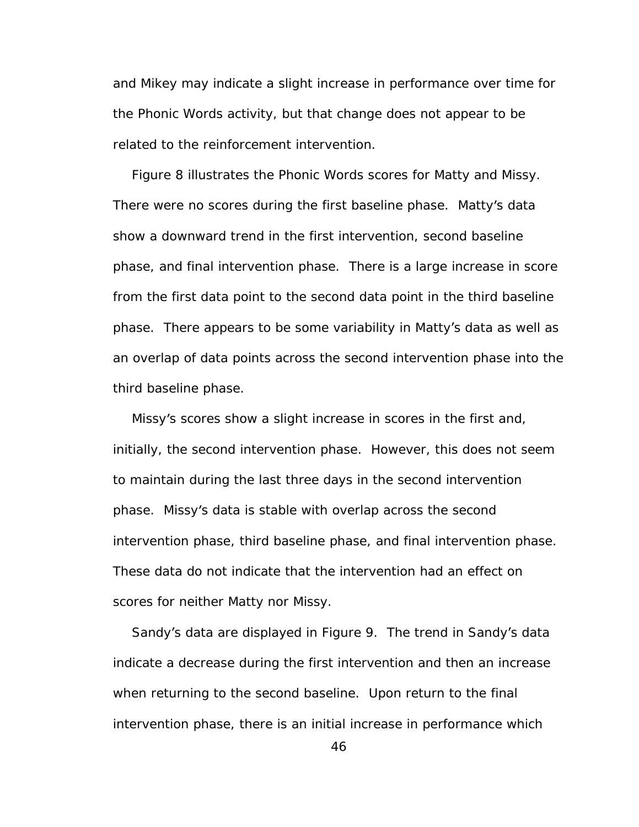and Mikey may indicate a slight increase in performance over time for the Phonic Words activity, but that change does not appear to be related to the reinforcement intervention.

Figure 8 illustrates the Phonic Words scores for Matty and Missy. There were no scores during the first baseline phase. Matty's data show a downward trend in the first intervention, second baseline phase, and final intervention phase. There is a large increase in score from the first data point to the second data point in the third baseline phase. There appears to be some variability in Matty's data as well as an overlap of data points across the second intervention phase into the third baseline phase.

Missy's scores show a slight increase in scores in the first and, initially, the second intervention phase. However, this does not seem to maintain during the last three days in the second intervention phase. Missy's data is stable with overlap across the second intervention phase, third baseline phase, and final intervention phase. These data do not indicate that the intervention had an effect on scores for neither Matty nor Missy.

Sandy's data are displayed in Figure 9. The trend in Sandy's data indicate a decrease during the first intervention and then an increase when returning to the second baseline. Upon return to the final intervention phase, there is an initial increase in performance which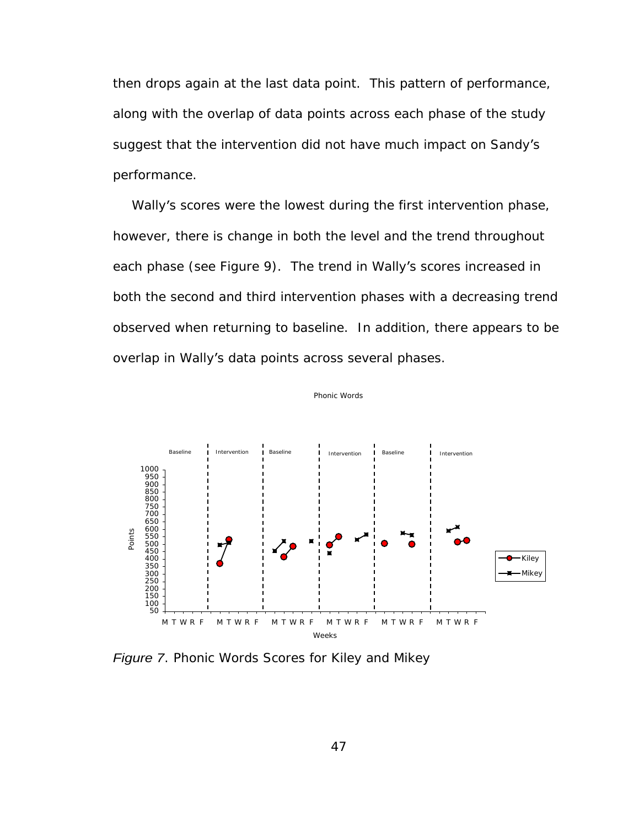then drops again at the last data point. This pattern of performance, along with the overlap of data points across each phase of the study suggest that the intervention did not have much impact on Sandy's performance.

Wally's scores were the lowest during the first intervention phase, however, there is change in both the level and the trend throughout each phase (see Figure 9). The trend in Wally's scores increased in both the second and third intervention phases with a decreasing trend observed when returning to baseline. In addition, there appears to be overlap in Wally's data points across several phases.



Phonic Words

Figure 7. Phonic Words Scores for Kiley and Mikey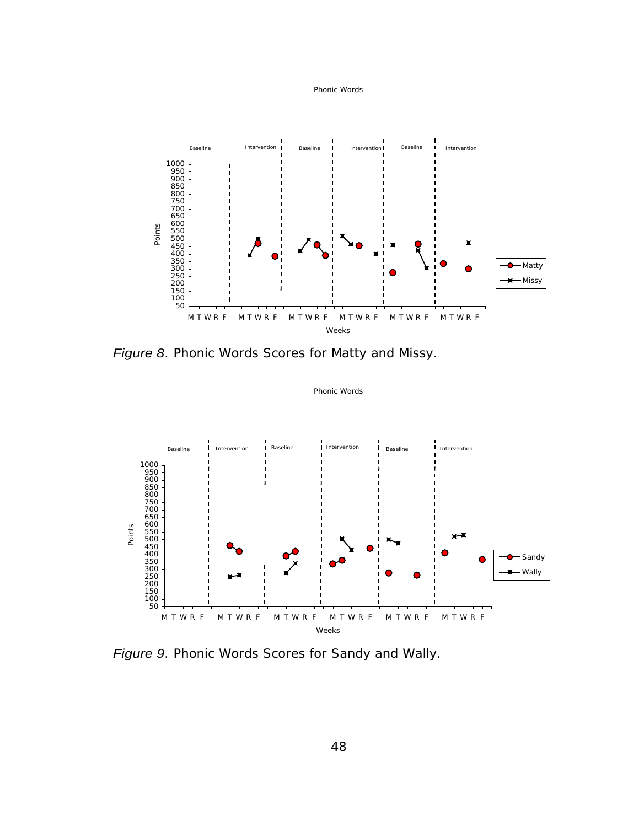



Phonic Words

Figure 8. Phonic Words Scores for Matty and Missy.



Figure 9. Phonic Words Scores for Sandy and Wally.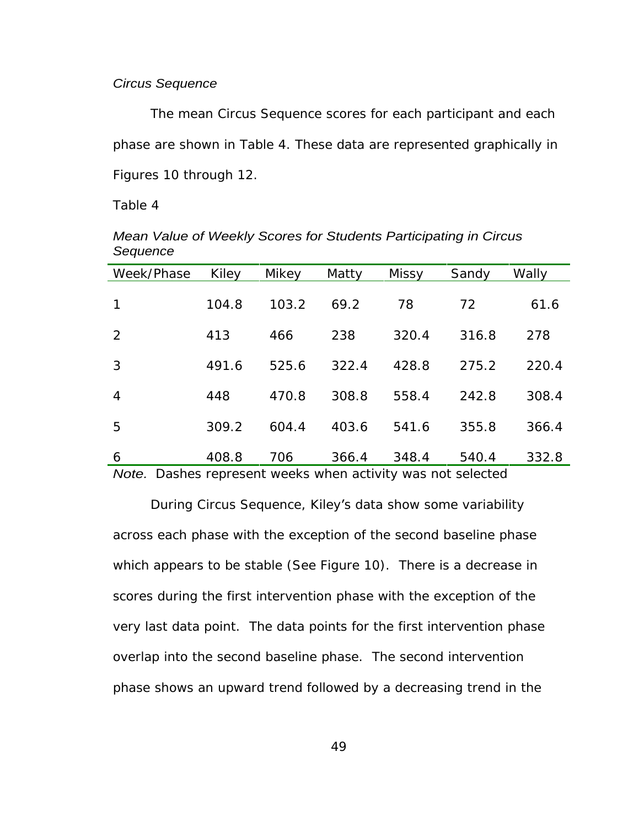## Circus Sequence

The mean Circus Sequence scores for each participant and each phase are shown in Table 4. These data are represented graphically in Figures 10 through 12.

Table 4

| Week/Phase Kiley |       | Mikey | Matty | Missy | Sandy Wally |       |
|------------------|-------|-------|-------|-------|-------------|-------|
| $1 \quad$        | 104.8 | 103.2 | 69.2  | 78    | 72          | 61.6  |
| $\overline{2}$   | 413   | 466   | 238   | 320.4 | 316.8       | 278   |
| 3 <sup>7</sup>   | 491.6 | 525.6 | 322.4 | 428.8 | 275.2       | 220.4 |
| $\overline{4}$   | 448   | 470.8 | 308.8 | 558.4 | 242.8       | 308.4 |
| $5 -$            | 309.2 | 604.4 | 403.6 | 541.6 | 355.8       | 366.4 |
| $6\overline{6}$  | 408.8 | 706   | 366.4 | 348.4 | 540.4       | 332.8 |

Mean Value of Weekly Scores for Students Participating in Circus Sequence **Sequence** and the sequence of the sequence of the sequence of the sequence of the sequence of the sequence of the sequence of the sequence of the sequence of the sequence of the sequence of the sequence of the se

Note. Dashes represent weeks when activity was not selected

During Circus Sequence, Kiley's data show some variability across each phase with the exception of the second baseline phase which appears to be stable (See Figure 10). There is a decrease in scores during the first intervention phase with the exception of the very last data point. The data points for the first intervention phase overlap into the second baseline phase. The second intervention phase shows an upward trend followed by a decreasing trend in the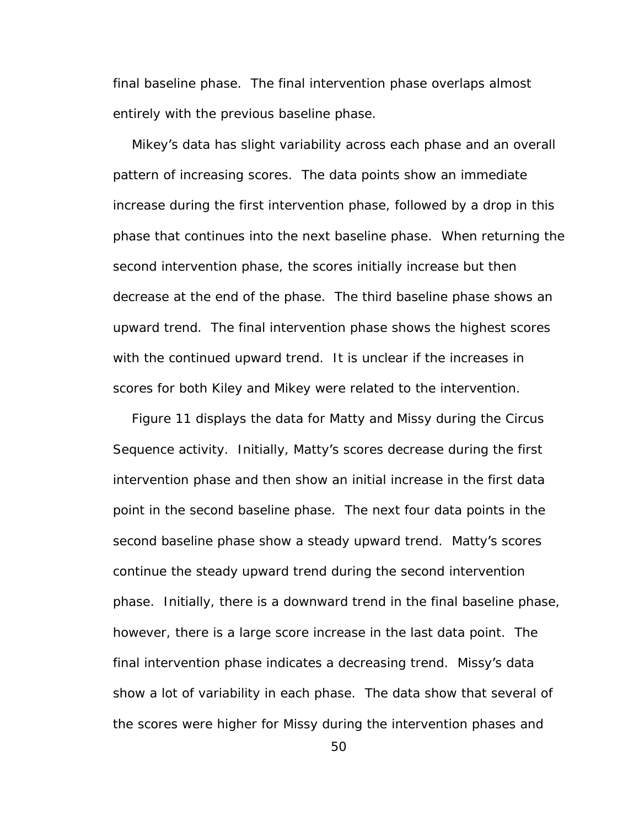final baseline phase. The final intervention phase overlaps almost entirely with the previous baseline phase.

Mikey's data has slight variability across each phase and an overall pattern of increasing scores. The data points show an immediate increase during the first intervention phase, followed by a drop in this phase that continues into the next baseline phase. When returning the second intervention phase, the scores initially increase but then decrease at the end of the phase. The third baseline phase shows an upward trend. The final intervention phase shows the highest scores with the continued upward trend. It is unclear if the increases in scores for both Kiley and Mikey were related to the intervention.

Figure 11 displays the data for Matty and Missy during the Circus Sequence activity. Initially, Matty's scores decrease during the first intervention phase and then show an initial increase in the first data point in the second baseline phase. The next four data points in the second baseline phase show a steady upward trend. Matty's scores continue the steady upward trend during the second intervention phase. Initially, there is a downward trend in the final baseline phase, however, there is a large score increase in the last data point. The final intervention phase indicates a decreasing trend. Missy's data show a lot of variability in each phase. The data show that several of the scores were higher for Missy during the intervention phases and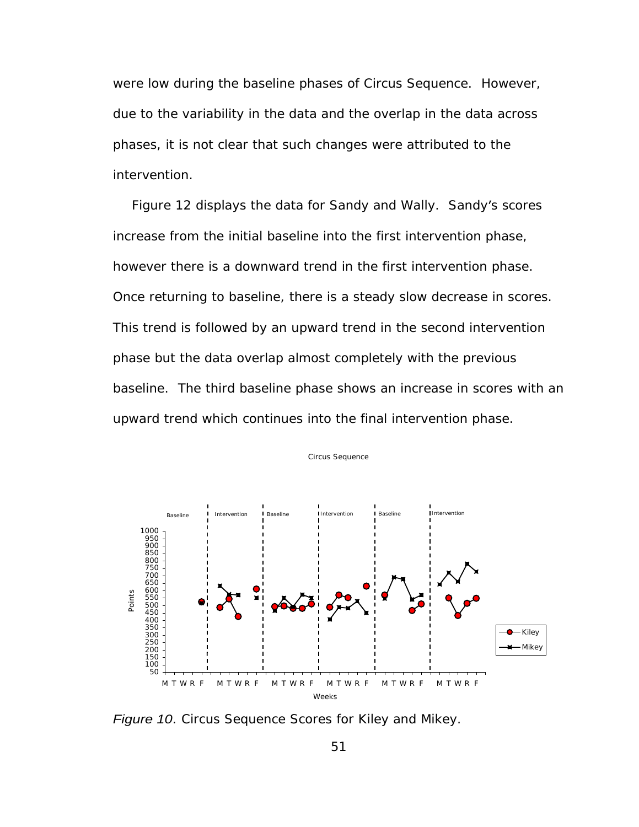were low during the baseline phases of Circus Sequence. However, due to the variability in the data and the overlap in the data across phases, it is not clear that such changes were attributed to the intervention.

Figure 12 displays the data for Sandy and Wally. Sandy's scores increase from the initial baseline into the first intervention phase, however there is a downward trend in the first intervention phase. Once returning to baseline, there is a steady slow decrease in scores. This trend is followed by an upward trend in the second intervention phase but the data overlap almost completely with the previous baseline. The third baseline phase shows an increase in scores with an upward trend which continues into the final intervention phase.<br>Circus Sequence



Figure 10. Circus Sequence Scores for Kiley and Mikey.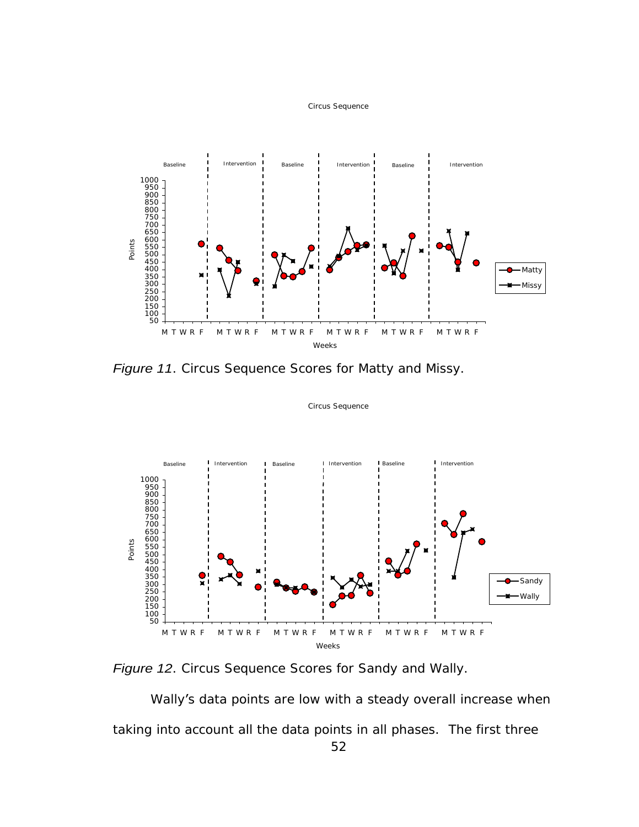



Figure 11. Circus Sequence Scores for Matty and Missy.



Circus Sequence

Figure 12. Circus Sequence Scores for Sandy and Wally.

 Wally's data points are low with a steady overall increase when taking into account all the data points in all phases. The first three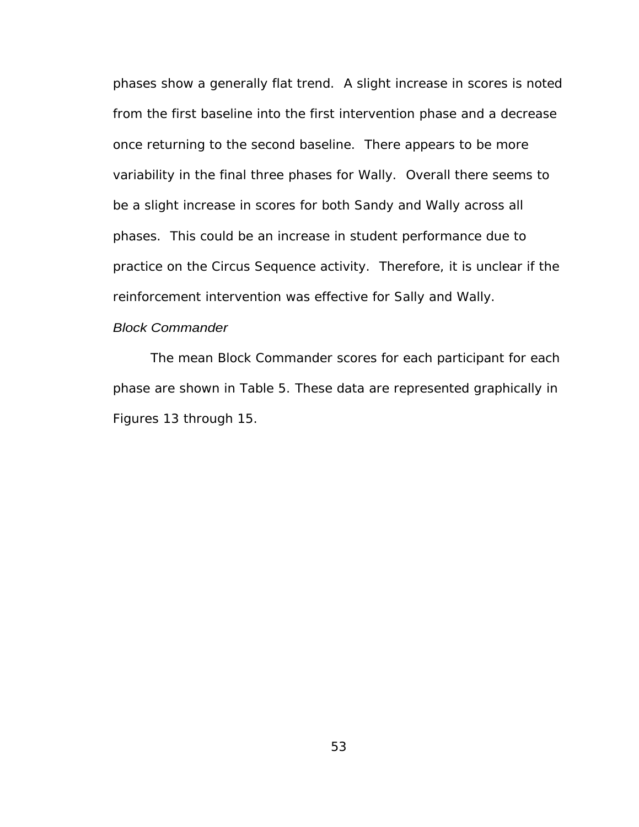phases show a generally flat trend. A slight increase in scores is noted from the first baseline into the first intervention phase and a decrease once returning to the second baseline. There appears to be more variability in the final three phases for Wally. Overall there seems to be a slight increase in scores for both Sandy and Wally across all phases. This could be an increase in student performance due to practice on the Circus Sequence activity. Therefore, it is unclear if the reinforcement intervention was effective for Sally and Wally.

## Block Commander

The mean Block Commander scores for each participant for each phase are shown in Table 5. These data are represented graphically in Figures 13 through 15.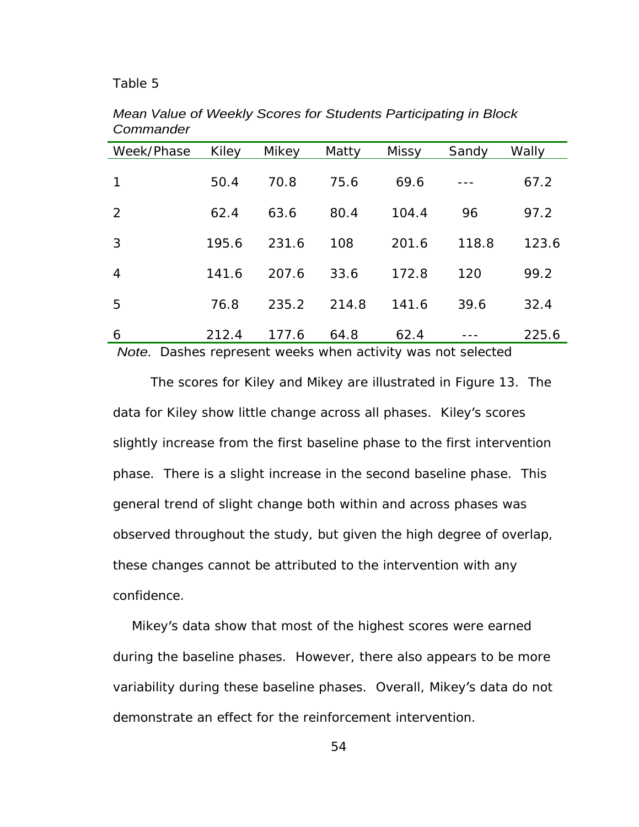## Table 5

| Week/Phase Kiley |       | Mikey | Matty | <b>Missy</b> | Sandy Wally          |       |
|------------------|-------|-------|-------|--------------|----------------------|-------|
|                  |       |       |       |              |                      |       |
| $\overline{1}$   | 50.4  | 70.8  | 75.6  | 69.6         | $\sim$ $\sim$ $\sim$ | 67.2  |
| $\overline{2}$   | 62.4  | 63.6  | 80.4  | 104.4        | 96                   | 97.2  |
| 3 <sup>7</sup>   | 195.6 | 231.6 | 108   | 201.6        | 118.8                | 123.6 |
| $\overline{4}$   | 141.6 | 207.6 | 33.6  | 172.8        | 120                  | 99.2  |
| 5 <sub>1</sub>   | 76.8  | 235.2 | 214.8 | 141.6        | 39.6                 | 32.4  |
| 6                | 212.4 | 177.6 | 64.8  | 62.4         | $- - -$              | 225.6 |

Mean Value of Weekly Scores for Students Participating in Block **Commander Commander Commander** 

Note. Dashes represent weeks when activity was not selected

The scores for Kiley and Mikey are illustrated in Figure 13. The data for Kiley show little change across all phases. Kiley's scores slightly increase from the first baseline phase to the first intervention phase. There is a slight increase in the second baseline phase. This general trend of slight change both within and across phases was observed throughout the study, but given the high degree of overlap, these changes cannot be attributed to the intervention with any confidence.

Mikey's data show that most of the highest scores were earned during the baseline phases. However, there also appears to be more variability during these baseline phases. Overall, Mikey's data do not demonstrate an effect for the reinforcement intervention.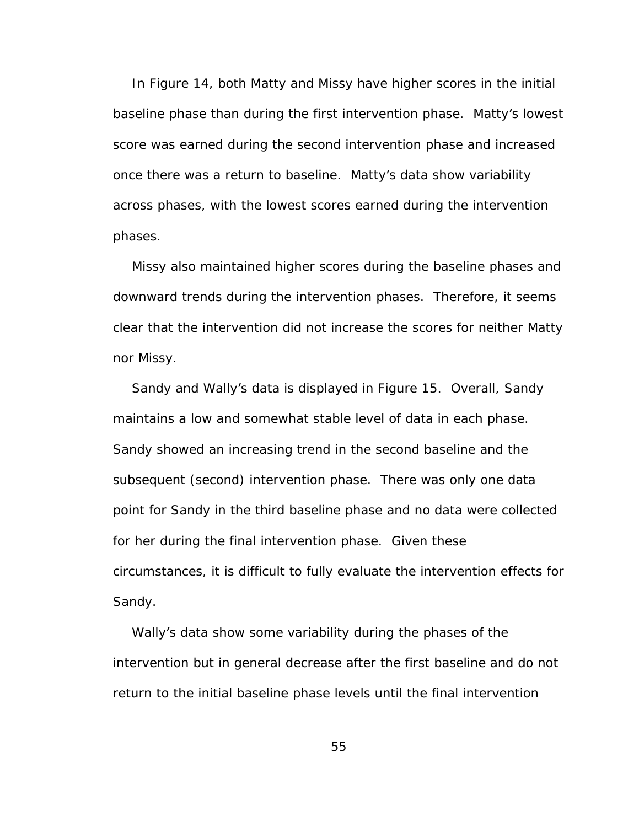In Figure 14, both Matty and Missy have higher scores in the initial baseline phase than during the first intervention phase. Matty's lowest score was earned during the second intervention phase and increased once there was a return to baseline. Matty's data show variability across phases, with the lowest scores earned during the intervention phases. The contract of the contract of the contract of the contract of the contract of the contract of the contract of the contract of the contract of the contract of the contract of the contract of the contract of the co

Missy also maintained higher scores during the baseline phases and downward trends during the intervention phases. Therefore, it seems clear that the intervention did not increase the scores for neither Matty

nor Missy.<br>Sandy and Wally's data is displayed in Figure 15. Overall, Sandy maintains a low and somewhat stable level of data in each phase. Sandy showed an increasing trend in the second baseline and the subsequent (second) intervention phase. There was only one data point for Sandy in the third baseline phase and no data were collected for her during the final intervention phase. Given these circumstances, it is difficult to fully evaluate the intervention effects for Sandy. **Example 20** Sandy.

Wally's data show some variability during the phases of the intervention but in general decrease after the first baseline and do not return to the initial baseline phase levels until the final intervention

55 and the set of the set of the set of the set of the set of the set of the set of the set of the set of the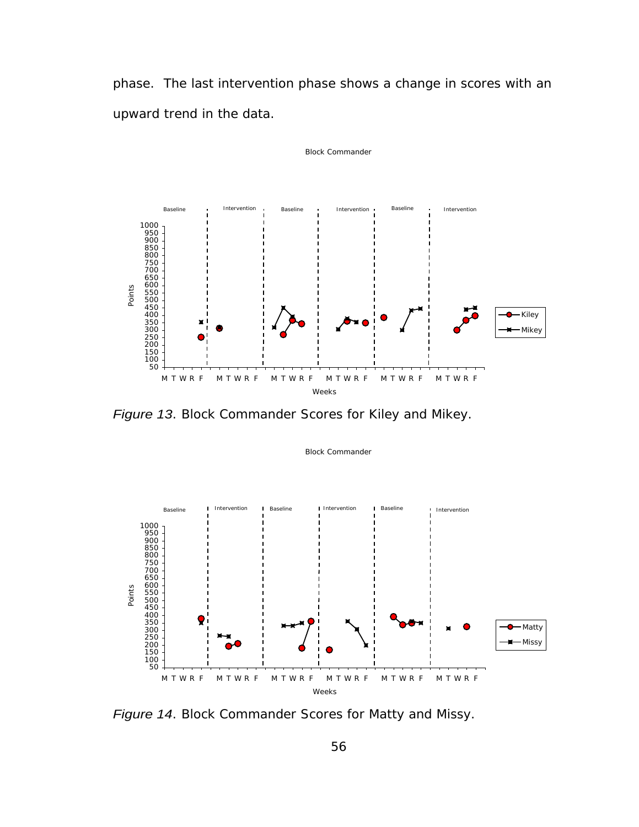phase. The last intervention phase shows a change in scores with an upward trend in the data.

Block Commander

Block Commander



Figure 13. Block Commander Scores for Kiley and Mikey.



Figure 14. Block Commander Scores for Matty and Missy.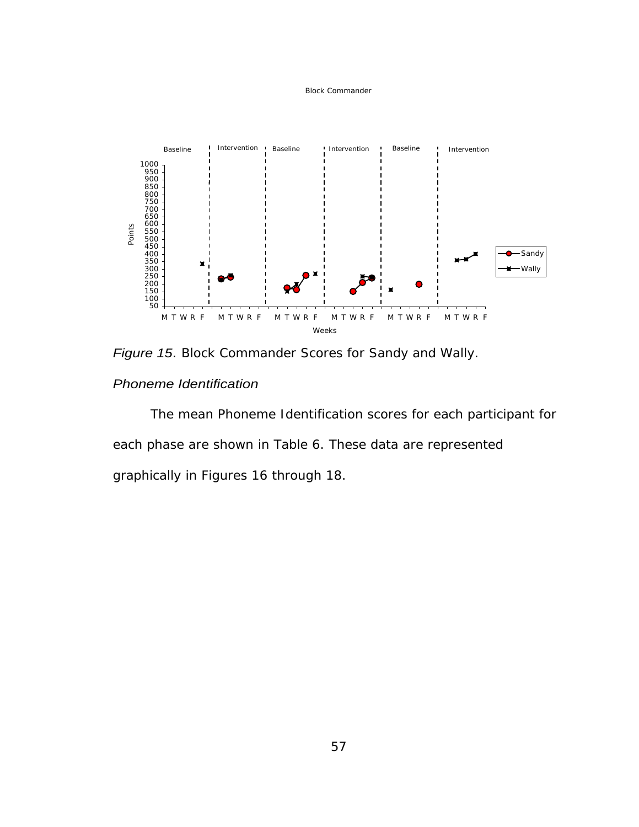#### Block Commander



Figure 15. Block Commander Scores for Sandy and Wally.

Phoneme Identification

The mean Phoneme Identification scores for each participant for each phase are shown in Table 6. These data are represented graphically in Figures 16 through 18.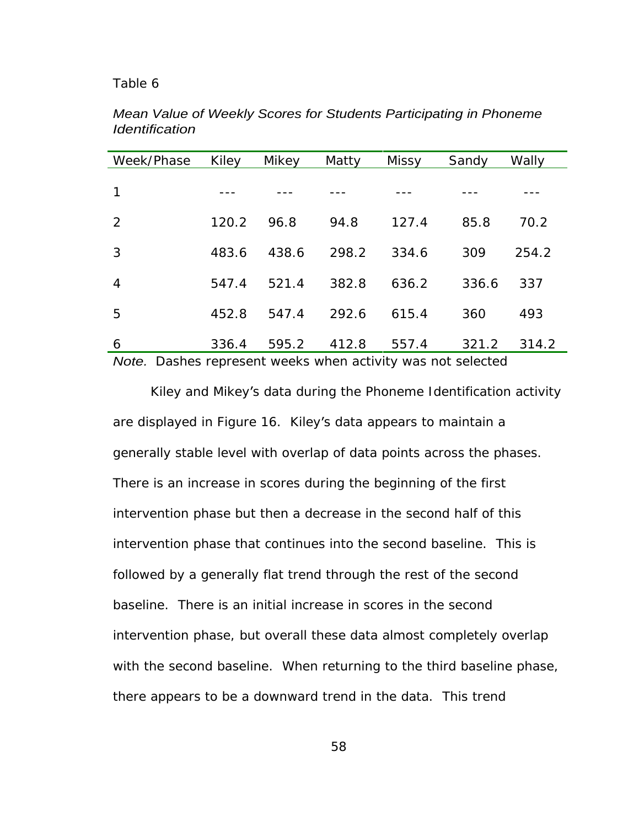## Table 6

| Week/Phase Kiley |             | Mikey   | Matty | Missy   | Sandy | Wally       |
|------------------|-------------|---------|-------|---------|-------|-------------|
|                  | ----        | $- - -$ | ----  | $- - -$ | ----  | $- - -$     |
| $2^{\circ}$      | 120.2       | 96.8    | 94.8  | 127.4   | 85.8  | 70.2        |
| 3 <sup>1</sup>   | 483.6       | 438.6   | 298.2 | 334.6   | 309   | 254.2       |
| $\overline{4}$   | 547.4 521.4 |         | 382.8 | 636.2   |       | 336.6 337   |
| 5 <sub>5</sub>   | 452.8       | 547.4   | 292.6 | 615.4   | 360   | 493         |
| 6                | 336.4       | 595.2   | 412.8 | 557.4   |       | 321.2 314.2 |

Mean Value of Weekly Scores for Students Participating in Phoneme Identification **Internation** and the set of the set of the set of the set of the set of the set of the set of the set of the set of the set of the set of the set of the set of the set of the set of the set of the set of th

Note. Dashes represent weeks when activity was not selected

Kiley and Mikey's data during the Phoneme Identification activity are displayed in Figure 16. Kiley's data appears to maintain a generally stable level with overlap of data points across the phases. There is an increase in scores during the beginning of the first intervention phase but then a decrease in the second half of this intervention phase that continues into the second baseline. This is followed by a generally flat trend through the rest of the second baseline. There is an initial increase in scores in the second intervention phase, but overall these data almost completely overlap with the second baseline. When returning to the third baseline phase, there appears to be a downward trend in the data. This trend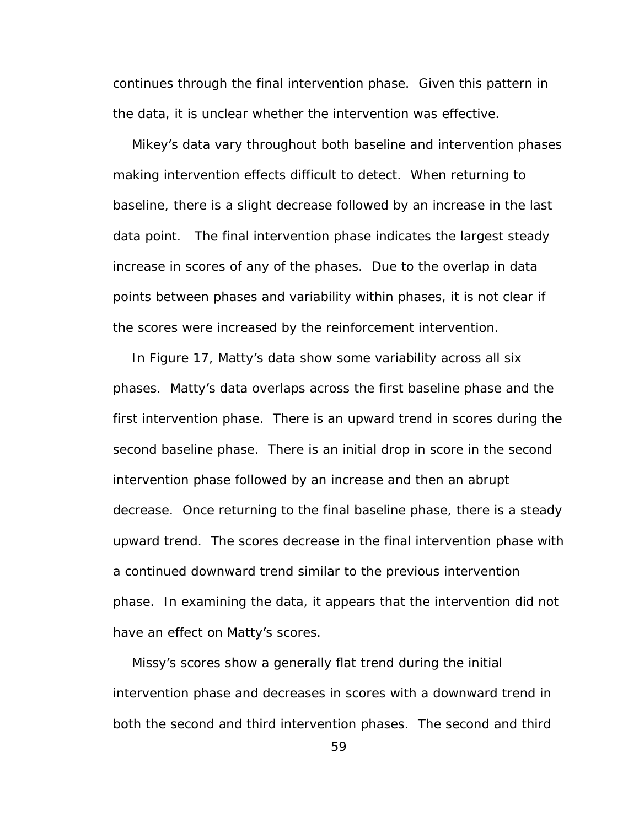continues through the final intervention phase. Given this pattern in the data, it is unclear whether the intervention was effective.

Mikey's data vary throughout both baseline and intervention phases making intervention effects difficult to detect. When returning to baseline, there is a slight decrease followed by an increase in the last data point. The final intervention phase indicates the largest steady increase in scores of any of the phases. Due to the overlap in data points between phases and variability within phases, it is not clear if the scores were increased by the reinforcement intervention.

In Figure 17, Matty's data show some variability across all six phases. Matty's data overlaps across the first baseline phase and the first intervention phase. There is an upward trend in scores during the second baseline phase. There is an initial drop in score in the second intervention phase followed by an increase and then an abrupt decrease. Once returning to the final baseline phase, there is a steady upward trend. The scores decrease in the final intervention phase with a continued downward trend similar to the previous intervention phase. In examining the data, it appears that the intervention did not have an effect on Matty's scores.

Missy's scores show a generally flat trend during the initial intervention phase and decreases in scores with a downward trend in both the second and third intervention phases. The second and third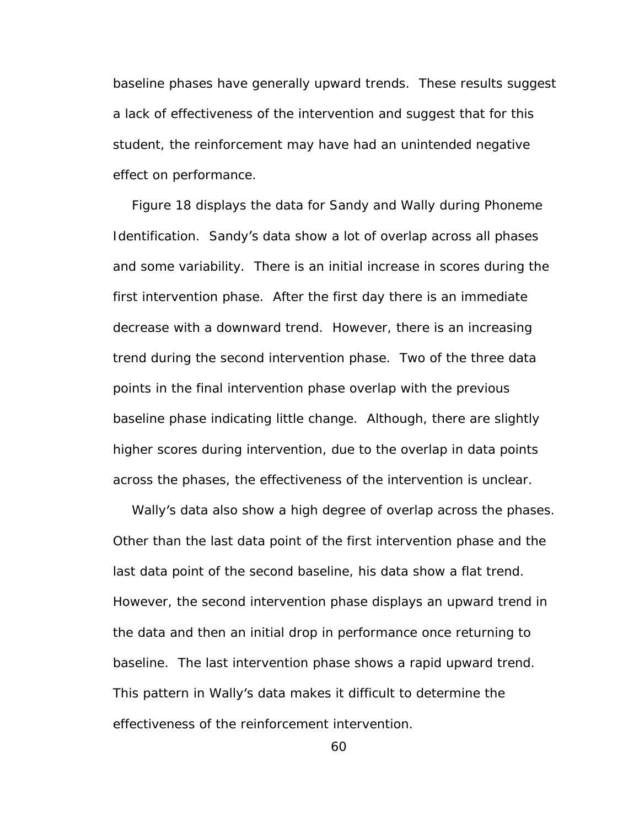baseline phases have generally upward trends. These results suggest a lack of effectiveness of the intervention and suggest that for this student, the reinforcement may have had an unintended negative effect on performance.

Figure 18 displays the data for Sandy and Wally during Phoneme Identification. Sandy's data show a lot of overlap across all phases and some variability. There is an initial increase in scores during the first intervention phase. After the first day there is an immediate decrease with a downward trend. However, there is an increasing trend during the second intervention phase. Two of the three data points in the final intervention phase overlap with the previous baseline phase indicating little change. Although, there are slightly higher scores during intervention, due to the overlap in data points across the phases, the effectiveness of the intervention is unclear.<br>Wally's data also show a high degree of overlap across the phases.

Other than the last data point of the first intervention phase and the last data point of the second baseline, his data show a flat trend. However, the second intervention phase displays an upward trend in the data and then an initial drop in performance once returning to baseline. The last intervention phase shows a rapid upward trend. This pattern in Wally's data makes it difficult to determine the effectiveness of the reinforcement intervention.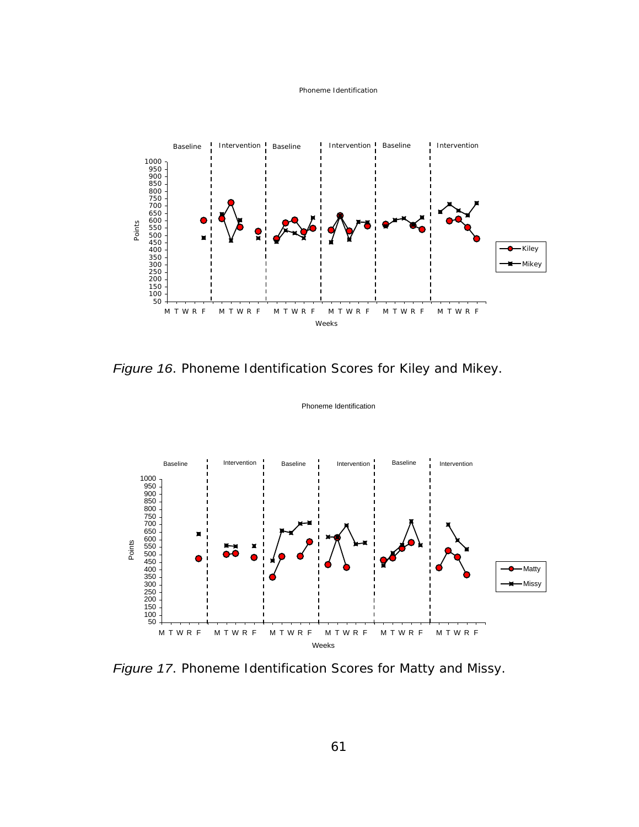



Figure 16. Phoneme Identification Scores for Kiley and Mikey.



Phoneme Identification

Figure 17. Phoneme Identification Scores for Matty and Missy.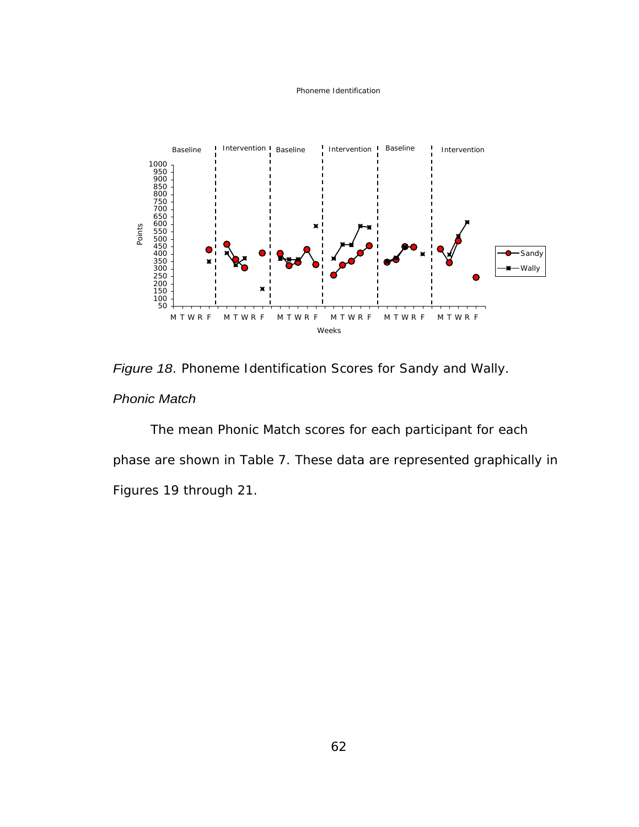#### Phoneme Identification



Figure 18. Phoneme Identification Scores for Sandy and Wally. **Phonic Match Automatic Match Automatic Match** *Phonic Match* 

The mean Phonic Match scores for each participant for each phase are shown in Table 7. These data are represented graphically in Figures 19 through 21.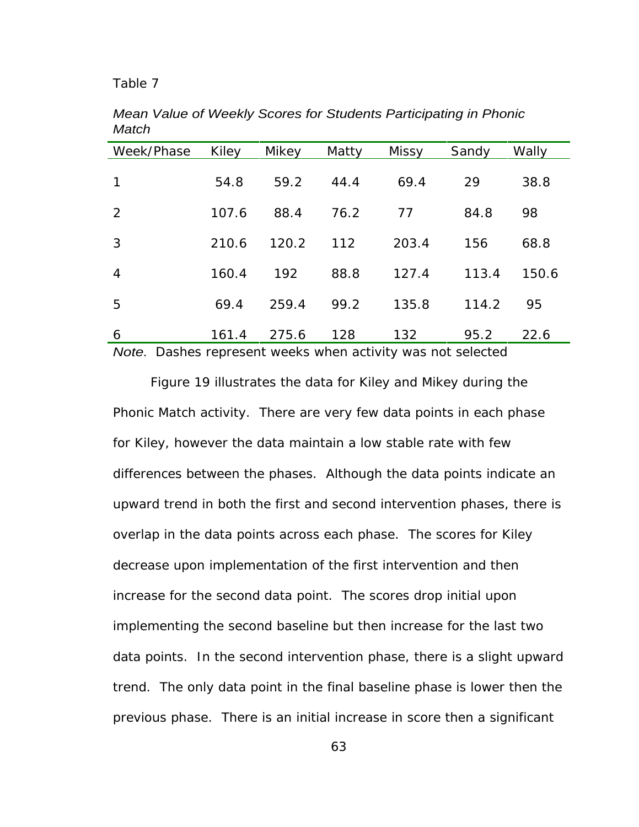## Table 7

| Week/Phase Kiley                                                                                                                                                                                                              |       | Mikey | Matty | Missy | Sandy    | Wally       |
|-------------------------------------------------------------------------------------------------------------------------------------------------------------------------------------------------------------------------------|-------|-------|-------|-------|----------|-------------|
| $1 -$                                                                                                                                                                                                                         | 54.8  | 59.2  | 44.4  | 69.4  | 29       | 38.8        |
|                                                                                                                                                                                                                               |       |       |       |       |          |             |
| $2^{\circ}$                                                                                                                                                                                                                   | 107.6 | 88.4  | 76.2  | 77    | 84.8     | 98          |
| 3 <sup>1</sup>                                                                                                                                                                                                                | 210.6 | 120.2 | 112   | 203.4 | 156      | 68.8        |
| $\overline{4}$                                                                                                                                                                                                                | 160.4 | 192   | 88.8  | 127.4 |          | 113.4 150.6 |
| 5 <sub>1</sub>                                                                                                                                                                                                                | 69.4  | 259.4 | 99.2  | 135.8 | 114.2 95 |             |
| 6                                                                                                                                                                                                                             | 161.4 | 275.6 | 128   | 132   | 95.2     | 22.6        |
| . And the contract of the contract of the contract of the contract of the contract of the contract of the contract of the contract of the contract of the contract of the contract of the contract of the contract of the con |       |       |       |       |          |             |

Mean Value of Weekly Scores for Students Participating in Phonic Match **Match Match Match Match Match Match** 

Note. Dashes represent weeks when activity was not selected

Figure 19 illustrates the data for Kiley and Mikey during the Phonic Match activity. There are very few data points in each phase for Kiley, however the data maintain a low stable rate with few differences between the phases. Although the data points indicate an upward trend in both the first and second intervention phases, there is overlap in the data points across each phase. The scores for Kiley decrease upon implementation of the first intervention and then increase for the second data point. The scores drop initial upon implementing the second baseline but then increase for the last two data points. In the second intervention phase, there is a slight upward trend. The only data point in the final baseline phase is lower then the previous phase. There is an initial increase in score then a significant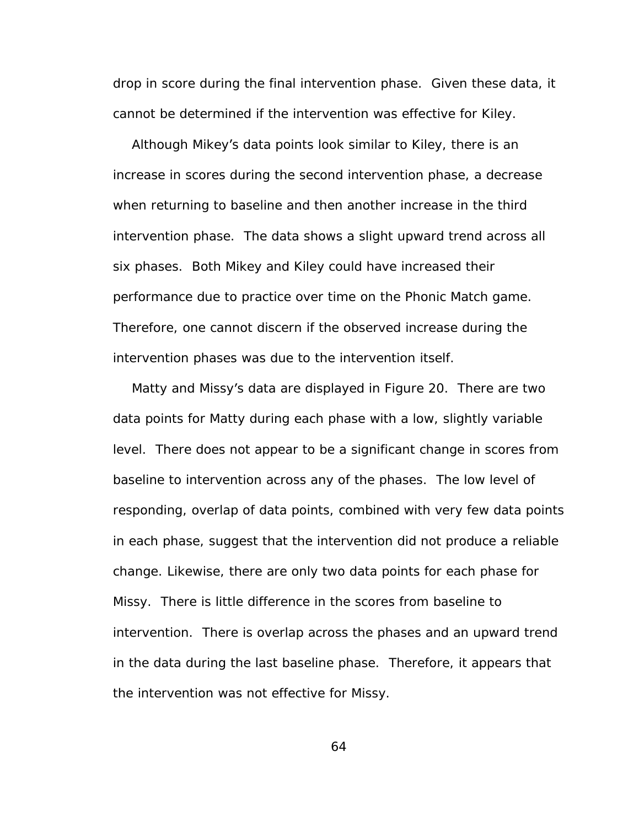drop in score during the final intervention phase. Given these data, it cannot be determined if the intervention was effective for Kiley.

Although Mikey's data points look similar to Kiley, there is an increase in scores during the second intervention phase, a decrease when returning to baseline and then another increase in the third intervention phase. The data shows a slight upward trend across all six phases. Both Mikey and Kiley could have increased their performance due to practice over time on the Phonic Match game. Therefore, one cannot discern if the observed increase during the intervention phases was due to the intervention itself.

Matty and Missy's data are displayed in Figure 20. There are two data points for Matty during each phase with a low, slightly variable level. There does not appear to be a significant change in scores from baseline to intervention across any of the phases. The low level of responding, overlap of data points, combined with very few data points in each phase, suggest that the intervention did not produce a reliable change. Likewise, there are only two data points for each phase for Missy. There is little difference in the scores from baseline to intervention. There is overlap across the phases and an upward trend in the data during the last baseline phase. Therefore, it appears that the intervention was not effective for Missy.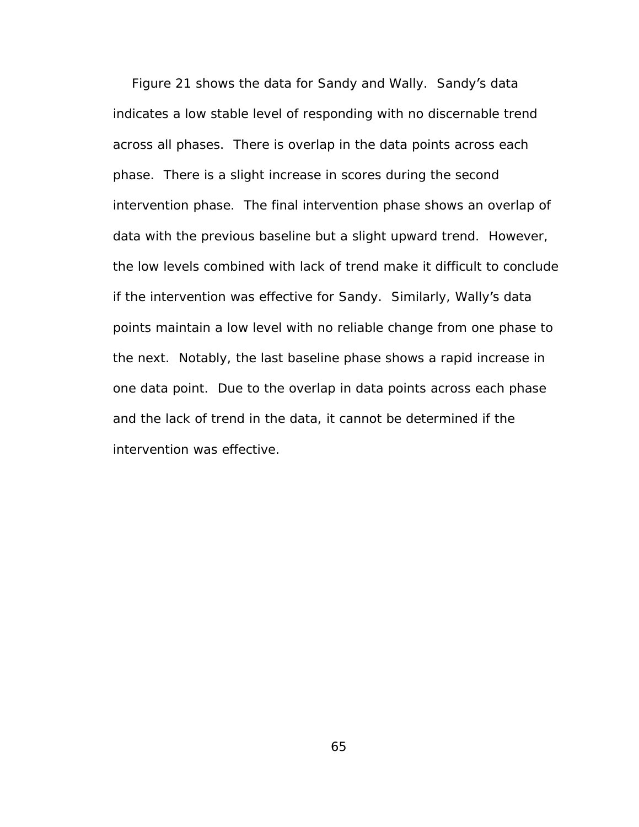Figure 21 shows the data for Sandy and Wally. Sandy's data indicates a low stable level of responding with no discernable trend across all phases. There is overlap in the data points across each phase. There is a slight increase in scores during the second intervention phase. The final intervention phase shows an overlap of data with the previous baseline but a slight upward trend. However, the low levels combined with lack of trend make it difficult to conclude if the intervention was effective for Sandy. Similarly, Wally's data points maintain a low level with no reliable change from one phase to the next. Notably, the last baseline phase shows a rapid increase in one data point. Due to the overlap in data points across each phase and the lack of trend in the data, it cannot be determined if the intervention was effective.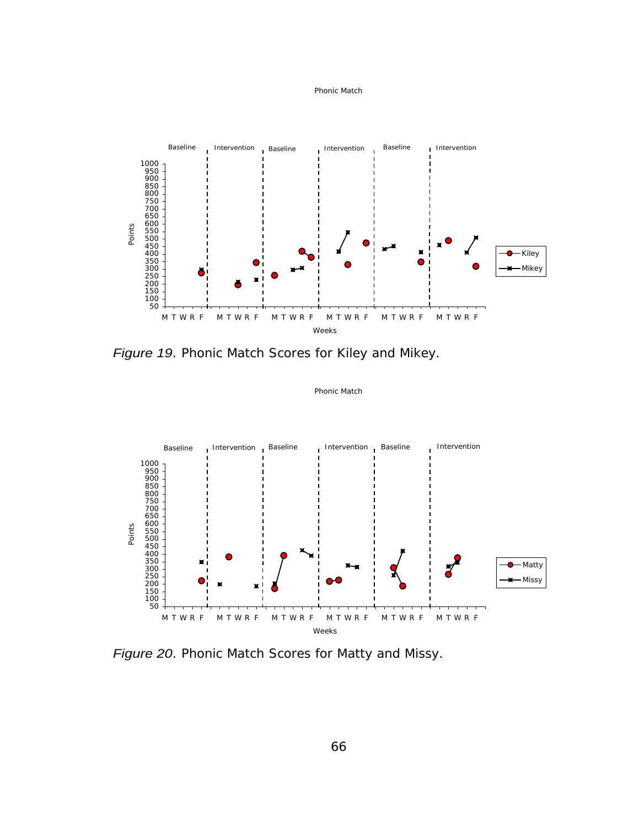#### Phonic Match



Figure 19. Phonic Match Scores for Kiley and Mikey.



Phonic Match

Figure 20. Phonic Match Scores for Matty and Missy.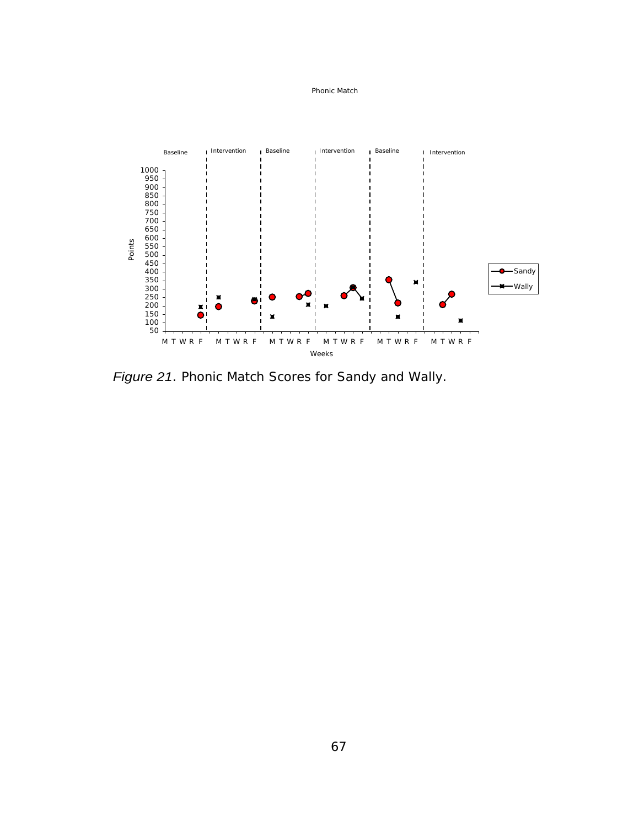#### Phonic Match



Figure 21. Phonic Match Scores for Sandy and Wally.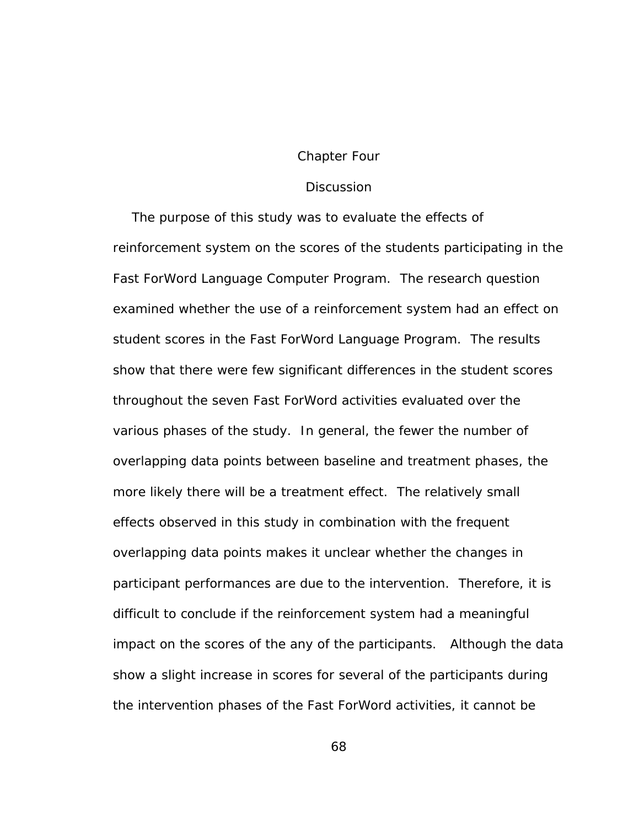### Chapter Four

### **Discussion Discussion**

The purpose of this study was to evaluate the effects of reinforcement system on the scores of the students participating in the Fast ForWord Language Computer Program. The research question examined whether the use of a reinforcement system had an effect on student scores in the Fast ForWord Language Program. The results show that there were few significant differences in the student scores throughout the seven Fast ForWord activities evaluated over the various phases of the study. In general, the fewer the number of overlapping data points between baseline and treatment phases, the more likely there will be a treatment effect. The relatively small effects observed in this study in combination with the frequent overlapping data points makes it unclear whether the changes in participant performances are due to the intervention. Therefore, it is difficult to conclude if the reinforcement system had a meaningful impact on the scores of the any of the participants. Although the data show a slight increase in scores for several of the participants during the intervention phases of the Fast ForWord activities, it cannot be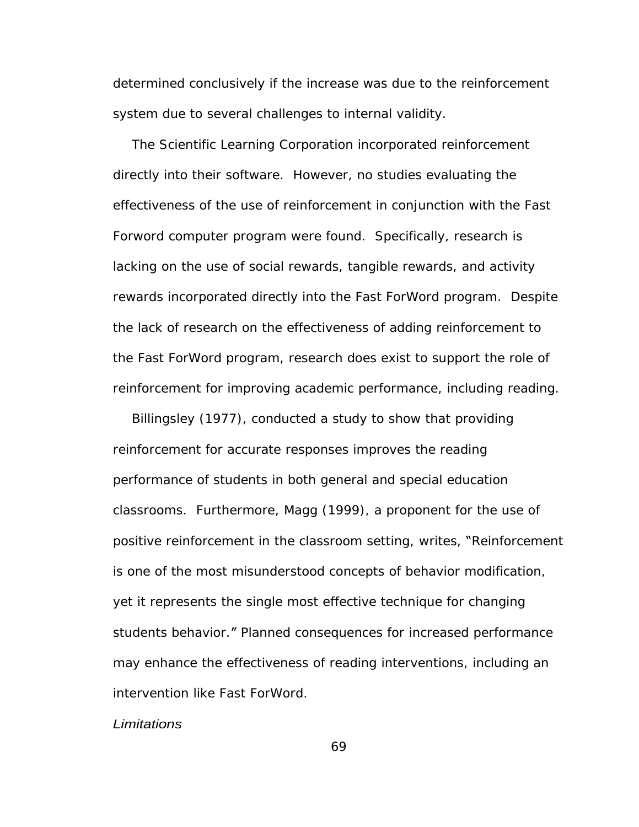determined conclusively if the increase was due to the reinforcement system due to several challenges to internal validity.

The Scientific Learning Corporation incorporated reinforcement directly into their software. However, no studies evaluating the effectiveness of the use of reinforcement in conjunction with the Fast Forword computer program were found. Specifically, research is lacking on the use of social rewards, tangible rewards, and activity rewards incorporated directly into the Fast ForWord program. Despite the lack of research on the effectiveness of adding reinforcement to the Fast ForWord program, research does exist to support the role of reinforcement for improving academic performance, including reading.

Billingsley (1977), conducted a study to show that providing reinforcement for accurate responses improves the reading performance of students in both general and special education classrooms. Furthermore, Magg (1999), a proponent for the use of positive reinforcement in the classroom setting, writes, "Reinforcement is one of the most misunderstood concepts of behavior modification, yet it represents the single most effective technique for changing students behavior." Planned consequences for increased performance may enhance the effectiveness of reading interventions, including an intervention like Fast ForWord.

Limitations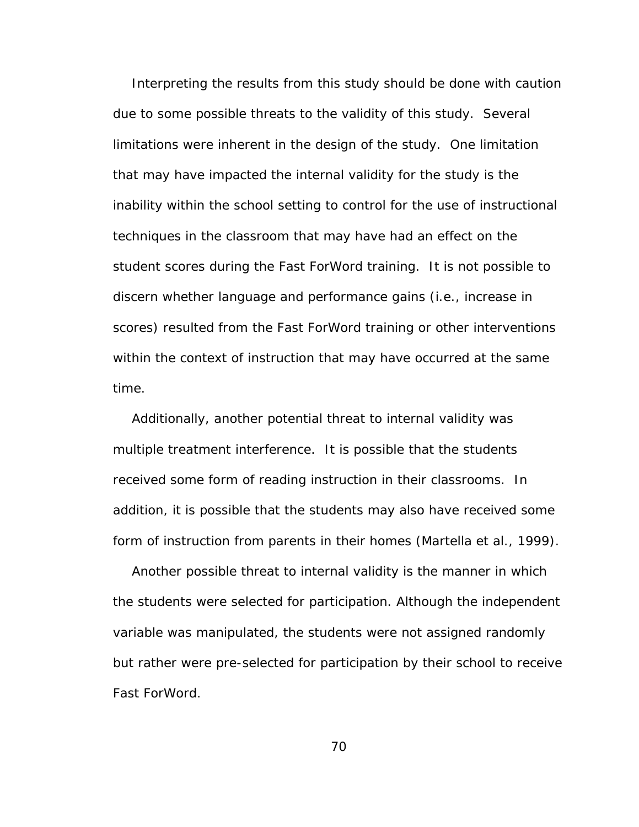Interpreting the results from this study should be done with caution due to some possible threats to the validity of this study. Several limitations were inherent in the design of the study. One limitation that may have impacted the internal validity for the study is the inability within the school setting to control for the use of instructional techniques in the classroom that may have had an effect on the student scores during the Fast ForWord training. It is not possible to discern whether language and performance gains (i.e., increase in scores) resulted from the Fast ForWord training or other interventions within the context of instruction that may have occurred at the same

time.<br>Additionally, another potential threat to internal validity was multiple treatment interference. It is possible that the students received some form of reading instruction in their classrooms. In addition, it is possible that the students may also have received some form of instruction from parents in their homes (Martella et al., 1999). Another possible threat to internal validity is the manner in which

the students were selected for participation. Although the independent variable was manipulated, the students were not assigned randomly but rather were pre-selected for participation by their school to receive Fast ForWord.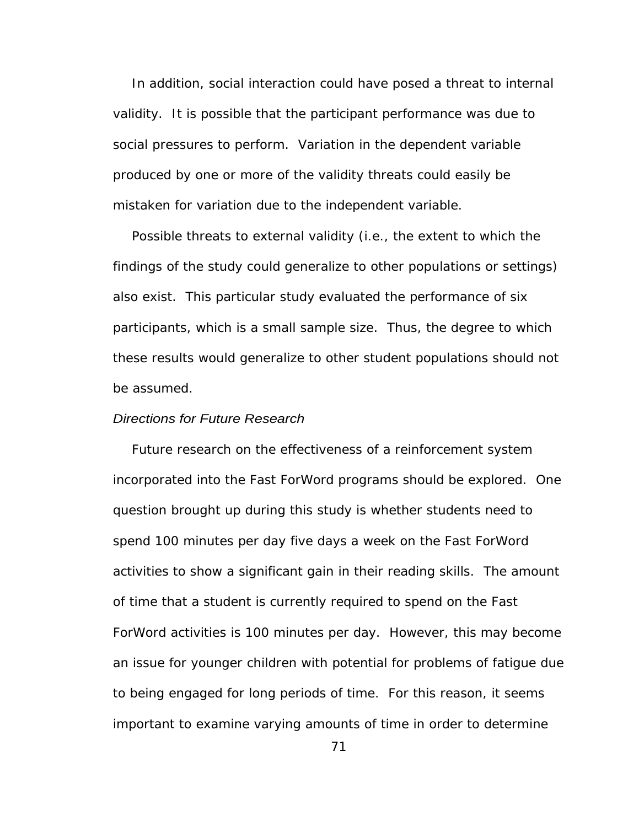In addition, social interaction could have posed a threat to internal validity. It is possible that the participant performance was due to social pressures to perform. Variation in the dependent variable produced by one or more of the validity threats could easily be mistaken for variation due to the independent variable.

Possible threats to external validity (i.e., the extent to which the findings of the study could generalize to other populations or settings) also exist. This particular study evaluated the performance of six participants, which is a small sample size. Thus, the degree to which these results would generalize to other student populations should not be assumed. The set of the set of the set of the set of the set of the set of the set of the set of the set of the set of the set of the set of the set of the set of the set of the set of the set of the set of the set of t

#### Directions for Future Research

Future research on the effectiveness of a reinforcement system incorporated into the Fast ForWord programs should be explored. One question brought up during this study is whether students need to spend 100 minutes per day five days a week on the Fast ForWord activities to show a significant gain in their reading skills. The amount of time that a student is currently required to spend on the Fast ForWord activities is 100 minutes per day. However, this may become an issue for younger children with potential for problems of fatigue due to being engaged for long periods of time. For this reason, it seems important to examine varying amounts of time in order to determine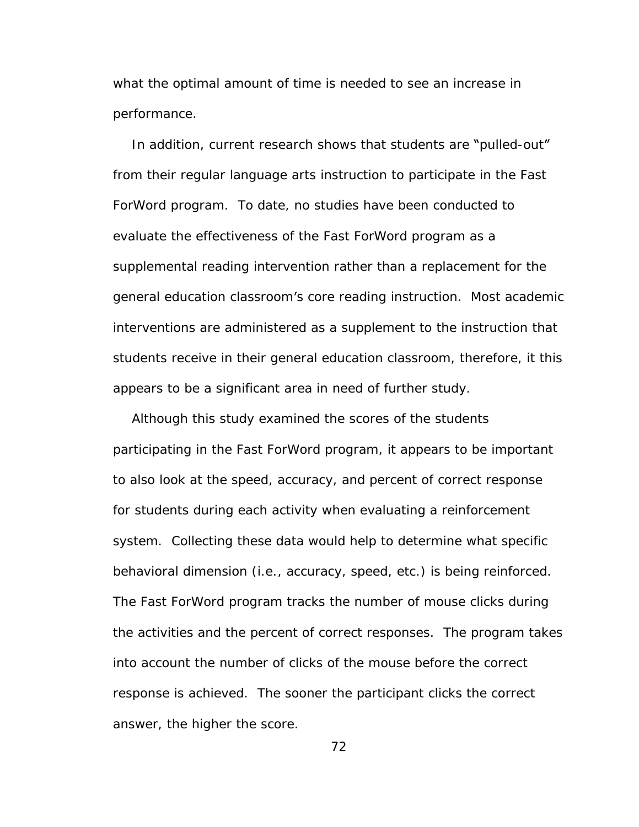what the optimal amount of time is needed to see an increase in performance.

In addition, current research shows that students are "pulled-out" from their regular language arts instruction to participate in the Fast ForWord program. To date, no studies have been conducted to evaluate the effectiveness of the Fast ForWord program as a supplemental reading intervention rather than a replacement for the general education classroom's core reading instruction. Most academic interventions are administered as a supplement to the instruction that students receive in their general education classroom, therefore, it this appears to be a significant area in need of further study.

Although this study examined the scores of the students participating in the Fast ForWord program, it appears to be important to also look at the speed, accuracy, and percent of correct response for students during each activity when evaluating a reinforcement system. Collecting these data would help to determine what specific behavioral dimension (i.e., accuracy, speed, etc.) is being reinforced.<br>The Fast ForWord program tracks the number of mouse clicks during the activities and the percent of correct responses. The program takes into account the number of clicks of the mouse before the correct response is achieved. The sooner the participant clicks the correct answer, the higher the score.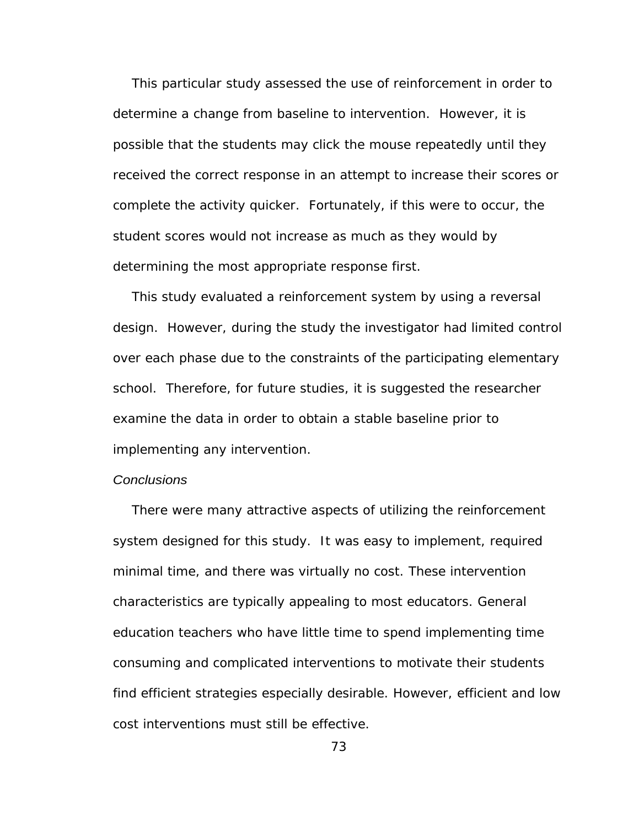This particular study assessed the use of reinforcement in order to determine a change from baseline to intervention. However, it is possible that the students may click the mouse repeatedly until they received the correct response in an attempt to increase their scores or complete the activity quicker. Fortunately, if this were to occur, the student scores would not increase as much as they would by determining the most appropriate response first.

This study evaluated a reinforcement system by using a reversal design. However, during the study the investigator had limited control over each phase due to the constraints of the participating elementary school. Therefore, for future studies, it is suggested the researcher examine the data in order to obtain a stable baseline prior to implementing any intervention.

# **Conclusions Conclusions**

There were many attractive aspects of utilizing the reinforcement system designed for this study. It was easy to implement, required minimal time, and there was virtually no cost. These intervention characteristics are typically appealing to most educators. General education teachers who have little time to spend implementing time consuming and complicated interventions to motivate their students find efficient strategies especially desirable. However, efficient and low cost interventions must still be effective.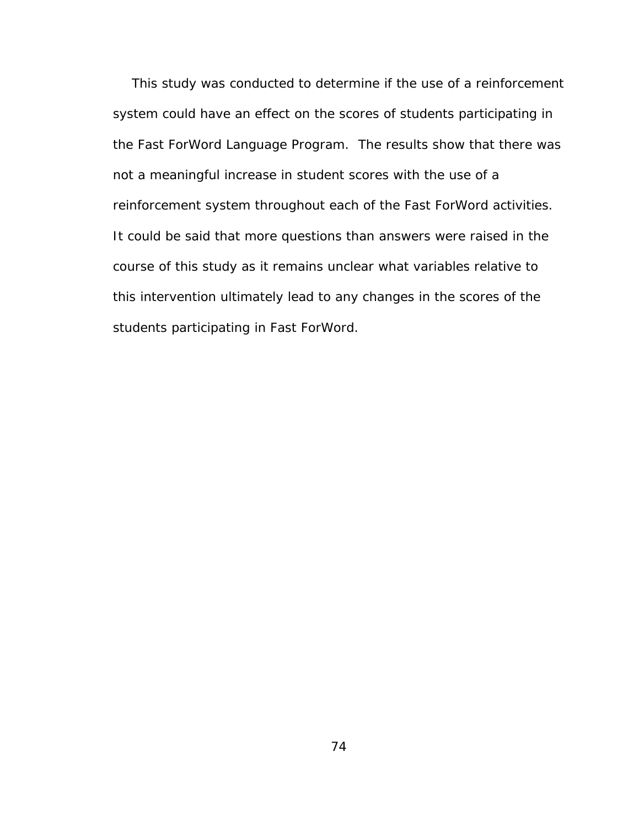This study was conducted to determine if the use of a reinforcement system could have an effect on the scores of students participating in the Fast ForWord Language Program. The results show that there was not a meaningful increase in student scores with the use of a reinforcement system throughout each of the Fast ForWord activities. It could be said that more questions than answers were raised in the course of this study as it remains unclear what variables relative to this intervention ultimately lead to any changes in the scores of the students participating in Fast ForWord.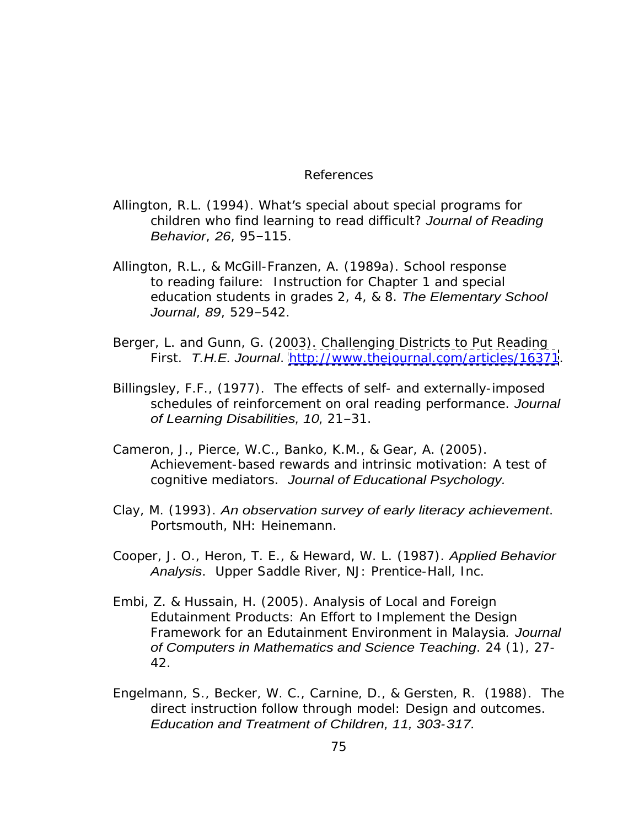## References and the state of the state of the state of the state of the state of the state of the state of the state of the state of the state of the state of the state of the state of the state of the state of the state of

- Allington, R.L. (1994). What's special about special programs for children who find learning to read difficult? Journal of Reading Behavior, 26, 95-115.
- Allington, R.L., & McGill-Franzen, A. (1989a). School response to reading failure: Instruction for Chapter 1 and special education students in grades 2, 4, & 8. The Elementary School Journal, 89, 529-542.
- Berger, L. and Gunn, G. (2003). Challenging Districts to Put Reading First. T.H.E. Journal.<http://www.thejournal.com/articles/16371>.
- Billingsley, F.F., (1977). The effects of self- and externally-imposed schedules of reinforcement on oral reading performance. Journal of Learning Disabilities, 10, 21-31.
- Cameron, J., Pierce, W.C., Banko, K.M., & Gear, A. (2005). Achievement-based rewards and intrinsic motivation: A test of cognitive mediators. Journal of Educational Psychology.
- Clay, M. (1993). An observation survey of early literacy achievement.<br>Portsmouth, NH: Heinemann.
- Cooper, J. O., Heron, T. E., & Heward, W. L. (1987). Applied Behavior Analysis. Upper Saddle River, NJ: Prentice-Hall, Inc.
- Embi, Z. & Hussain, H. (2005). Analysis of Local and Foreign Edutainment Products: An Effort to Implement the Design Framework for an Edutainment Environment in Malaysia. Journal of Computers in Mathematics and Science Teaching. 24 (1), 27- 42.
- Engelmann, S., Becker, W. C., Carnine, D., & Gersten, R. (1988). The direct instruction follow through model: Design and outcomes. Education and Treatment of Children, 11, 303-317.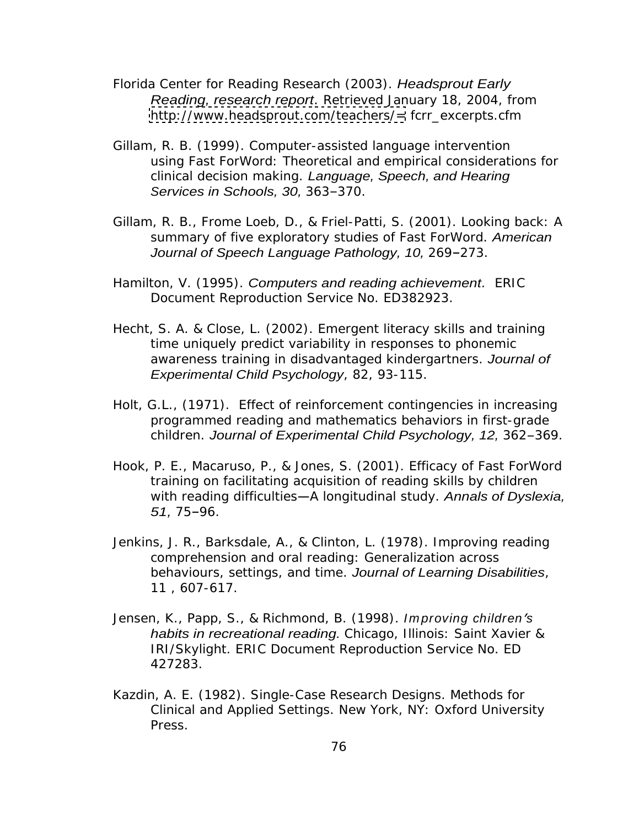- Florida Center for Reading Research (2003). Headsprout Early Reading, research report. Retrieved January 18, 2004, from <http://www.headsprout.com/teachers/=> fcrr\_excerpts.cfm
- Gillam, R. B. (1999). Computer-assisted language intervention using Fast ForWord: Theoretical and empirical considerations for clinical decision making. Language, Speech, and Hearing Services in Schools, 30, 363-370.
- Gillam, R. B., Frome Loeb, D., & Friel-Patti, S. (2001). Looking back: A summary of five exploratory studies of Fast ForWord. American Journal of Speech Language Pathology, 10, 269-273.
- Hamilton, V. (1995). Computers and reading achievement. ERIC Document Reproduction Service No. ED382923.
- Hecht, S. A. & Close, L. (2002). Emergent literacy skills and training time uniquely predict variability in responses to phonemic awareness training in disadvantaged kindergartners. Journal of Experimental Child Psychology, 82, 93-115.
- Holt, G.L., (1971). Effect of reinforcement contingencies in increasing programmed reading and mathematics behaviors in first-grade children. Journal of Experimental Child Psychology, 12, 362-369.
- Hook, P. E., Macaruso, P., & Jones, S. (2001). Efficacy of Fast ForWord training on facilitating acquisition of reading skills by children with reading difficulties - A longitudinal study. Annals of Dyslexia,  $51, 75 - 96.$
- Jenkins, J. R., Barksdale, A., & Clinton, L. (1978). Improving reading comprehension and oral reading: Generalization across behaviours, settings, and time. Journal of Learning Disabilities, 11, 607-617.
- Jensen, K., Papp, S., & Richmond, B. (1998). Improving children's habits in recreational reading. Chicago, Illinois: Saint Xavier & IRI/Skylight. ERIC Document Reproduction Service No. ED 427283.
- Kazdin, A. E. (1982). Single-Case Research Designs. Methods for Clinical and Applied Settings. New York, NY: Oxford University Press.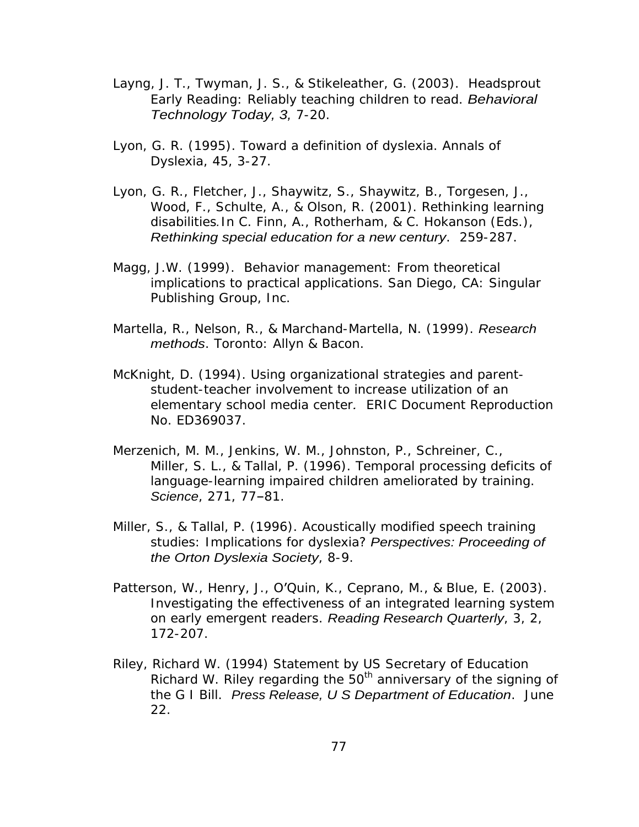- Layng, J. T., Twyman, J. S., & Stikeleather, G. (2003). Headsprout Early Reading: Reliably teaching children to read. Behavioral Technology Today, 3, 7-20.
- Lyon, G. R. (1995). Toward a definition of dyslexia. Annals of Dyslexia, 45, 3-27.
- Lyon, G. R., Fletcher, J., Shaywitz, S., Shaywitz, B., Torgesen, J., Wood, F., Schulte, A., & Olson, R. (2001). Rethinking learning disabilities.In C. Finn, A., Rotherham, & C. Hokanson (Eds.), Rethinking special education for a new century. 259-287.
- Magg, J.W. (1999). Behavior management: From theoretical implications to practical applications. San Diego, CA: Singular Publishing Group, Inc.
- Martella, R., Nelson, R., & Marchand-Martella, N. (1999). Research methods. Toronto: Allyn & Bacon.
- McKnight, D. (1994). Using organizational strategies and parent student-teacher involvement to increase utilization of an elementary school media center. ERIC Document Reproduction No. ED369037.
- Merzenich, M. M., Jenkins, W. M., Johnston, P., Schreiner, C., Miller, S. L., & Tallal, P. (1996). Temporal processing deficits of language-learning impaired children ameliorated by training. Science, 271, 77-81.
- Miller, S., & Tallal, P. (1996). Acoustically modified speech training studies: Implications for dyslexia? Perspectives: Proceeding of the Orton Dyslexia Society, 8-9.
- Patterson, W., Henry, J., O'Quin, K., Ceprano, M., & Blue, E. (2003). Investigating the effectiveness of an integrated learning system on early emergent readers. Reading Research Quarterly, 3, 2, 172-207.
- Riley, Richard W. (1994) Statement by US Secretary of Education Richard W. Riley regarding the  $50<sup>th</sup>$  anniversary of the signing of the G I Bill. Press Release, U S Department of Education. June 22.